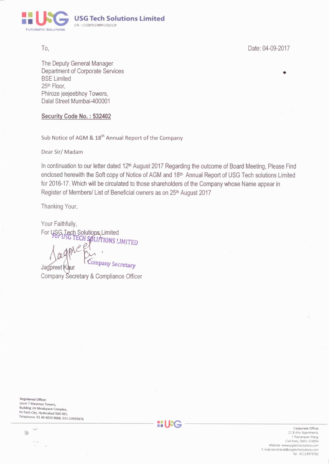

To.

Date: 04-09-2017

The Deputy General Manager Department of Corporate Services **BSE Limited** 25th Floor. Phiroze jeejeebhoy Towers, Dalal Street Mumbai-400001

# Security Code No.: 532402

Sub Notice of AGM & 18<sup>th</sup> Annual Report of the Company

Dear Sir/Madam

In continuation to our letter dated 12<sup>th</sup> August 2017 Regarding the outcome of Board Meeting. Please Find enclosed herewith the Soft copy of Notice of AGM and 18th Annual Report of USG Tech solutions Limited for 2016-17. Which will be circulated to those shareholders of the Company whose Name appear in Register of Members/ List of Beneficial owners as on 25th August 2017

Thanking Your,

Your Faithfully, Four Futures),<br>For USG Tech Solutions Limited<br>For USG TECH SOLUTIONS LIMITED Company Secretary

Jagpreet Kaur Company Secretary & Compliance Officer

Registered Office: Level 7 Maximus Towers, **Building 2A Mindspace Complex,** Hi-Tech City, Hyderabad 500 081, Telephone- 91 40 4033 9668, 011-23935876

Y)



Corporate Office: 11 B shiv Apartments 7 Rajnarayan Marg, Civil lines, Delhi-110054 Website: www.usgtechsolutions.com E-mail:secretarial@usgtechsolutions.com Tel:- 01123973762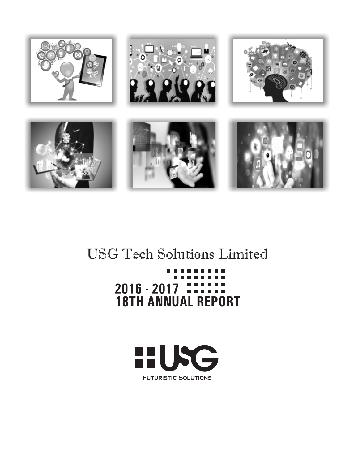

# **USG Tech Solutions Limited**

# **2016 - 2017 THEFTH**<br>18TH ANNUAL REPORT

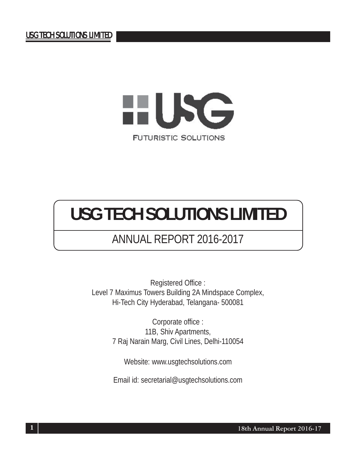

# ANNUAL REPORT 2016-2017

Registered Office : Level 7 Maximus Towers Building 2A Mindspace Complex, Hi-Tech City Hyderabad, Telangana- 500081

> Corporate office : 11B, Shiv Apartments, 7 Raj Narain Marg, Civil Lines, Delhi-110054

Website: www.usgtechsolutions.com

Email id: secretarial@usgtechsolutions.com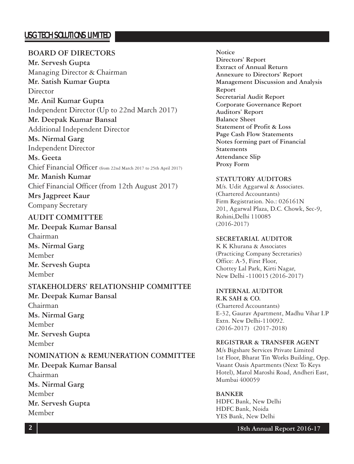# **BOARD OF DIRECTORS**

**Mr. Servesh Gupta** Managing Director & Chairman **Mr. Satish Kumar Gupta Director Mr. Anil Kumar Gupta** Independent Director (Up to 22nd March 2017) **Mr. Deepak Kumar Bansal** Additional Independent Director **Ms. Nirmal Garg** Independent Director **Ms. Geeta** Chief Financial Officer (from 22nd March 2017 to 25th April 2017) **Mr. Manish Kumar** Chief Financial Officer (from 12th August 2017) **Mrs Jagpreet Kaur**

Company Secretary

# **AUDIT COMMITTEE**

**Mr. Deepak Kumar Bansal** Chairman **Ms. Nirmal Garg** Member **Mr. Servesh Gupta** Member

# **STAKEHOLDERS' RELATIONSHIP COMMITTEE**

**Mr. Deepak Kumar Bansal** Chairman **Ms. Nirmal Garg** Member **Mr. Servesh Gupta** Member

# **NOMINATION & REMUNERATION COMMITTEE**

**Mr. Deepak Kumar Bansal** Chairman **Ms. Nirmal Garg** Member **Mr. Servesh Gupta** Member

### **Notice Directors' Report Extract of Annual Return Annexure to Directors' Report Management Discussion and Analysis Report Secretarial Audit Report Corporate Governance Report Auditors' Report Balance Sheet Statement of Profit & Loss Page Cash Flow Statements Notes forming part of Financial Statements Attendance Slip Proxy Form**

# **STATUTORY AUDITORS**

M/s. Udit Aggarwal & Associates. (Chartered Accountants) Firm Registration. No.: 026161N 201, Agarwal Plaza, D.C. Chowk, Sec-9, Rohini,Delhi 110085 (2016-2017)

# **SECRETARIAL AUDITOR**

K K Khurana & Associates (Practicing Company Secretaries) Office: A-5, First Floor, Chottey Lal Park, Kirti Nagar, New Delhi -110015 (2016-2017)

# **INTERNAL AUDITOR**

**R.K SAH & CO.** (Chartered Accountants) E-32, Gaurav Apartment, Madhu Vihar I.P Extn. New Delhi-110092. (2016-2017) (2017-2018)

# **REGISTRAR & TRANSFER AGENT**

M/s Bigshare Services Private Limited 1st Floor, Bharat Tin Works Building, Opp. Vasant Oasis Apartments (Next To Keys Hotel), Marol Maroshi Road, Andheri East, Mumbai 400059

# **BANKER**

HDFC Bank, New Delhi HDFC Bank, Noida YES Bank, New Delhi

# **18th Annual Report 2016-17**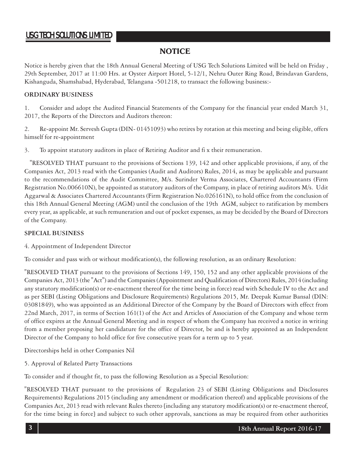# **NOTICE**

Notice is hereby given that the 18th Annual General Meeting of USG Tech Solutions Limited will be held on Friday , 29th September, 2017 at 11:00 Hrs. at Oyster Airport Hotel, 5-12/1, Nehru Outer Ring Road, Brindavan Gardens, Kishanguda, Shamshabad, Hyderabad, Telangana -501218, to transact the following business:-

### **ORDINARY BUSINESS**

1. Consider and adopt the Audited Financial Statements of the Company for the financial year ended March 31, 2017, the Reports of the Directors and Auditors thereon:

2. Re-appoint Mr. Servesh Gupta (DIN- 01451093) who retires by rotation at this meeting and being eligible, offers himself for re-appointment

3. To appoint statutory auditors in place of Retiring Auditor and fi x their remuneration.

 "RESOLVED THAT pursuant to the provisions of Sections 139, 142 and other applicable provisions, if any, of the Companies Act, 2013 read with the Companies (Audit and Auditors) Rules, 2014, as may be applicable and pursuant to the recommendations of the Audit Committee, M/s. Surinder Verma Associates, Chartered Accountants (Firm Registration No.006610N), be appointed as statutory auditors of the Company, in place of retiring auditors M/s. Udit Aggarwal & Associates Chartered Accountants (Firm Registration No.026161N), to hold office from the conclusion of this 18th Annual General Meeting (AGM) until the conclusion of the 19th AGM, subject to ratification by members every year, as applicable, at such remuneration and out of pocket expenses, as may be decided by the Board of Directors of the Company.

### **SPECIAL BUSINESS**

4. Appointment of Independent Director

To consider and pass with or without modification(s), the following resolution, as an ordinary Resolution:

"RESOLVED THAT pursuant to the provisions of Sections 149, 150, 152 and any other applicable provisions of the Companies Act, 2013 (the "Act") and the Companies (Appointment and Qualification of Directors) Rules, 2014 (including any statutory modification(s) or re-enactment thereof for the time being in force) read with Schedule IV to the Act and as per SEBI (Listing Obligations and Disclosure Requirements) Regulations 2015, Mr. Deepak Kumar Bansal (DIN: 03081849), who was appointed as an Additional Director of the Company by the Board of Directors with effect from 22nd March, 2017, in terms of Section 161(1) of the Act and Articles of Association of the Company and whose term of office expires at the Annual General Meeting and in respect of whom the Company has received a notice in writing from a member proposing her candidature for the office of Director, be and is hereby appointed as an Independent Director of the Company to hold office for five consecutive years for a term up to 5 year.

Directorships held in other Companies Nil

5. Approval of Related Party Transactions

To consider and if thought fit, to pass the following Resolution as a Special Resolution:

"RESOLVED THAT pursuant to the provisions of Regulation 23 of SEBI (Listing Obligations and Disclosures Requirements) Regulations 2015 (including any amendment or modification thereof) and applicable provisions of the Companies Act, 2013 read with relevant Rules thereto [including any statutory modification(s) or re-enactment thereof, for the time being in force] and subject to such other approvals, sanctions as may be required from other authorities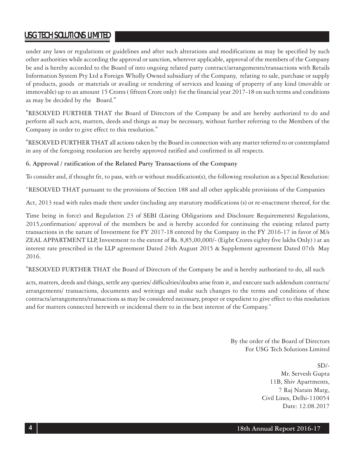under any laws or regulations or guidelines and after such alterations and modifications as may be specified by such other authorities while according the approval or sanction, wherever applicable, approval of the members of the Company be and is hereby accorded to the Board of into ongoing related party contract/arrangements/transactions with Retails Information System Pty Ltd a Foreign Wholly Owned subsidiary of the Company, relating to sale, purchase or supply of products, goods or materials or availing or rendering of services and leasing of property of any kind (movable or immovable) up to an amount 15 Crores ( fifteen Crore only) for the financial year 2017-18 on such terms and conditions as may be decided by the Board."

"RESOLVED FURTHER THAT the Board of Directors of the Company be and are hereby authorized to do and perform all such acts, matters, deeds and things as may be necessary, without further referring to the Members of the Company in order to give effect to this resolution."

"RESOLVED FURTHER THAT all actions taken by the Board in connection with any matter referred to or contemplated in any of the foregoing resolution are hereby approved ratified and confirmed in all respects.

# **6. Approval / ratification of the Related Party Transactions of the Company**

To consider and, if thought fit, to pass, with or without modification(s), the following resolution as a Special Resolution:

"RESOLVED THAT pursuant to the provisions of Section 188 and all other applicable provisions of the Companies

Act, 2013 read with rules made there under (including any statutory modifications (s) or re-enactment thereof, for the

Time being in force) and Regulation 23 of SEBI (Listing Obligations and Disclosure Requirements) Regulations, 2015,confirmation/ approval of the members be and is hereby accorded for continuing the existing related party transactions in the nature of Investment for FY 2017-18 entered by the Company in the FY 2016-17 in favor of M/s ZEAL APPARTMENT LLP, Investment to the extent of Rs. 8,85,00,000/- (Eight Crores eighty five lakhs Only) ) at an interest rate prescribed in the LLP agreement Dated 24th August 2015 & Supplement agreement Dated 07th May 2016.

"RESOLVED FURTHER THAT the Board of Directors of the Company be and is hereby authorized to do, all such

acts, matters, deeds and things, settle any queries/ difficulties/doubts arise from it, and execute such addendum contracts/ arrangements/ transactions, documents and writings and make such changes to the terms and conditions of these contracts/arrangements/transactions as may be considered necessary, proper or expedient to give effect to this resolution and for matters connected herewith or incidental there to in the best interest of the Company."

> By the order of the Board of Directors For USG Tech Solutions Limited

> > $SD/-$ Mr. Servesh Gupta 11B, Shiv Apartments, 7 Raj Narain Marg, Civil Lines, Delhi-110054 Date: 12.08.2017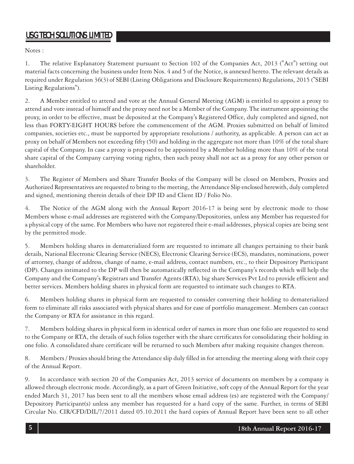Notes :

1. The relative Explanatory Statement pursuant to Section 102 of the Companies Act, 2013 ("Act") setting out material facts concerning the business under Item Nos. 4 and 5 of the Notice, is annexed hereto. The relevant details as required under Regulation 36(3) of SEBI (Listing Obligations and Disclosure Requirements) Regulations, 2015 ("SEBI Listing Regulations").

2. A Member entitled to attend and vote at the Annual General Meeting (AGM) is entitled to appoint a proxy to attend and vote instead of himself and the proxy need not be a Member of the Company. The instrument appointing the proxy, in order to be effective, must be deposited at the Company's Registered Office, duly completed and signed, not less than FORTY-EIGHT HOURS before the commencement of the AGM. Proxies submitted on behalf of limited companies, societies etc., must be supported by appropriate resolutions / authority, as applicable. A person can act as proxy on behalf of Members not exceeding fifty (50) and holding in the aggregate not more than 10% of the total share capital of the Company. In case a proxy is proposed to be appointed by a Member holding more than 10% of the total share capital of the Company carrying voting rights, then such proxy shall not act as a proxy for any other person or shareholder.

3. The Register of Members and Share Transfer Books of the Company will be closed on Members, Proxies and Authorized Representatives are requested to bring to the meeting, the Attendance Slip enclosed herewith, duly completed and signed, mentioning therein details of their DP ID and Client ID / Folio No.

4. The Notice of the AGM along with the Annual Report 2016-17 is being sent by electronic mode to those Members whose e-mail addresses are registered with the Company/Depositories, unless any Member has requested for a physical copy of the same. For Members who have not registered their e-mail addresses, physical copies are being sent by the permitted mode.

5. Members holding shares in dematerialized form are requested to intimate all changes pertaining to their bank details, National Electronic Clearing Service (NECS), Electronic Clearing Service (ECS), mandates, nominations, power of attorney, change of address, change of name, e-mail address, contact numbers, etc., to their Depository Participant (DP). Changes intimated to the DP will then be automatically reflected in the Company's records which will help the Company and the Company's Registrars and Transfer Agents (RTA), big share Services Pvt Ltd to provide efficient and better services. Members holding shares in physical form are requested to intimate such changes to RTA.

6. Members holding shares in physical form are requested to consider converting their holding to dematerialized form to eliminate all risks associated with physical shares and for ease of portfolio management. Members can contact the Company or RTA for assistance in this regard.

7. Members holding shares in physical form in identical order of names in more than one folio are requested to send to the Company or RTA, the details of such folios together with the share certificates for consolidating their holding in one folio. A consolidated share certificate will be returned to such Members after making requisite changes thereon.

8. Members / Proxies should bring the Attendance slip duly filled in for attending the meeting along with their copy of the Annual Report.

9. In accordance with section 20 of the Companies Act, 2013 service of documents on members by a company is allowed through electronic mode. Accordingly, as a part of Green Initiative, soft copy of the Annual Report for the year ended March 31, 2017 has been sent to all the members whose email address (es) are registered with the Company/ Depository Participant(s) unless any member has requested for a hard copy of the same. Further, in terms of SEBI Circular No. CIR/CFD/DIL/7/2011 dated 05.10.2011 the hard copies of Annual Report have been sent to all other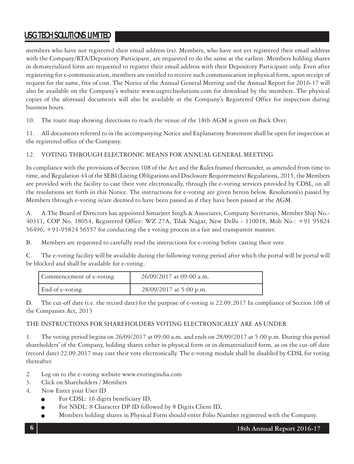members who have not registered their email address (es). Members, who have not yet registered their email address with the Company/RTA/Depository Participant, are requested to do the same at the earliest. Members holding shares in dematerialized form are requested to register their email address with their Depository Participant only. Even after registering for e-communication, members are entitled to receive such communication in physical form, upon receipt of request for the same, free of cost. The Notice of the Annual General Meeting and the Annual Report for 2016-17 will also be available on the Company's website www.usgtechsolutions.com for download by the members. The physical copies of the aforesaid documents will also be available at the Company's Registered Office for inspection during business hours.

10. The route map showing directions to reach the venue of the 18th AGM is given on Back Over.

11. All documents referred to in the accompanying Notice and Explanatory Statement shall be open for inspection at the registered office of the Company.

# 12. VOTING THROUGH ELECTRONIC MEANS FOR ANNUAL GENERAL MEETING

In compliance with the provisions of Section 108 of the Act and the Rules framed thereunder, as amended from time to time, and Regulation 44 of the SEBI (Listing Obligations and Disclosure Requirements) Regulations, 2015, the Members are provided with the facility to cast their vote electronically, through the e-voting services provided by CDSL, on all the resolutions set forth in this Notice. The instructions for e-voting are given herein below. Resolution(s) passed by Members through e-voting is/are deemed to have been passed as if they have been passed at the AGM.

A. A.The Board of Directors has appointed Simarjeet Singh & Associates, Company Secretaries, Member Ship No.- 40311, COP No. 18054, Registered Office: WZ 27A, Tilak Nagar, New Delhi - 110018, Mob No.: +91 95824 56496, +91-95824 56557 for conducting the e voting process in a fair and transparent manner.

B. Members are requested to carefully read the instructions for e-voting before casting their vote.

C. The e-voting facility will be available during the following voting period after which the portal will be portal will be blocked and shall be available for e-voting.

| Commencement of e-voting | 26/09/2017 at 09:00 a.m. |
|--------------------------|--------------------------|
| End of e-voting          | 28/09/2017 at 5:00 p.m.  |

D. The cut-off date (i.e. the record date) for the purpose of e-voting is 22.09.2017 In compliance of Section 108 of the Companies Act, 2013

# THE INSTRUCTIONS FOR SHAREHOLDERS VOTING ELECTRONICALLY ARE AS UNDER

1. The voting period begins on 26/09/2017 at 09:00 a.m. and ends on 28/09/2017 at 5:00 p.m. During this period shareholders' of the Company, holding shares either in physical form or in dematerialized form, as on the cut-off date (record date) 22.09.2017 may cast their vote electronically. The e-voting module shall be disabled by CDSL for voting thereafter.

- 2. Log on to the e-voting website www.evotingindia.com
- 3. Click on Shareholders / Members
- 4. Now Enter your User ID
	- For CDSL: 16 digits beneficiary ID,
	- For NSDL: 8 Character DP ID followed by 8 Digits Client ID,
	- Members holding shares in Physical Form should enter Folio Number registered with the Company.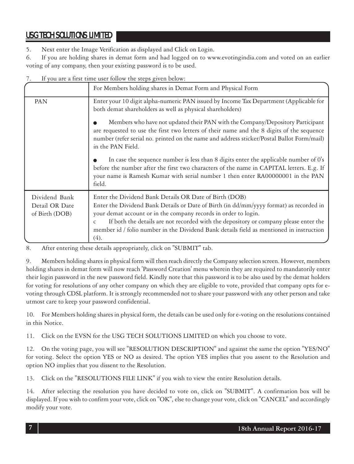5. Next enter the Image Verification as displayed and Click on Login.

6. If you are holding shares in demat form and had logged on to www.evotingindia.com and voted on an earlier voting of any company, then your existing password is to be used.

| If you are a first time user follow the steps given below: |                                                                                                                                                                                                                                                                                                                                                                                                                                |  |
|------------------------------------------------------------|--------------------------------------------------------------------------------------------------------------------------------------------------------------------------------------------------------------------------------------------------------------------------------------------------------------------------------------------------------------------------------------------------------------------------------|--|
|                                                            | For Members holding shares in Demat Form and Physical Form                                                                                                                                                                                                                                                                                                                                                                     |  |
| PAN                                                        | Enter your 10 digit alpha-numeric PAN issued by Income Tax Department (Applicable for<br>both demat shareholders as well as physical shareholders)                                                                                                                                                                                                                                                                             |  |
|                                                            | Members who have not updated their PAN with the Company/Depository Participant<br>are requested to use the first two letters of their name and the 8 digits of the sequence<br>number (refer serial no. printed on the name and address sticker/Postal Ballot Form/mail)<br>in the PAN Field.                                                                                                                                  |  |
|                                                            | In case the sequence number is less than 8 digits enter the applicable number of 0's<br>before the number after the first two characters of the name in CAPITAL letters. E.g. If<br>your name is Ramesh Kumar with serial number 1 then enter RA00000001 in the PAN<br>field.                                                                                                                                                  |  |
| Dividend Bank<br>Detail OR Date<br>of Birth (DOB)          | Enter the Dividend Bank Details OR Date of Birth (DOB)<br>Enter the Dividend Bank Details or Date of Birth (in dd/mm/yyyy format) as recorded in<br>your demat account or in the company records in order to login.<br>If both the details are not recorded with the depository or company please enter the<br>$\mathsf{C}$<br>member id / folio number in the Dividend Bank details field as mentioned in instruction<br>(4). |  |

7. If you are a first time user follow the steps given below:

8. After entering these details appropriately, click on "SUBMIT" tab.

9. Members holding shares in physical form will then reach directly the Company selection screen. However, members holding shares in demat form will now reach 'Password Creation' menu wherein they are required to mandatorily enter their login password in the new password field. Kindly note that this password is to be also used by the demat holders for voting for resolutions of any other company on which they are eligible to vote, provided that company opts for evoting through CDSL platform. It is strongly recommended not to share your password with any other person and take utmost care to keep your password confidential.

10. For Members holding shares in physical form, the details can be used only for e-voting on the resolutions contained in this Notice.

11. Click on the EVSN for the USG TECH SOLUTIONS LIMITED on which you choose to vote.

12. On the voting page, you will see "RESOLUTION DESCRIPTION" and against the same the option "YES/NO" for voting. Select the option YES or NO as desired. The option YES implies that you assent to the Resolution and option NO implies that you dissent to the Resolution.

13. Click on the "RESOLUTIONS FILE LINK" if you wish to view the entire Resolution details.

14. After selecting the resolution you have decided to vote on, click on "SUBMIT". A confirmation box will be displayed. If you wish to confirm your vote, click on "OK", else to change your vote, click on "CANCEL" and accordingly modify your vote.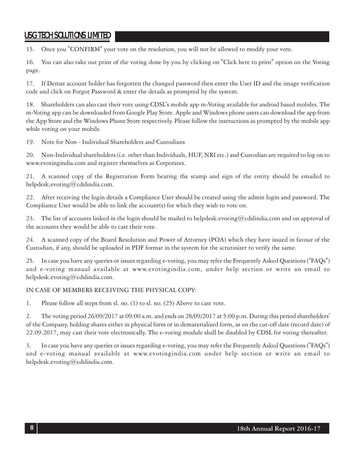15. Once you "CONFIRM" your vote on the resolution, you will not be allowed to modify your vote.

16. You can also take out print of the voting done by you by clicking on "Click here to print" option on the Voting page.

17. If Demat account holder has forgotten the changed password then enter the User ID and the image verification code and click on Forgot Password & enter the details as prompted by the system.

18. Shareholders can also cast their vote using CDSL's mobile app m-Voting available for android based mobiles. The m-Voting app can be downloaded from Google Play Store. Apple and Windows phone users can download the app from the App Store and the Windows Phone Store respectively. Please follow the instructions as prompted by the mobile app while voting on your mobile.

19. Note for Non - Individual Shareholders and Custodians

20. Non-Individual shareholders (i.e. other than Individuals, HUF, NRI etc.) and Custodian are required to log on to www.evotingindia.com and register themselves as Corporates.

21. A scanned copy of the Registration Form bearing the stamp and sign of the entity should be emailed to helpdesk.evoting@cdslindia.com.

22. After receiving the login details a Compliance User should be created using the admin login and password. The Compliance User would be able to link the account(s) for which they wish to vote on.

23. The list of accounts linked in the login should be mailed to helpdesk.evoting@cdslindia.com and on approval of the accounts they would be able to cast their vote.

24. A scanned copy of the Board Resolution and Power of Attorney (POA) which they have issued in favour of the Custodian, if any, should be uploaded in PDF format in the system for the scrutinizer to verify the same.

25. In case you have any queries or issues regarding e-voting, you may refer the Frequently Asked Questions ("FAQs") and e-voting manual available at www.evotingindia.com, under help section or write an email to helpdesk.evoting@cdslindia.com.

# IN CASE OF MEMBERS RECEIVING THE PHYSICAL COPY:

1. Please follow all steps from sl. no. (1) to sl. no. (25) Above to cast vote.

2. The voting period 26/09/2017 at 09:00 a.m. and ends on 28/09/2017 at 5:00 p.m. During this period shareholders' of the Company, holding shares either in physical form or in dematerialized form, as on the cut-off date (record date) of 22.09.2017, may cast their vote electronically. The e-voting module shall be disabled by CDSL for voting thereafter.

3. In case you have any queries or issues regarding e-voting, you may refer the Frequently Asked Questions ("FAQs") and e-voting manual available at www.evotingindia.com under help section or write an email to helpdesk.evoting@cdslindia.com.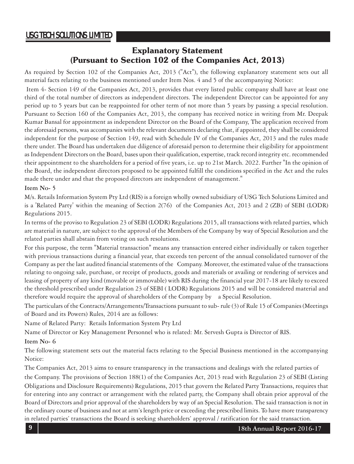# **Explanatory Statement (Pursuant to Section 102 of the Companies Act, 2013)**

As required by Section 102 of the Companies Act, 2013 ("Act"), the following explanatory statement sets out all material facts relating to the business mentioned under Item Nos. 4 and 5 of the accompanying Notice:

 Item 4- Section 149 of the Companies Act, 2013, provides that every listed public company shall have at least one third of the total number of directors as independent directors. The independent Director can be appointed for any period up to 5 years but can be reappointed for other term of not more than 5 years by passing a special resolution. Pursuant to Section 160 of the Companies Act, 2013, the company has received notice in writing from Mr. Deepak Kumar Bansal for appointment as independent Director on the Board of the Company, The application received from the aforesaid persons, was accompanies with the relevant documents declaring that, if appointed, they shall be considered independent for the purpose of Section 149, read with Schedule IV of the Companies Act, 2013 and the rules made there under. The Board has undertaken due diligence of aforesaid person to determine their eligibility for appointment as Independent Directors on the Board, bases upon their qualification, expertise, track record integrity etc. recommended their appointment to the shareholders for a period of five years, i.e. up to 21st March. 2022. Further "In the opinion of the Board, the independent directors proposed to be appointed fulfill the conditions specified in the Act and the rules made there under and that the proposed directors are independent of management."

### **Item No- 5**

M/s. Retails Information System Pty Ltd (RIS) is a foreign wholly owned subsidiary of USG Tech Solutions Limited and is a 'Related Party' within the meaning of Section 2(76) of the Companies Act, 2013 and 2 (ZB) of SEBI (LODR) Regulations 2015.

In terms of the proviso to Regulation 23 of SEBI (LODR) Regulations 2015, all transactions with related parties, which are material in nature, are subject to the approval of the Members of the Company by way of Special Resolution and the related parties shall abstain from voting on such resolutions.

For this purpose, the term "Material transaction" means any transaction entered either individually or taken together with previous transactions during a financial year, that exceeds ten percent of the annual consolidated turnover of the Company as per the last audited financial statements of the Company. Moreover, the estimated value of the transactions relating to ongoing sale, purchase, or receipt of products, goods and materials or availing or rendering of services and leasing of property of any kind (movable or immovable) with RIS during the financial year 2017-18 are likely to exceed the threshold prescribed under Regulation 23 of SEBI ( LODR) Regulations 2015 and will be considered material and therefore would require the approval of shareholders of the Company by a Special Resolution.

The particulars of the Contracts/Arrangements/Transactions pursuant to sub- rule (3) of Rule 15 of Companies (Meetings of Board and its Powers) Rules, 2014 are as follows:

Name of Related Party: Retails Information System Pty Ltd

Name of Director or Key Management Personnel who is related: Mr. Servesh Gupta is Director of RIS.

### **Item No- 6**

The following statement sets out the material facts relating to the Special Business mentioned in the accompanying Notice:

The Companies Act, 2013 aims to ensure transparency in the transactions and dealings with the related parties of the Company. The provisions of Section 188(1) of the Companies Act, 2013 read with Regulation 23 of SEBI (Listing Obligations and Disclosure Requirements) Regulations, 2015 that govern the Related Party Transactions, requires that for entering into any contract or arrangement with the related party, the Company shall obtain prior approval of the Board of Directors and prior approval of the shareholders by way of an Special Resolution. The said transaction is not in the ordinary course of business and not at arm's length price or exceeding the prescribed limits. To have more transparency in related parties' transactions the Board is seeking shareholders' approval / ratification for the said transaction.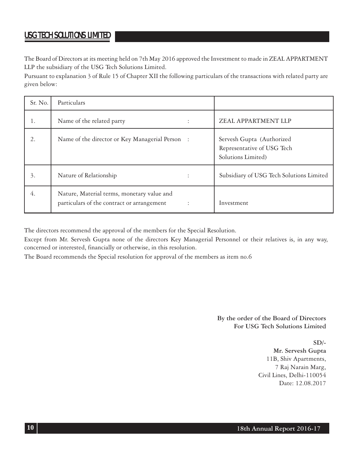The Board of Directors at its meeting held on 7th May 2016 approved the Investment to made in ZEAL APPARTMENT LLP the subsidiary of the USG Tech Solutions Limited.

Pursuant to explanation 3 of Rule 15 of Chapter XII the following particulars of the transactions with related party are given below:

| Sr. No. | Particulars                                                                              |                                                                               |
|---------|------------------------------------------------------------------------------------------|-------------------------------------------------------------------------------|
| 1.      | Name of the related party                                                                | ZEAL APPARTMENT LLP                                                           |
| 2.      | Name of the director or Key Managerial Person :                                          | Servesh Gupta (Authorized<br>Representative of USG Tech<br>Solutions Limited) |
| 3.      | Nature of Relationship                                                                   | Subsidiary of USG Tech Solutions Limited                                      |
| 4.      | Nature, Material terms, monetary value and<br>particulars of the contract or arrangement | Investment                                                                    |

The directors recommend the approval of the members for the Special Resolution.

Except from Mr. Servesh Gupta none of the directors Key Managerial Personnel or their relatives is, in any way, concerned or interested, financially or otherwise, in this resolution.

The Board recommends the Special resolution for approval of the members as item no.6

**By the order of the Board of Directors For USG Tech Solutions Limited**

> **SD/- Mr. Servesh Gupta** 11B, Shiv Apartments, 7 Raj Narain Marg, Civil Lines, Delhi-110054 Date: 12.08.2017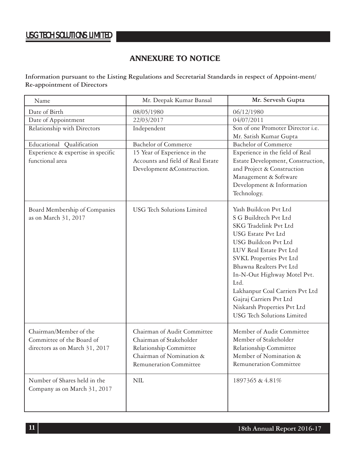# **ANNEXURE TO NOTICE**

**Information pursuant to the Listing Regulations and Secretarial Standards in respect of Appoint-ment/ Re-appointment of Directors**

| Name                               | Mr. Deepak Kumar Bansal           | Mr. Servesh Gupta                 |
|------------------------------------|-----------------------------------|-----------------------------------|
| Date of Birth                      | 08/05/1980                        | 06/12/1980                        |
| Date of Appointment                | 22/03/2017                        | 04/07/2011                        |
| Relationship with Directors        | Independent                       | Son of one Promoter Director i.e. |
|                                    |                                   | Mr. Satish Kumar Gupta            |
| Educational Qualification          | <b>Bachelor</b> of Commerce       | <b>Bachelor of Commerce</b>       |
| Experience & expertise in specific | 15 Year of Experience in the      | Experience in the field of Real   |
| functional area                    | Accounts and field of Real Estate | Estate Development, Construction, |
|                                    | Development &Construction.        | and Project & Construction        |
|                                    |                                   | Management & Software             |
|                                    |                                   | Development & Information         |
|                                    |                                   | Technology.                       |
| Board Membership of Companies      | <b>USG</b> Tech Solutions Limited | Yash Buildcon Pvt Ltd             |
| as on March 31, 2017               |                                   | S G Buildtech Pvt Ltd             |
|                                    |                                   | SKG Tradelink Pvt Ltd             |
|                                    |                                   | USG Estate Pvt Ltd                |
|                                    |                                   | USG Buildcon Pvt Ltd              |
|                                    |                                   | LUV Real Estate Pvt Ltd           |
|                                    |                                   | SVKL Properties Pvt Ltd           |
|                                    |                                   | Bhawna Realters Pvt Ltd           |
|                                    |                                   | In-N-Out Highway Motel Pvt.       |
|                                    |                                   | Ltd.                              |
|                                    |                                   | Lakhanpur Coal Carriers Pvt Ltd   |
|                                    |                                   | Gajraj Carriers Pvt Ltd           |
|                                    |                                   | Niskarsh Properties Pvt Ltd       |
|                                    |                                   | <b>USG</b> Tech Solutions Limited |
|                                    |                                   |                                   |
| Chairman/Member of the             | Chairman of Audit Committee       | Member of Audit Committee         |
| Committee of the Board of          | Chairman of Stakeholder           | Member of Stakeholder             |
| directors as on March 31, 2017     | Relationship Committee            | Relationship Committee            |
|                                    | Chairman of Nomination &          | Member of Nomination &            |
|                                    | <b>Remuneration Committee</b>     | <b>Remuneration Committee</b>     |
| Number of Shares held in the       | NIL                               | 1897365 & 4.81%                   |
| Company as on March 31, 2017       |                                   |                                   |
|                                    |                                   |                                   |
|                                    |                                   |                                   |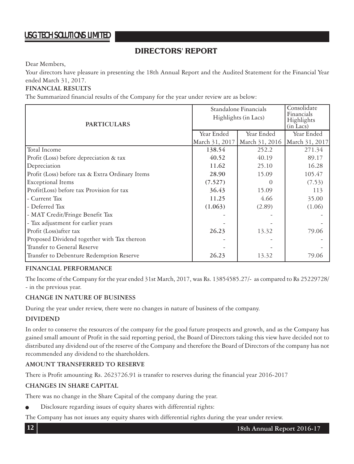# **DIRECTORS' REPORT**

Dear Members,

Your directors have pleasure in presenting the 18th Annual Report and the Audited Statement for the Financial Year ended March 31, 2017.

# **FINANCIAL RESULTS**

The Summarized financial results of the Company for the year under review are as below:

| <b>PARTICULARS</b>                              | Standalone Financials<br>Highlights (in Lacs) |                | Consolidate<br>Financials<br>Highlights<br>$(in$ Lacs $)$ |
|-------------------------------------------------|-----------------------------------------------|----------------|-----------------------------------------------------------|
|                                                 | Year Ended                                    | Year Ended     | Year Ended                                                |
|                                                 | March 31, 2017                                | March 31, 2016 | March 31, 2017                                            |
| Total Income                                    | 138.54                                        | 252.2          | 271.34                                                    |
| Profit (Loss) before depreciation & tax         | 40.52                                         | 40.19          | 89.17                                                     |
| Depreciation                                    | 11.62                                         | 25.10          | 16.28                                                     |
| Profit (Loss) before tax & Extra Ordinary Items | 28.90                                         | 15.09          | 105.47                                                    |
| <b>Exceptional Items</b>                        | (7.527)                                       |                | (7.53)                                                    |
| Profit(Loss) before tax Provision for tax       | 36.43                                         | 15.09          | 113                                                       |
| - Current Tax                                   | 11.25                                         | 4.66           | 35.00                                                     |
| - Deferred Tax                                  | (1.063)                                       | (2.89)         | (1.06)                                                    |
| - MAT Credit/Fringe Benefit Tax                 |                                               |                |                                                           |
| - Tax adjustment for earlier years              |                                               |                |                                                           |
| Profit (Loss)after tax                          | 26.23                                         | 13.32          | 79.06                                                     |
| Proposed Dividend together with Tax thereon     |                                               |                |                                                           |
| Transfer to General Reserve                     |                                               |                |                                                           |
| Transfer to Debenture Redemption Reserve        | 26.23                                         | 13.32          | 79.06                                                     |

### **FINANCIAL PERFORMANCE**

The Income of the Company for the year ended 31st March, 2017, was Rs. 13854585.27/- as compared to Rs 25229728/ - in the previous year.

### **CHANGE IN NATURE OF BUSINESS**

During the year under review, there were no changes in nature of business of the company.

# **DIVIDEND**

In order to conserve the resources of the company for the good future prospects and growth, and as the Company has gained small amount of Profit in the said reporting period, the Board of Directors taking this view have decided not to distributed any dividend out of the reserve of the Company and therefore the Board of Directors of the company has not recommended any dividend to the shareholders.

# **AMOUNT TRANSFERRED TO RESERVE**

There is Profit amounting Rs. 2623726.91 is transfer to reserves during the financial year 2016-2017

# **CHANGES IN SHARE CAPITAL**

There was no change in the Share Capital of the company during the year.

Disclosure regarding issues of equity shares with differential rights:

The Company has not issues any equity shares with differential rights during the year under review.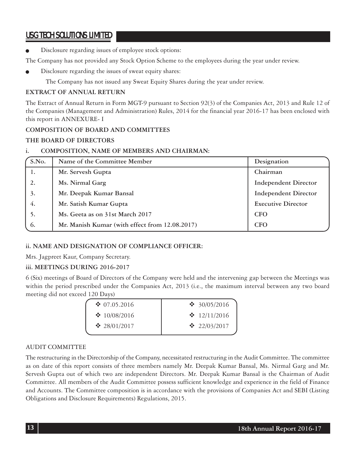Disclosure regarding issues of employee stock options:

The Company has not provided any Stock Option Scheme to the employees during the year under review.

Disclosure regarding the issues of sweat equity shares:

The Company has not issued any Sweat Equity Shares during the year under review.

### **EXTRACT OF ANNUAL RETURN**

The Extract of Annual Return in Form MGT-9 pursuant to Section 92(3) of the Companies Act, 2013 and Rule 12 of the Companies (Management and Administration) Rules, 2014 for the financial year 2016-17 has been enclosed with this report in ANNEXURE- I

### **COMPOSITION OF BOARD AND COMMITTEES**

### **THE BOARD OF DIRECTORS**

### **i. COMPOSITION, NAME OF MEMBERS AND CHAIRMAN:**

| S.No. | Name of the Committee Member                   | Designation                 |
|-------|------------------------------------------------|-----------------------------|
|       | Mr. Servesh Gupta                              | Chairman                    |
| 2.    | Ms. Nirmal Garg                                | <b>Independent Director</b> |
| 3.    | Mr. Deepak Kumar Bansal                        | <b>Independent Director</b> |
| 4.    | Mr. Satish Kumar Gupta                         | <b>Executive Director</b>   |
| 5.    | Ms. Geeta as on 31st March 2017                | <b>CFO</b>                  |
| 6.    | Mr. Manish Kumar (with effect from 12.08.2017) | <b>CFO</b>                  |

# **ii. NAME AND DESIGNATION OF COMPLIANCE OFFICER:**

Mrs. Jagpreet Kaur, Company Secretary.

# **iii. MEETINGS DURING 2016-2017**

6 (Six) meetings of Board of Directors of the Company were held and the intervening gap between the Meetings was within the period prescribed under the Companies Act, 2013 (i.e., the maximum interval between any two board meeting did not exceed 120 Days)

| $\div$ 07.05.2016  | ❖ 30/05/2016             |
|--------------------|--------------------------|
| $\cdot$ 10/08/2016 | $\div$ 12/11/2016        |
| $\div$ 28/01/2017  | $\cdot \cdot 22/03/2017$ |
|                    |                          |

# AUDIT COMMITTEE

The restructuring in the Directorship of the Company, necessitated restructuring in the Audit Committee. The committee as on date of this report consists of three members namely Mr. Deepak Kumar Bansal, Ms. Nirmal Garg and Mr. Servesh Gupta out of which two are independent Directors. Mr. Deepak Kumar Bansal is the Chairman of Audit Committee. All members of the Audit Committee possess sufficient knowledge and experience in the field of Finance and Accounts. The Committee composition is in accordance with the provisions of Companies Act and SEBI (Listing Obligations and Disclosure Requirements) Regulations, 2015.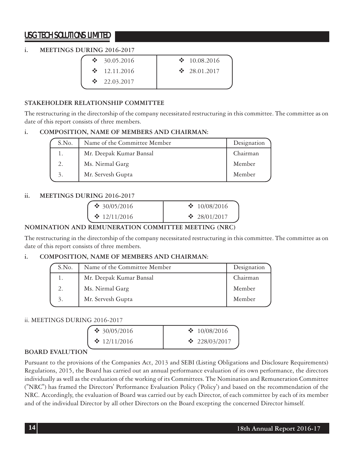# **i. MEETINGS DURING 2016-2017**

| $\cdot$ 30.05.2016 | $\cdot$ 10.08.2016 |
|--------------------|--------------------|
| $\cdot$ 12.11.2016 | $\cdot$ 28.01.2017 |
| $\cdot$ 22.03.2017 |                    |

# **STAKEHOLDER RELATIONSHIP COMMITTEE**

The restructuring in the directorship of the company necessitated restructuring in this committee. The committee as on date of this report consists of three members.

### **i. COMPOSITION, NAME OF MEMBERS AND CHAIRMAN:**

| S.No. | Name of the Committee Member | Designation |
|-------|------------------------------|-------------|
|       | Mr. Deepak Kumar Bansal      | Chairman    |
| 2.    | Ms. Nirmal Garg              | Member      |
| 3.    | Mr. Servesh Gupta            | Member      |

# **ii. MEETINGS DURING 2016-2017**

| $\div$ 30/05/2016 | $\cdot$ 10/08/2016 |
|-------------------|--------------------|
| $\div$ 12/11/2016 | $\cdot$ 28/01/2017 |

# **NOMINATION AND REMUNERATION COMMITTEE MEETING (NRC)**

The restructuring in the directorship of the company necessitated restructuring in this committee. The committee as on date of this report consists of three members.

### **i. COMPOSITION, NAME OF MEMBERS AND CHAIRMAN:**

| S.No. | Name of the Committee Member | Designation |
|-------|------------------------------|-------------|
|       | Mr. Deepak Kumar Bansal      | Chairman    |
|       | Ms. Nirmal Garg              | Member      |
| 3.    | Mr. Servesh Gupta            | Member      |

# ii. MEETINGS DURING 2016-2017

| ❖ 30/05/2016      | $\cdot$ 10/08/2016  |
|-------------------|---------------------|
| $\div$ 12/11/2016 | $\cdot$ 228/03/2017 |

# **BOARD EVALUTION**

Pursuant to the provisions of the Companies Act, 2013 and SEBI (Listing Obligations and Disclosure Requirements) Regulations, 2015, the Board has carried out an annual performance evaluation of its own performance, the directors individually as well as the evaluation of the working of its Committees. The Nomination and Remuneration Committee ("NRC") has framed the Directors' Performance Evaluation Policy ('Policy') and based on the recommendation of the NRC. Accordingly, the evaluation of Board was carried out by each Director, of each committee by each of its member and of the individual Director by all other Directors on the Board excepting the concerned Director himself.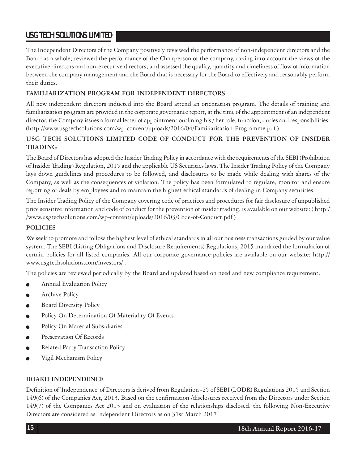The Independent Directors of the Company positively reviewed the performance of non-independent directors and the Board as a whole; reviewed the performance of the Chairperson of the company, taking into account the views of the executive directors and non-executive directors; and assessed the quality, quantity and timeliness of flow of information between the company management and the Board that is necessary for the Board to effectively and reasonably perform their duties.

# **FAMILIARIZATION PROGRAM FOR INDEPENDENT DIRECTORS**

All new independent directors inducted into the Board attend an orientation program. The details of training and familiarization program are provided in the corporate governance report, at the time of the appointment of an independent director, the Company issues a formal letter of appointment outlining his / her role, function, duties and responsibilities. (http://www.usgtechsolutions.com/wp-content/uploads/2016/04/Familiarisation-Programme.pdf )

# **USG TECH SOLUTIONS LIMITED CODE OF CONDUCT FOR THE PREVENTION OF INSIDER TRADING**

The Board of Directors has adopted the Insider Trading Policy in accordance with the requirements of the SEBI (Prohibition of Insider Trading) Regulation, 2015 and the applicable US Securities laws. The Insider Trading Policy of the Company lays down guidelines and procedures to be followed, and disclosures to be made while dealing with shares of the Company, as well as the consequences of violation. The policy has been formulated to regulate, monitor and ensure reporting of deals by employees and to maintain the highest ethical standards of dealing in Company securities.

The Insider Trading Policy of the Company covering code of practices and procedures for fair disclosure of unpublished price sensitive information and code of conduct for the prevention of insider trading, is available on our website: ( http:/ /www.usgtechsolutions.com/wp-content/uploads/2016/03/Code-of-Conduct.pdf )

# **POLICIES**

We seek to promote and follow the highest level of ethical standards in all our business transactions guided by our value system. The SEBI (Listing Obligations and Disclosure Requirements) Regulations, 2015 mandated the formulation of certain policies for all listed companies. All our corporate governance policies are available on our website: http:// www.usgtechsolutions.com/investors/ .

The policies are reviewed periodically by the Board and updated based on need and new compliance requirement.

- Annual Evaluation Policy
- Archive Policy
- Board Diversity Policy
- Policy On Determination Of Materiality Of Events
- Policy On Material Subsidiaries
- Preservation Of Records
- Related Party Transaction Policy
- Vigil Mechanism Policy

### **BOARD INDEPENDENCE**

Definition of 'Independence' of Directors is derived from Regulation -25 of SEBI (LODR) Regulations 2015 and Section 149(6) of the Companies Act, 2013. Based on the confirmation /disclosures received from the Directors under Section 149(7) of the Companies Act 2013 and on evaluation of the relationships disclosed. the following Non-Executive Directors are considered as Independent Directors as on 31st March 2017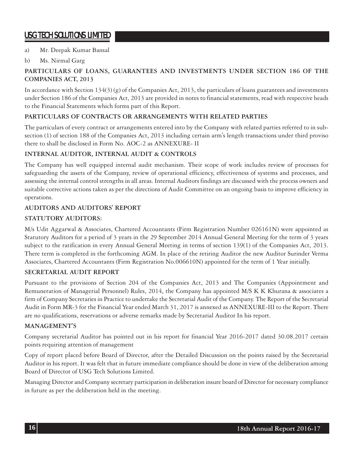# a) Mr. Deepak Kumar Bansal

# b) Ms. Nirmal Garg

# **PARTICULARS OF LOANS, GUARANTEES AND INVESTMENTS UNDER SECTION 186 OF THE COMPANIES ACT, 2013**

In accordance with Section 134(3) (g) of the Companies Act, 2013, the particulars of loans guarantees and investments under Section 186 of the Companies Act, 2013 are provided in notes to financial statements, read with respective heads to the Financial Statements which forms part of this Report.

# **PARTICULARS OF CONTRACTS OR ARRANGEMENTS WITH RELATED PARTIES**

The particulars of every contract or arrangements entered into by the Company with related parties referred to in subsection (1) of section 188 of the Companies Act, 2013 including certain arm's length transactions under third proviso there to shall be disclosed in Form No. AOC-2 as ANNEXURE- II

# **INTERNAL AUDITOR, INTERNAL AUDIT & CONTROLS**

The Company has well equipped internal audit mechanism. Their scope of work includes review of processes for safeguarding the assets of the Company, review of operational efficiency, effectiveness of systems and processes, and assessing the internal control strengths in all areas. Internal Auditors findings are discussed with the process owners and suitable corrective actions taken as per the directions of Audit Committee on an ongoing basis to improve efficiency in operations.

# **AUDITORS AND AUDITORS' REPORT**

# **STATUTORY AUDITORS:**

M/s Udit Aggarwal & Associates, Chartered Accountants (Firm Registration Number 026161N) were appointed as Statutory Auditors for a period of 3 years in the 29 September 2014 Annual General Meeting for the term of 3 years subject to the ratification in every Annual General Meeting in terms of section 139(1) of the Companies Act, 2013. There term is completed in the forthcoming AGM. In place of the retiring Auditor the new Auditor Surinder Verma Associates, Chartered Accountants (Firm Registration No.006610N) appointed for the term of 1 Year initially.

# **SECRETARIAL AUDIT REPORT**

Pursuant to the provisions of Section 204 of the Companies Act, 2013 and The Companies (Appointment and Remuneration of Managerial Personnel) Rules, 2014, the Company has appointed M/S K K Khurana & associates a firm of Company Secretaries in Practice to undertake the Secretarial Audit of the Company. The Report of the Secretarial Audit in Form MR-3 for the Financial Year ended March 31, 2017 is annexed as ANNEXURE-III to the Report. There are no qualifications, reservations or adverse remarks made by Secretarial Auditor In his report.

# **MANAGEMENT'S**

Company secretarial Auditor has pointed out in his report for financial Year 2016-2017 dated 30.08.2017 certain points requiring attention of management

Copy of report placed before Board of Director, after the Detailed Discussion on the points raised by the Secretarial Auditor in his report. It was felt that in future immediate compliance should be done in view of the deliberation among Board of Director of USG Tech Solutions Limited.

Managing Director and Company secretary participation in deliberation insure board of Director for necessary compliance in future as per the deliberation held in the meeting.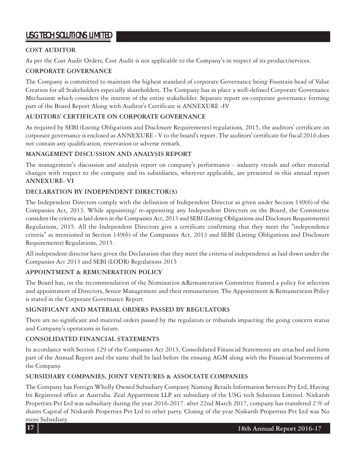# **COST AUDITOR**

As per the Cost Audit Orders, Cost Audit is not applicable to the Company's in respect of its product/services.

# **CORPORATE GOVERNANCE**

The Company is committed to maintain the highest standard of corporate Governance being Fountain head of Value Creation for all Stakeholders especially shareholders. The Company has in place a well-defined Corporate Governance Mechanism which considers the interest of the entire stakeholder. Separate report on corporate governance forming part of the Board Report Along with Auditor's Certificate is ANNEXURE -IV

# **AUDITORS' CERTIFICATE ON CORPORATE GOVERNANCE**

As required by SEBI (Listing Obligations and Disclosure Requirements) regulations, 2015, the auditors' certificate on corporate governance is enclosed as ANNEXURE - V to the board's report. The auditors' certificate for fiscal 2016 does not contain any qualification, reservation or adverse remark.

# **MANAGEMENT DISCUSSION AND ANALYSIS REPORT**

The management's discussion and analysis report on company's performance - industry trends and other material changes with respect to the company and its subsidiaries, wherever applicable, are presented in this annual report **ANNEXURE- VI**

# **DECLARATION BY INDEPENDENT DIRECTOR(S)**

The Independent Directors comply with the definition of Independent Director as given under Section 149(6) of the Companies Act, 2013. While appointing/ re-appointing any Independent Directors on the Board, the Committee considers the criteria as laid down in the Companies Act, 2013 and SEBI (Listing Obligations and Disclosure Requirements) Regulations, 2015. All the Independent Directors give a certificate confirming that they meet the "independence criteria" as mentioned in Section 149(6) of the Companies Act, 2013 and SEBI (Listing Obligations and Disclosure Requirements) Regulations, 2015.

All independent director have given the Declaration that they meet the criteria of independence as laid down under the Companies Act 2013 and SEBI (LODR) Regulations 2015

# **APPOINTMENT & REMUNERATION POLICY**

The Board has, on the recommendation of the Nomination &Remuneration Committee framed a policy for selection and appointment of Directors, Senior Management and their remuneration. The Appointment & Remuneration Policy is stated in the Corporate Governance Report.

# **SIGNIFICANT AND MATERIAL ORDERS PASSED BY REGULATORS**

There are no significant and material orders passed by the regulators or tribunals impacting the going concern status and Company's operations in future.

# **CONSOLIDATED FINANCIAL STATEMENTS**

In accordance with Section 129 of the Companies Act 2013, Consolidated Financial Statements are attached and form part of the Annual Report and the same shall be laid before the ensuing AGM along with the Financial Statements of the Company.

# **SUBSIDIARY COMPANIES, JOINT VENTURES & ASSOCIATE COMPANIES**

The Company has Foreign Wholly Owned Subsidiary Company Naming Retails Information Services Pty Ltd, Having Its Registered office at Australia. Zeal Appartment LLP are subsidiary of the USG tech Solutions Limited. Niskarsh Properties Pvt Ltd was subsidiary during the year 2016-2017. after 22nd March 2017, company has transfered 2 % of shares Capital of Niskarsh Properties Pvt Ltd to other party. Closing of the year Niskarsh Properties Pvt Ltd was No more Subsidiary.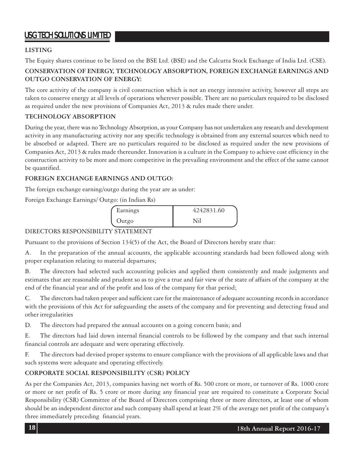# **LISTING**

The Equity shares continue to be listed on the BSE Ltd. (BSE) and the Calcutta Stock Exchange of India Ltd. (CSE).

# **CONSERVATION OF ENERGY, TECHNOLOGY ABSORPTION, FOREIGN EXCHANGE EARNINGS AND OUTGO CONSERVATION OF ENERGY:**

The core activity of the company is civil construction which is not an energy intensive activity, however all steps are taken to conserve energy at all levels of operations wherever possible. There are no particulars required to be disclosed as required under the new provisions of Companies Act, 2013 & rules made there under.

# **TECHNOLOGY ABSORPTION**

During the year, there was no Technology Absorption, as your Company has not undertaken any research and development activity in any manufacturing activity nor any specific technology is obtained from any external sources which need to be absorbed or adapted. There are no particulars required to be disclosed as required under the new provisions of Companies Act, 2013 & rules made thereunder. Innovation is a culture in the Company to achieve cost efficiency in the construction activity to be more and more competitive in the prevailing environment and the effect of the same cannot be quantified.

# **FOREIGN EXCHANGE EARNINGS AND OUTGO:**

The foreign exchange earning/outgo during the year are as under:

Foreign Exchange Earnings/ Outgo: (in Indian Rs)

| Earnings | 4242831.60 |  |
|----------|------------|--|
| Outgo    | Nil        |  |

# DIRECTORS RESPONSIBILITY STATEMENT

Pursuant to the provisions of Section 134(5) of the Act, the Board of Directors hereby state that:

A. In the preparation of the annual accounts, the applicable accounting standards had been followed along with proper explanation relating to material departures;

B. The directors had selected such accounting policies and applied them consistently and made judgments and estimates that are reasonable and prudent so as to give a true and fair view of the state of affairs of the company at the end of the financial year and of the profit and loss of the company for that period;

C. The directors had taken proper and sufficient care for the maintenance of adequate accounting records in accordance with the provisions of this Act for safeguarding the assets of the company and for preventing and detecting fraud and other irregularities

D. The directors had prepared the annual accounts on a going concern basis; and

E. The directors had laid down internal financial controls to be followed by the company and that such internal financial controls are adequate and were operating effectively.

F. The directors had devised proper systems to ensure compliance with the provisions of all applicable laws and that such systems were adequate and operating effectively.

# **CORPORATE SOCIAL RESPONSIBILITY (CSR) POLICY**

As per the Companies Act, 2013, companies having net worth of Rs. 500 crore or more, or turnover of Rs. 1000 crore or more or net profit of Rs. 5 crore or more during any financial year are required to constitute a Corporate Social Responsibility (CSR) Committee of the Board of Directors comprising three or more directors, at least one of whom should be an independent director and such company shall spend at least 2% of the average net profit of the company's three immediately preceding financial years.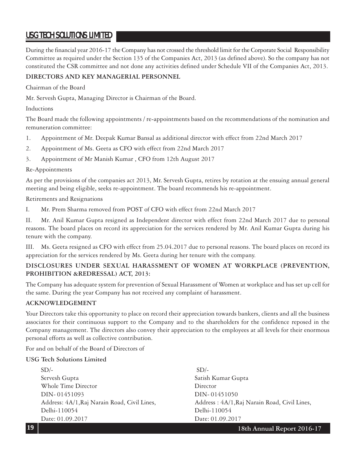During the financial year 2016-17 the Company has not crossed the threshold limit for the Corporate Social Responsibility Committee as required under the Section 135 of the Companies Act, 2013 (as defined above). So the company has not constituted the CSR committee and not done any activities defined under Schedule VII of the Companies Act, 2013.

# **DIRECTORS AND KEY MANAGERIAL PERSONNEL**

Chairman of the Board

Mr. Servesh Gupta, Managing Director is Chairman of the Board.

Inductions

The Board made the following appointments / re-appointments based on the recommendations of the nomination and remuneration committee:

- 1. Appointment of Mr. Deepak Kumar Bansal as additional director with effect from 22nd March 2017
- 2. Appointment of Ms. Geeta as CFO with effect from 22nd March 2017
- 3. Appointment of Mr Manish Kumar , CFO from 12th August 2017

### Re-Appointments

As per the provisions of the companies act 2013, Mr. Servesh Gupta, retires by rotation at the ensuing annual general meeting and being eligible, seeks re-appointment. The board recommends his re-appointment.

Retirements and Resignations

I. Mr. Prem Sharma removed from POST of CFO with effect from 22nd March 2017

II. Mr. Anil Kumar Gupta resigned as Independent director with effect from 22nd March 2017 due to personal reasons. The board places on record its appreciation for the services rendered by Mr. Anil Kumar Gupta during his tenure with the company.

III. Ms. Geeta resigned as CFO with effect from 25.04.2017 due to personal reasons. The board places on record its appreciation for the services rendered by Ms. Geeta during her tenure with the company.

# **DISCLOSURES UNDER SEXUAL HARASSMENT OF WOMEN AT WORKPLACE (PREVENTION, PROHIBITION &REDRESSAL) ACT, 2013:**

The Company has adequate system for prevention of Sexual Harassment of Women at workplace and has set up cell for the same. During the year Company has not received any complaint of harassment.

# **ACKNOWLEDGEMENT**

Your Directors take this opportunity to place on record their appreciation towards bankers, clients and all the business associates for their continuous support to the Company and to the shareholders for the confidence reposed in the Company management. The directors also convey their appreciation to the employees at all levels for their enormous personal efforts as well as collective contribution.

For and on behalf of the Board of Directors of

# **USG Tech Solutions Limited**

 $SD/-$ Servesh Gupta Satish Kumar Gupta Whole Time Director **Director** DIN- 01451093 DIN- 01451050 Address: 4A/1, Raj Narain Road, Civil Lines, Address : 4A/1, Raj Narain Road, Civil Lines, Delhi-110054 Delhi-110054 Date: 01.09.2017 Date: 01.09.2017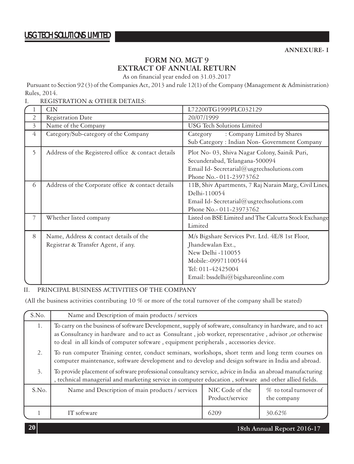# **FORM NO. MGT 9 EXTRACT OF ANNUAL RETURN**

As on financial year ended on 31.03.2017

Pursuant to Section 92 (3) of the Companies Act, 2013 and rule 12(1) of the Company (Management & Administration) Rules, 2014.

I. REGISTRATION & OTHER DETAILS:

|   | <b>CIN</b>                                                                    | L72200TG1999PLC032129                                                                                                                                                       |
|---|-------------------------------------------------------------------------------|-----------------------------------------------------------------------------------------------------------------------------------------------------------------------------|
| 2 | Registration Date                                                             | 20/07/1999                                                                                                                                                                  |
| 3 | Name of the Company                                                           | <b>USG</b> Tech Solutions Limited                                                                                                                                           |
| 4 | Category/Sub-category of the Company                                          | : Company Limited by Shares<br>Category<br>Sub Category: Indian Non- Government Company                                                                                     |
| 5 | Address of the Registered office & contact details                            | Plot No- 03, Shiva Nagar Colony, Sainik Puri,<br>Secunderabad, Telangana-500094<br>Email Id-Secretarial@usgtechsolutions.com<br>Phone No.- 011-23973762                     |
| 6 | Address of the Corporate office & contact details                             | 11B, Shiv Apartments, 7 Raj Narain Marg, Civil Lines,<br>Delhi-110054<br>Email Id-Secretarial@usgtechsolutions.com<br>Phone No.- 011-23973762                               |
| 7 | Whether listed company                                                        | Listed on BSE Limited and The Calcutta Stock Exchange<br>Limited                                                                                                            |
| 8 | Name, Address & contact details of the<br>Registrar & Transfer Agent, if any. | M/s Bigshare Services Pvt. Ltd. 4E/8 1st Floor,<br>Jhandewalan Ext.,<br>New Delhi -110055<br>Mobile:-09971100544<br>Tel: 011-42425004<br>Email: bssdelhi@bigshareonline.com |

# II. PRINCIPAL BUSINESS ACTIVITIES OF THE COMPANY

(All the business activities contributing 10 % or more of the total turnover of the company shall be stated)

| S.No. | Name and Description of main products / services                                                                                                                                                                                                                                                             |                                    |                                       |  |  |  |
|-------|--------------------------------------------------------------------------------------------------------------------------------------------------------------------------------------------------------------------------------------------------------------------------------------------------------------|------------------------------------|---------------------------------------|--|--|--|
| 1.    | To carry on the business of software Development, supply of software, consultancy in hardware, and to act<br>as Consultancy in hardware and to act as Consultant, job worker, representative, advisor, or otherwise<br>to deal in all kinds of computer software, equipment peripherals, accessories device. |                                    |                                       |  |  |  |
| 2.    | To run computer Training center, conduct seminars, workshops, short term and long term courses on<br>computer maintenance, software development and to develop and design software in India and abroad.                                                                                                      |                                    |                                       |  |  |  |
| 3.    | To provide placement of software professional consultancy service, advice in India an abroad manufacturing<br>, technical managerial and marketing service in computer education, software and other allied fields.                                                                                          |                                    |                                       |  |  |  |
| S.No. | Name and Description of main products / services                                                                                                                                                                                                                                                             | NIC Code of the<br>Product/service | % to total turnover of<br>the company |  |  |  |
|       | IT software                                                                                                                                                                                                                                                                                                  | 6209                               | 30.62%                                |  |  |  |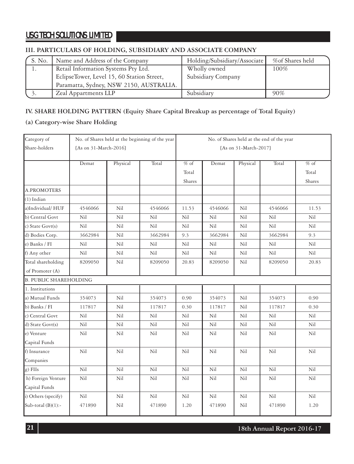# **III. PARTICULARS OF HOLDING, SUBSIDIARY AND ASSOCIATE COMPANY**

| S. No.    | Name and Address of the Company            | Holding/Subsidiary/Associate | %of Shares held |
|-----------|--------------------------------------------|------------------------------|-----------------|
| $\perp$ . | Retail Information Systems Pty Ltd.        | Wholly owned                 | 100%            |
|           | EclipseTower, Level 15, 60 Station Street, | Subsidiary Company           |                 |
|           | Paramatta, Sydney, NSW 2150, AUSTRALIA.    |                              |                 |
|           | Zeal Appartments LLP                       | Subsidiary                   | 90%             |

# **IV. SHARE HOLDING PATTERN (Equity Share Capital Breakup as percentage of Total Equity)**

### **(a) Category-wise Share Holding**

| Category of                   |                       | No. of Shares held at the beginning of the year | No. of Shares held at the end of the year |                       |         |          |         |        |
|-------------------------------|-----------------------|-------------------------------------------------|-------------------------------------------|-----------------------|---------|----------|---------|--------|
| Share-holders                 | [As on 31-March-2016] |                                                 |                                           | [As on 31-March-2017] |         |          |         |        |
|                               | Demat                 | Physical                                        | Total                                     | $%$ of                | Demat   | Physical | Total   | $%$ of |
|                               |                       |                                                 |                                           | Total                 |         |          |         | Total  |
|                               |                       |                                                 |                                           | Shares                |         |          |         | Shares |
| A.PROMOTERS                   |                       |                                                 |                                           |                       |         |          |         |        |
| $(1)$ Indian                  |                       |                                                 |                                           |                       |         |          |         |        |
| a)Individual/HUF              | 4546066               | Nil                                             | 4546066                                   | 11.53                 | 4546066 | Nil      | 4546066 | 11.53  |
| b) Central Govt               | Nil                   | Nil                                             | Nil                                       | Nil                   | Nil     | Nil      | Nil     | Nil    |
| c) State $Govt(s)$            | Nil                   | Nil                                             | Nil                                       | Nil                   | Nil     | Nil      | Nil     | Nil    |
| d) Bodies Corp.               | 3662984               | Nil                                             | 3662984                                   | 9.3                   | 3662984 | Nil      | 3662984 | 9.3    |
| e) Banks / FI                 | Nil                   | Nil                                             | Nil                                       | Nil                   | Nil     | Nil      | Nil     | Nil    |
| f) Any other                  | Nil                   | Nil                                             | Nil                                       | Nil                   | Nil     | Nil      | Nil     | Nil    |
| Total shareholding            | 8209050               | Nil                                             | 8209050                                   | 20.83                 | 8209050 | Nil      | 8209050 | 20.83  |
| of Promoter (A)               |                       |                                                 |                                           |                       |         |          |         |        |
| <b>B. PUBLIC SHAREHOLDING</b> |                       |                                                 |                                           |                       |         |          |         |        |
| 1. Institutions               |                       |                                                 |                                           |                       |         |          |         |        |
| a) Mutual Funds               | 354073                | Nil                                             | 354073                                    | 0.90                  | 354073  | Nil      | 354073  | 0.90   |
| b) Banks / FI                 | 117817                | Nil                                             | 117817                                    | 0.30                  | 117817  | Nil      | 117817  | 0.30   |
| c) Central Govt               | Nil                   | Nil                                             | Nil                                       | Nil                   | Nil     | Nil      | Nil     | Nil    |
| d) State Govt(s)              | Nil                   | Nil                                             | Nil                                       | Nil                   | Nil     | Nil      | Nil     | Nil    |
| e) Venture                    | Nil                   | Nil                                             | Nil                                       | Nil                   | Nil     | Nil      | Nil     | Nil    |
| Capital Funds                 |                       |                                                 |                                           |                       |         |          |         |        |
| f) Insurance                  | Nil                   | Nil                                             | Nil                                       | Nil                   | Nil     | Nil      | Nil     | Nil    |
| Companies                     |                       |                                                 |                                           |                       |         |          |         |        |
| $g)$ FIIs                     | Nil                   | Nil                                             | Nil                                       | Nil                   | Nil     | Nil      | Nil     | Nil    |
| h) Foreign Venture            | Nil                   | Nil                                             | Nil                                       | Nil                   | Nil     | Nil      | Nil     | Nil    |
| Capital Funds                 |                       |                                                 |                                           |                       |         |          |         |        |
| i) Others (specify)           | Nil                   | Nil                                             | Nil                                       | Nil                   | Nil     | Nil      | Nil     | Nil    |
| Sub-total $(B)(1)$ :-         | 471890                | Nil                                             | 471890                                    | 1.20                  | 471890  | Nil      | 471890  | 1.20   |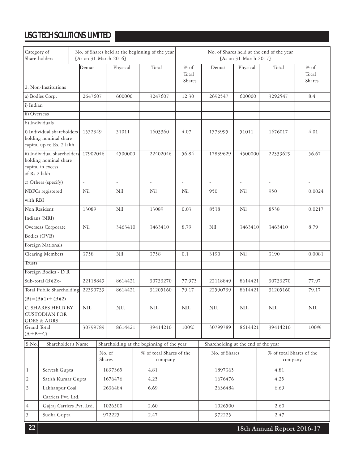|                                           | Category of<br>No. of Shares held at the beginning of the year<br>Share-holders<br>[As on 31-March-2016] |  |            |        | No. of Shares held at the end of the year<br>[As on 31-March-2017] |                                           |                           |                                     |                                     |                          |                           |
|-------------------------------------------|----------------------------------------------------------------------------------------------------------|--|------------|--------|--------------------------------------------------------------------|-------------------------------------------|---------------------------|-------------------------------------|-------------------------------------|--------------------------|---------------------------|
|                                           |                                                                                                          |  | Demat      |        | Physical                                                           | Total                                     | $%$ of<br>Total<br>Shares | Demat                               | Physical                            | Total                    | $%$ of<br>Total<br>Shares |
|                                           | 2. Non-Institutions                                                                                      |  |            |        |                                                                    |                                           |                           |                                     |                                     |                          |                           |
|                                           | a) Bodies Corp.                                                                                          |  | 2647607    |        | 600000                                                             | 3247607                                   | 12.30                     | 2692547                             | 600000                              | 3292547                  | 8.4                       |
| i) Indian                                 |                                                                                                          |  |            |        |                                                                    |                                           |                           |                                     |                                     |                          |                           |
| ii) Overseas                              |                                                                                                          |  |            |        |                                                                    |                                           |                           |                                     |                                     |                          |                           |
| b) Individuals                            |                                                                                                          |  |            |        |                                                                    |                                           |                           |                                     |                                     |                          |                           |
|                                           | i) Individual shareholders<br>holding nominal share<br>capital up to Rs. 2 lakh                          |  | 1552349    |        | 51011                                                              | 1603360                                   | 4.07                      | 1573995                             | 51011                               | 1676017                  | 4.01                      |
| of Rs 2 lakh                              | ii) Individual shareholders<br>holding nominal share<br>capital in excess                                |  | 17902046   |        | 4500000                                                            | 22402046                                  | 56.84                     | 17839629                            | 4500000                             | 22339629                 | 56.67                     |
|                                           | c) Others (specify)                                                                                      |  | $\omega$   |        | $\overline{\phantom{a}}$                                           | $\overline{\phantom{a}}$                  | $\mathcal{L}$             | $\overline{\phantom{a}}$            | $\omega$                            | $\overline{\phantom{a}}$ | $\sim$                    |
|                                           | NBFCs registered                                                                                         |  | Nil        |        | Nil                                                                | Nil                                       | Nil                       | 950                                 | Nil                                 | 950                      | 0.0024                    |
| with RBI                                  |                                                                                                          |  |            |        |                                                                    |                                           |                           |                                     |                                     |                          |                           |
|                                           | Non Resident                                                                                             |  | 13089      |        | Nil                                                                | 13089                                     | 0.03                      | 8538                                | Nil                                 | 8538                     | 0.0217                    |
|                                           | Indians (NRI)                                                                                            |  |            |        |                                                                    |                                           |                           |                                     |                                     |                          |                           |
|                                           | Overseas Corporate                                                                                       |  | Nil        |        | 3463410                                                            | 3463410                                   | 8.79                      | Nil                                 | 3463410                             | 3463410                  | 8.79                      |
|                                           | Bodies (OVB)                                                                                             |  |            |        |                                                                    |                                           |                           |                                     |                                     |                          |                           |
|                                           | Foreign Nationals                                                                                        |  |            |        |                                                                    |                                           |                           |                                     |                                     |                          |                           |
|                                           | Clearing Members                                                                                         |  | 3758       |        | Nil                                                                | 3758                                      | 0.1                       | 3190                                | Nil                                 | 3190                     | 0.0081                    |
| Trusts                                    |                                                                                                          |  |            |        |                                                                    |                                           |                           |                                     |                                     |                          |                           |
|                                           | Foreign Bodies - D R                                                                                     |  |            |        |                                                                    |                                           |                           |                                     |                                     |                          |                           |
|                                           | Sub-total $(B)(2)$ :-                                                                                    |  | 22118849   |        | 8614421                                                            | 30733270                                  | 77.975                    | 22118849                            | 8614421                             | 30733270                 | 77.97                     |
|                                           | Total Public Shareholding<br>$(B)=(B)(1)+(B)(2)$                                                         |  | 22590739   |        | 8614421                                                            | 31205160                                  | 79.17                     | 22590739                            | 8614421                             | 31205160                 | 79.17                     |
|                                           | C. SHARES HELD BY<br><b>CUSTODIAN FOR</b><br><b>GDRS &amp; ADRS</b>                                      |  | <b>NIL</b> |        | NIL                                                                | <b>NIL</b>                                | <b>NIL</b>                | <b>NIL</b>                          | <b>NIL</b>                          | NIL                      | $\rm NIL$                 |
| Grand Total                               |                                                                                                          |  | 30799789   |        | 8614421                                                            | 39414210                                  | 100%                      | 30799789                            | 8614421                             | 39414210                 | 100%                      |
| $(A+B+C)$                                 |                                                                                                          |  |            |        |                                                                    |                                           |                           |                                     |                                     |                          |                           |
| S.No.                                     | Shareholder's Name                                                                                       |  |            |        |                                                                    | Shareholding at the beginning of the year |                           | Shareholding at the end of the year |                                     |                          |                           |
|                                           |                                                                                                          |  | No. of     | Shares | % of total Shares of the<br>company                                |                                           | No. of Shares             |                                     | % of total Shares of the<br>company |                          |                           |
| $\mathbf{1}$<br>Servesh Gupta             |                                                                                                          |  | 1897365    | 4.81   |                                                                    | 1897365                                   |                           | 4.81                                |                                     |                          |                           |
| $\overline{c}$<br>Satish Kumar Gupta      |                                                                                                          |  | 1676476    | 4.25   |                                                                    | 1676476                                   |                           | 4.25                                |                                     |                          |                           |
| $\overline{\mathbf{3}}$<br>Lakhanpur Coal |                                                                                                          |  | 2636484    | 6.69   |                                                                    | 2636484                                   |                           | 6.69                                |                                     |                          |                           |
|                                           | Carriers Pvt. Ltd.                                                                                       |  |            |        |                                                                    |                                           |                           |                                     |                                     |                          |                           |
| 4                                         | Gajraj Carriers Pvt. Ltd.                                                                                |  |            |        | 1026500                                                            | 2.60                                      |                           | 1026500                             |                                     | 2.60                     |                           |
| 5                                         | Sudha Gupta                                                                                              |  |            |        | 972225                                                             | 2.47                                      |                           | 972225                              |                                     | 2.47                     |                           |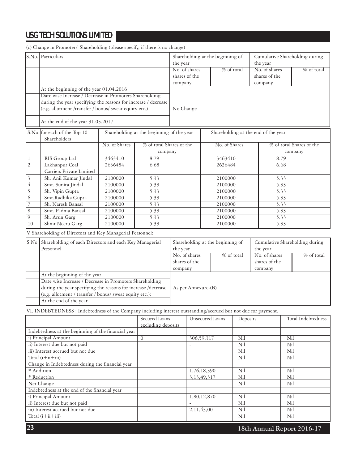S.No. for each of the Top 10 Shareholding at the beginning of the year Shareholding at the end of the year Shareholders 1 RIS Group Ltd <br>3463410 8.79 3463410 8.79 2 Lakhanpur Coal 2636484 6.68 2636484 6.68 Carriers Private Limited 3 Sh. Anil Kumar Jindal 2100000 5.33 2100000 5.33 1 a Smt. Sunita Jindal 2100000 5.33 2100000 5.33<br>
5 Sh. Vipin Gupta 2100000 5.33 2100000 5.33 5 Sh. Vipin Gupta 2100000 5.33 2100000 5.33 6 Smt.Radhika Gupta 2100000 5.33 2100000 5.33 7 Sh. Naresh Bansal 2100000 5.33 2100000 5.33 8 Smt. Padma Bansal 2100000 5.33 2100000 5.33 9 Sh. Arun Garg 2100000 5.33 2100000 5.33 10 Shmt Neeru Garg 2100000 5.33 2100000 5.33 No. of Shares | % of total Shares of the company No. of Shares % of total Shares of the company S.No. Particulars At the beginning of the year 01.04.2016 Date wise Increase / Decrease in Promoters Shareholding during the year specifying the reasons for increase / decrease (e.g. allotment /transfer / bonus/ sweat equity etc.) At the end of the year 31.03.2017 Shareholding at the beginning of the year No. of shares % of total shares of the company No Change Cumulative Shareholding during the year No. of shares % of total shares of the company

V. Shareholding of Directors and Key Managerial Personnel:

| S.No. Shareholding of each Directors and each Key Managerial  | Shareholding at the beginning of |            | Cumulative Shareholding during |            |
|---------------------------------------------------------------|----------------------------------|------------|--------------------------------|------------|
| Personnel                                                     | the year                         |            | the year                       |            |
|                                                               | No. of shares                    | % of total | No. of shares                  | % of total |
|                                                               | shares of the                    |            |                                |            |
|                                                               | company                          |            | company                        |            |
| At the beginning of the year                                  |                                  |            |                                |            |
| Date wise Increase / Decrease in Promoters Shareholding       |                                  |            |                                |            |
| during the year specifying the reasons for increase /decrease | As per Annexure-(B)              |            |                                |            |
| (e.g. allotment / transfer / bonus/ sweat equity etc.):       |                                  |            |                                |            |
| At the end of the year                                        |                                  |            |                                |            |

VI. INDEBTEDNESS : Indebtedness of the Company including interest outstanding/accrued but not due for payment.

|                                                     | Secured Loans      | Unsecured Loans | Deposits | Total Indebtedness |
|-----------------------------------------------------|--------------------|-----------------|----------|--------------------|
|                                                     | excluding deposits |                 |          |                    |
| Indebtedness at the beginning of the financial year |                    |                 |          |                    |
| i) Principal Amount                                 | $\Omega$           | 306,59,317      | Nil      | Nil                |
| ii) Interest due but not paid                       |                    | ۰               | Nil      | Nil                |
| iii) Interest accrued but not due                   |                    |                 | Nil      | Nil                |
| Total $(i+ii+iii)$                                  |                    |                 | Nil      | Nil                |
| Change in Indebtedness during the financial year    |                    |                 |          |                    |
| * Addition                                          |                    | 1,76,18,390     | Nil      | Nil                |
| * Reduction                                         |                    | 3,13,49,317     | Nil      | Nil                |
| Net Change                                          |                    |                 | Nil      | Nil                |
| Indebtedness at the end of the financial year       |                    |                 |          |                    |
| i) Principal Amount                                 |                    | 1,80,12,870     | Nil      | Nil                |
| ii) Interest due but not paid                       |                    |                 | Nil      | Nil                |
| iii) Interest accrued but not due                   |                    | 2,11,43,00      | Nil      | Nil                |
| Total $(i+ii+iii)$                                  |                    |                 | Nil      | Nil                |

**18th Annual Report 2016-17**

(c) Change in Promoters' Shareholding (please specify, if there is no change)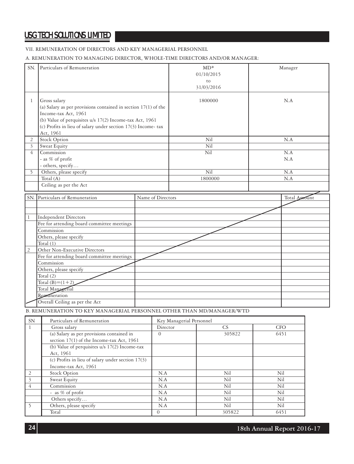### VII. REMUNERATION OF DIRECTORS AND KEY MANAGERIAL PERSONNEL

### A. REMUNERATION TO MANAGING DIRECTOR, WHOLE-TIME DIRECTORS AND/OR MANAGER:

|                | SN. Particulars of Remuneration                                                                                                                                                                                                                  |                   | $MD*$<br>01/10/2015<br>to<br>31/03/2016 | Manager       |
|----------------|--------------------------------------------------------------------------------------------------------------------------------------------------------------------------------------------------------------------------------------------------|-------------------|-----------------------------------------|---------------|
| $\mathbf{1}$   | Gross salary<br>(a) Salary as per provisions contained in section $17(1)$ of the<br>Income-tax Act, 1961<br>(b) Value of perquisites u/s 17(2) Income-tax Act, 1961<br>(c) Profits in lieu of salary under section 17(3) Income-tax<br>Act, 1961 |                   | 1800000                                 | N.A           |
| $\overline{2}$ | <b>Stock Option</b>                                                                                                                                                                                                                              |                   | Nil                                     | N.A           |
| $\overline{3}$ | Sweat Equity                                                                                                                                                                                                                                     |                   | Nil                                     |               |
| $\overline{4}$ | Commission                                                                                                                                                                                                                                       |                   | $\overline{\text{Nil}}$                 | N.A           |
|                | - as % of profit                                                                                                                                                                                                                                 |                   |                                         | N.A           |
|                | - others, specify                                                                                                                                                                                                                                |                   |                                         |               |
| 5              | Others, please specify                                                                                                                                                                                                                           |                   | Nil                                     | N.A           |
|                | Total $(A)$                                                                                                                                                                                                                                      |                   | 1800000                                 | N.A           |
|                | Ceiling as per the Act                                                                                                                                                                                                                           |                   |                                         |               |
|                | SN. Particulars of Remuneration                                                                                                                                                                                                                  | Name of Directors |                                         | Total Aprount |
|                |                                                                                                                                                                                                                                                  |                   |                                         |               |
|                |                                                                                                                                                                                                                                                  |                   |                                         |               |
| $\mathbf{1}$   | <b>Independent Directors</b>                                                                                                                                                                                                                     |                   |                                         |               |
|                | Fee for attending board committee meetings                                                                                                                                                                                                       |                   |                                         |               |
|                | Commission                                                                                                                                                                                                                                       |                   |                                         |               |
|                | Others, please specify                                                                                                                                                                                                                           |                   |                                         |               |
|                | Total $(1)$                                                                                                                                                                                                                                      |                   |                                         |               |
| $\overline{c}$ | Other Non-Executive Directors                                                                                                                                                                                                                    |                   |                                         |               |
|                | Fee for attending board committee meetings                                                                                                                                                                                                       |                   |                                         |               |
|                | Commission                                                                                                                                                                                                                                       |                   |                                         |               |
|                | Others, please specify                                                                                                                                                                                                                           |                   |                                         |               |
|                | Total $(2)$                                                                                                                                                                                                                                      |                   |                                         |               |
|                | Total $(B)=(1+2)$                                                                                                                                                                                                                                |                   |                                         |               |
|                | Total Managerial                                                                                                                                                                                                                                 |                   |                                         |               |
|                | Remuneration                                                                                                                                                                                                                                     |                   |                                         |               |
|                | Overall Ceiling as per the Act                                                                                                                                                                                                                   |                   |                                         |               |

B. REMUNERATION TO KEY MANAGERIAL PERSONNEL OTHER THAN MD/MANAGER/WTD

| <b>SN</b>      | Particulars of Remuneration                       | Key Managerial Personnel |        |            |
|----------------|---------------------------------------------------|--------------------------|--------|------------|
|                | Gross salary                                      | Director                 | CS.    | <b>CFO</b> |
|                | (a) Salary as per provisions contained in         | $\Omega$                 | 305822 | 6451       |
|                | section 17(1) of the Income-tax Act, 1961         |                          |        |            |
|                | (b) Value of perquisites $u/s$ 17(2) Income-tax   |                          |        |            |
|                | Act, 1961                                         |                          |        |            |
|                | (c) Profits in lieu of salary under section 17(3) |                          |        |            |
|                | Income-tax Act, 1961                              |                          |        |            |
| $\overline{2}$ | <b>Stock Option</b>                               | N.A                      | Nil    | Nil        |
| 3              | Sweat Equity                                      | N.A                      | Nil    | Nil        |
| 4              | Commission                                        | N.A                      | Nil    | Nil        |
|                | - as % of profit                                  | N.A                      | Nil    | Nil        |
|                | Others specify                                    | N.A                      | Nil    | Nil        |
|                | Others, please specify                            | N.A                      | Nil    | Nil        |
|                | Total                                             | $\theta$                 | 305822 | 6451       |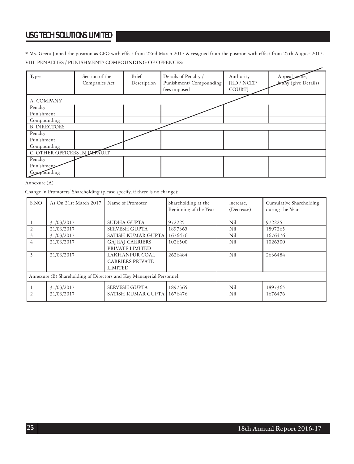\* Ms. Geeta Joined the position as CFO with effect from 22nd March 2017 & resigned from the position with effect from 25th August 2017. VIII. PENALTIES / PUNISHMENT/ COMPOUNDING OF OFFENCES: ے

| Types                        | Section of the<br>Companies Act | Brief<br>Description | Details of Penalty /<br>Punishment/Compounding<br>fees imposed | Authority<br>$\{RD / NCLT /$<br>COURT} | Appeal mad<br>any (give Details) |
|------------------------------|---------------------------------|----------------------|----------------------------------------------------------------|----------------------------------------|----------------------------------|
| A. COMPANY                   |                                 |                      |                                                                |                                        |                                  |
| Penalty                      |                                 |                      |                                                                |                                        |                                  |
| Punishment                   |                                 |                      |                                                                |                                        |                                  |
| Compounding                  |                                 |                      |                                                                |                                        |                                  |
| <b>B. DIRECTORS</b>          |                                 |                      |                                                                |                                        |                                  |
| Penalty                      |                                 |                      |                                                                |                                        |                                  |
| Punishment                   |                                 |                      |                                                                |                                        |                                  |
| Compounding                  |                                 |                      |                                                                |                                        |                                  |
| C. OTHER OFFICERS IN DEFAULT |                                 |                      |                                                                |                                        |                                  |
| Penalty                      |                                 |                      |                                                                |                                        |                                  |
| Punishment                   |                                 |                      |                                                                |                                        |                                  |
| Compounding                  |                                 |                      |                                                                |                                        |                                  |

### Annexure (A)

Change in Promoters' Shareholding (please specify, if there is no change):

| S.NO | As On 31st March 2017                                                | Name of Promoter        | Shareholding at the<br>Beginning of the Year | increase,<br>(Decrease) | Cumulative Shareholding<br>during the Year |  |  |  |
|------|----------------------------------------------------------------------|-------------------------|----------------------------------------------|-------------------------|--------------------------------------------|--|--|--|
|      | 31/03/2017                                                           | SUDHA GUPTA             | 972225                                       | Nil                     | 972225                                     |  |  |  |
|      | 31/03/2017                                                           | <b>SERVESH GUPTA</b>    | 1897365                                      | Nil                     | 1897365                                    |  |  |  |
|      | 31/03/2017                                                           | SATISH KUMAR GUPTA      | 1676476                                      | Nil                     | 1676476                                    |  |  |  |
| 4    | 31/03/2017                                                           | <b>GAJRAJ CARRIERS</b>  | 1026500                                      | Nil                     | 1026500                                    |  |  |  |
|      |                                                                      | PRIVATE LIMITED         |                                              |                         |                                            |  |  |  |
|      | 31/03/2017                                                           | LAKHANPUR COAL          | 2636484                                      | Nil                     | 2636484                                    |  |  |  |
|      |                                                                      | <b>CARRIERS PRIVATE</b> |                                              |                         |                                            |  |  |  |
|      |                                                                      | <b>LIMITED</b>          |                                              |                         |                                            |  |  |  |
|      | Annexure (B) Shareholding of Directors and Key Managerial Personnel: |                         |                                              |                         |                                            |  |  |  |
|      | 31/03/2017                                                           | <b>SERVESH GUPTA</b>    | 1897365                                      | Nil                     | 1897365                                    |  |  |  |
|      | 31/03/2017                                                           | SATISH KUMAR GUPTA      | 1676476                                      | Nil                     | 1676476                                    |  |  |  |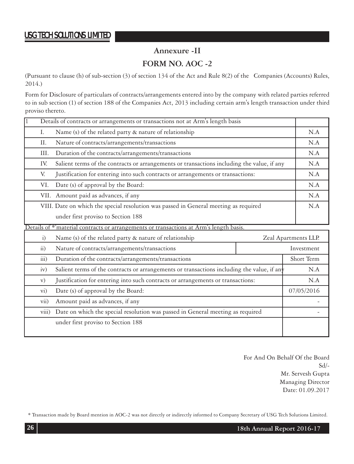# **Annexure -II**

# **FORM NO. AOC -2**

(Pursuant to clause (h) of sub-section (3) of section 134 of the Act and Rule 8(2) of the Companies (Accounts) Rules, 2014.)

Form for Disclosure of particulars of contracts/arrangements entered into by the company with related parties referred to in sub section (1) of section 188 of the Companies Act, 2013 including certain arm's length transaction under third proviso thereto.

|                                                                                       | Details of contracts or arrangements or transactions not at Arm's length basis             |     |  |
|---------------------------------------------------------------------------------------|--------------------------------------------------------------------------------------------|-----|--|
| Ι.                                                                                    | Name (s) of the related party & nature of relationship                                     |     |  |
| П.                                                                                    | Nature of contracts/arrangements/transactions                                              | N.A |  |
| Ш.                                                                                    | Duration of the contracts/arrangements/transactions                                        | N.A |  |
| IV.                                                                                   | Salient terms of the contracts or arrangements or transactions including the value, if any | N.A |  |
| Justification for entering into such contracts or arrangements or transactions:<br>V. |                                                                                            |     |  |
| VI.                                                                                   | Date (s) of approval by the Board:                                                         | N.A |  |
|                                                                                       | VII. Amount paid as advances, if any                                                       | N.A |  |
|                                                                                       | VIII. Date on which the special resolution was passed in General meeting as required       | N.A |  |
| under first proviso to Section 188                                                    |                                                                                            |     |  |
|                                                                                       | Details of *'material contracts or arrangements or transactions at Arm's length basis.     |     |  |
| $\overline{1}$                                                                        | Name (s) of the related party & nature of relationship<br>Zeal Apartments LLP.             |     |  |

|                                                            | IValue (s) of the related party of hature of relationship                                  | Leal Apartments LLF. |            |
|------------------------------------------------------------|--------------------------------------------------------------------------------------------|----------------------|------------|
| $\overline{ii}$                                            | Nature of contracts/arrangements/transactions                                              |                      |            |
| $\overline{111}$ )                                         | Duration of the contracts/arrangements/transactions                                        |                      | Short Term |
| iv)                                                        | Salient terms of the contracts or arrangements or transactions including the value, if any |                      | N.A        |
| V)                                                         | Justification for entering into such contracts or arrangements or transactions:            |                      |            |
| $\rm{vi})$                                                 | Date (s) of approval by the Board:                                                         |                      | 07/05/2016 |
| Amount paid as advances, if any<br>$\overline{\text{vii}}$ |                                                                                            |                      |            |
|                                                            | viii) Date on which the special resolution was passed in General meeting as required       |                      |            |
| under first proviso to Section 188                         |                                                                                            |                      |            |
|                                                            |                                                                                            |                      |            |

 For And On Behalf Of the Board Sd/- Mr. Servesh Gupta Managing Director Date: 01.09.2017

\* Transaction made by Board mention in AOC-2 was not directly or indirectly informed to Company Secretary of USG Tech Solutions Limited.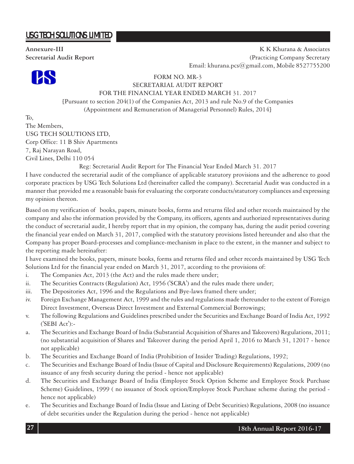

**Annexure-III** K K Khurana & Associates **Secretarial Audit Report** (Practicing Company Secretary Email: khurana.pcs@gmail.com, Mobile 8527755200

FORM NO. MR-3

### SECRETARIAL AUDIT REPORT FOR THE FINANCIAL YEAR ENDED MARCH 31. 2017

[Pursuant to section 204(1) of the Companies Act, 2013 and rule No.9 of the Companies (Appointment and Remuneration of Managerial Personnel) Rules, 2014]

To, The Members, USG TECH SOLUTIONS LTD, Corp Office: 11 B Shiv Apartments 7, Raj Narayan Road, Civil Lines, Delhi 110 054

Reg: Secretarial Audit Report for The Financial Year Ended March 31. 2017

I have conducted the secretarial audit of the compliance of applicable statutory provisions and the adherence to good corporate practices by USG Tech Solutions Ltd (hereinafter called the company). Secretarial Audit was conducted in a manner that provided me a reasonable basis for evaluating the corporate conducts/statutory compliances and expressing my opinion thereon.

Based on my verification of books, papers, minute books, forms and returns filed and other records maintained by the company and also the information provided by the Company, its officers, agents and authorized representatives during the conduct of secretarial audit, I hereby report that in my opinion, the company has, during the audit period covering the financial year ended on March 31, 2017, complied with the statutory provisions listed hereunder and also that the Company has proper Board-processes and compliance-mechanism in place to the extent, in the manner and subject to the reporting made hereinafter:

I have examined the books, papers, minute books, forms and returns filed and other records maintained by USG Tech Solutions Ltd for the financial year ended on March 31, 2017, according to the provisions of:

- i. The Companies Act, 2013 (the Act) and the rules made there under;
- ii. The Securities Contracts (Regulation) Act, 1956 ('SCRA') and the rules made there under;
- iii. The Depositories Act, 1996 and the Regulations and Bye-laws framed there under;
- iv. Foreign Exchange Management Act, 1999 and the rules and regulations made thereunder to the extent of Foreign Direct Investment, Overseas Direct Investment and External Commercial Borrowings;
- v. The following Regulations and Guidelines prescribed under the Securities and Exchange Board of India Act, 1992 ('SEBI Act'):-
- a. The Securities and Exchange Board of India (Substantial Acquisition of Shares and Takeovers) Regulations, 2011; (no substantial acquisition of Shares and Takeover during the period April 1, 2016 to March 31, 12017 - hence not applicable)
- b. The Securities and Exchange Board of India (Prohibition of Insider Trading) Regulations, 1992;
- c. The Securities and Exchange Board of India (Issue of Capital and Disclosure Requirements) Regulations, 2009 (no issuance of any fresh security during the period - hence not applicable)
- d. The Securities and Exchange Board of India (Employee Stock Option Scheme and Employee Stock Purchase Scheme) Guidelines, 1999 ( no issuance of Stock option/Employee Stock Purchase scheme during the period hence not applicable)
- e. The Securities and Exchange Board of India (Issue and Listing of Debt Securities) Regulations, 2008 (no issuance of debt securities under the Regulation during the period - hence not applicable)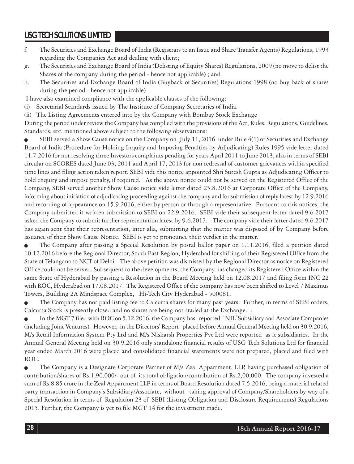- f. The Securities and Exchange Board of India (Registrars to an Issue and Share Transfer Agents) Regulations, 1993 regarding the Companies Act and dealing with client;
- g. The Securities and Exchange Board of India (Delisting of Equity Shares) Regulations, 2009 (no move to delist the Shares of the company during the period - hence not applicable) ; and
- h. The Securities and Exchange Board of India (Buyback of Securities) Regulations 1998 (no buy back of shares during the period - hence not applicable)

I have also examined compliance with the applicable clauses of the following:

- (i) Secretarial Standards issued by The Institute of Company Secretaries of India.
- (ii) The Listing Agreements entered into by the Company with Bombay Stock Exchange

During the period under review the Company has complied with the provisions of the Act, Rules, Regulations, Guidelines, Standards, etc. mentioned above subject to the following observations:

SEBI served a Show Cause notice on the Company on July 11, 2016 under Rule 4(1) of Securities and Exchange Board of India (Procedure for Holding Inquiry and Imposing Penalties by Adjudicating) Rules 1995 vide letter dated 11.7.2016 for not resolving three Investors complaints pending for years April 2011 to June 2013, also in terms of SEBI circular on SCORES dated June 03, 2011 and April 17, 2013 for non redressal of customer grievances within specified time lines and filing action taken report. SEBI vide this notice appointed Shri Suresh Gupta as Adjudicating Officer to hold enquiry and impose penalty, if required. As the above notice could not be served on the Registered Office of the Company, SEBI served another Show Cause notice vide letter dated 25.8.2016 at Corporate Office of the Company, informing about initiation of adjudicating proceeding against the company and for submission of reply latest by 12.9.2016 and recording of appearance on 15.9.2016, either by person or through a representative. Pursuant to this notices, the Company submitted it written submission to SEBI on 22.9.2016. SEBI vide their subsequent letter dated 9.6.2017 asked the Company to submit further representation latest by 9.6.2017. The company vide their letter dated 9.6.2017 has again sent that their representation, inter alia, submitting that the matter was disposed of by Company before issuance of their Show Cause Notice. SEBI is yet to pronounce their verdict in the matter.

The Company after passing a Special Resolution by postal ballot paper on 1.11.2016, filed a petition dated 10.12.2016 before the Regional Director, South East Region, Hyderabad for shifting of their Registered Office from the State of Telangana to NCT of Delhi. The above petition was dismissed by the Regional Director as notice on Registered Office could not be served. Subsequent to the developments, the Company has changed its Registered Office within the same State of Hyderabad by passing a Resolution in the Board Meeting held on 12.08.2017 and filing form INC 22 with ROC, Hyderabad on 17.08.2017. The Registered Office of the company has now been shifted to Level 7 Maximus Towers, Building 2A Mindspace Complex, Hi-Tech City Hyderabad - 500081.

The Company has not paid listing fee to Calcutta shares for many past years. Further, in terms of SEBI orders, Calcutta Stock is presently closed and no shares are being not traded at the Exchange. .

In the MGT 7 filed with ROC on 5.12.2016, the Company has reported `NIL' Subsidiary and Associate Companies (including Joint Ventures). However, in the Directors' Report placed before Annual General Meeting held on 30.9.2016, M/s Retail Information System Pty Ltd and M/s Niskarsh Properties Pvt Ltd were reported as it subsidiaries. In the Annual General Meeting held on 30.9.2016 only standalone financial results of USG Tech Solutions Ltd for financial year ended March 2016 were placed and consolidated financial statements were not prepared, placed and filed with ROC.

<sup>Q</sup> The Company is a Designate Corporate Partner of M/s Zeal Appartment, LLP, having purchased obligation of contribution/shares of Rs.1,90,000/- out of its total obligation/contribution of Rs.2,00,000. The company invested a sum of Rs.8.85 crore in the Zeal Appartment LLP in terms of Board Resolution dated 7.5.2016, being a material related party transaction in Company's Subsidiary/Associate, without taking approval of Company/Shareholders by way of a Special Resolution in terms of Regulation 23 of SEBI (Listing Obligation and Disclosure Requirements) Regulations 2015. Further, the Company is yet to file MGT 14 for the investment made.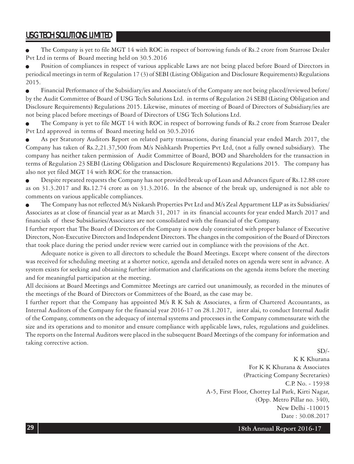The Company is yet to file MGT 14 with ROC in respect of borrowing funds of Rs.2 crore from Starrose Dealer Pvt Ltd in terms of Board meeting held on 30.5.2016

Position of compliances in respect of various applicable Laws are not being placed before Board of Directors in periodical meetings in term of Regulation 17 (3) of SEBI (Listing Obligation and Disclosure Requirements) Regulations 2015.

<sup>Q</sup> Financial Performance of the Subsidiary/ies and Associate/s of the Company are not being placed/reviewed before/ by the Audit Committee of Board of USG Tech Solutions Ltd. in terms of Regulation 24 SEBI (Listing Obligation and Disclosure Requirements) Regulations 2015. Likewise, minutes of meeting of Board of Directors of Subsidiary/ies are not being placed before meetings of Board of Directors of USG Tech Solutions Ltd.

The Company is yet to file MGT 14 with ROC in respect of borrowing funds of Rs.2 crore from Starrose Dealer Pvt Ltd approved in terms of Board meeting held on 30.5.2016

As per Statutory Auditors Report on related party transactions, during financial year ended March 2017, the Company has taken of Rs.2,21.37,500 from M/s Nishkarsh Properties Pvt Ltd, (not a fully owned subsidiary). The company has neither taken permission of Audit Committee of Board, BOD and Shareholders for the transaction in terms of Regulation 23 SEBI (Listing Obligation and Disclosure Requirements) Regulations 2015. The company has also not yet filed MGT 14 with ROC for the transaction.

**Despite repeated requests the Company has not provided break up of Loan and Advances figure of Rs.12.88 crore** as on 31.3.2017 and Rs.12.74 crore as on 31.3.2016. In the absence of the break up, undersigned is not able to comments on various applicable compliances.

<sup>Q</sup> The Company has not reflected M/s Niskarsh Properties Pvt Ltd and M/s Zeal Appartment LLP as its Subsidiaries/ Associates as at close of financial year as at March 31, 2017 in its financial accounts for year ended March 2017 and financials of these Subsidiaries/Associates are not consolidated with the financial of the Company.

I further report that The Board of Directors of the Company is now duly constituted with proper balance of Executive Directors, Non-Executive Directors and Independent Directors. The changes in the composition of the Board of Directors that took place during the period under review were carried out in compliance with the provisions of the Act.

Adequate notice is given to all directors to schedule the Board Meetings. Except where consent of the directors was received for scheduling meeting at a shorter notice, agenda and detailed notes on agenda were sent in advance. A system exists for seeking and obtaining further information and clarifications on the agenda items before the meeting and for meaningful participation at the meeting.

All decisions at Board Meetings and Committee Meetings are carried out unanimously, as recorded in the minutes of the meetings of the Board of Directors or Committees of the Board, as the case may be.

I further report that the Company has appointed M/s R K Sah & Associates, a firm of Chartered Accountants, as Internal Auditors of the Company for the financial year 2016-17 on 28.1.2017, inter alai, to conduct Internal Audit of the Company, comments on the adequacy of internal systems and processes in the Company commensurate with the size and its operations and to monitor and ensure compliance with applicable laws, rules, regulations and guidelines. The reports on the Internal Auditors were placed in the subsequent Board Meetings of the company for information and taking corrective action.

 $SD/-$ 

K K Khurana For K K Khurana & Associates (Practicing Company Secretaries) C.P. No. - 15938 A-5, First Floor, Chottey Lal Park, Kirti Nagar, (Opp. Metro Pillar no. 340), New Delhi -110015 Date : 30.08.2017

**18th Annual Report 2016-17**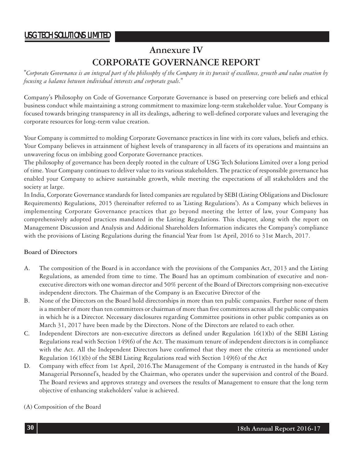# **Annexure IV CORPORATE GOVERNANCE REPORT**

*"Corporate Governance is an integral part of the philosophy of the Company in its pursuit of excellence, growth and value creation by focusing a balance between individual interests and corporate goals."*

Company's Philosophy on Code of Governance Corporate Governance is based on preserving core beliefs and ethical business conduct while maintaining a strong commitment to maximize long-term stakeholder value. Your Company is focused towards bringing transparency in all its dealings, adhering to well-defined corporate values and leveraging the corporate resources for long-term value creation.

Your Company is committed to molding Corporate Governance practices in line with its core values, beliefs and ethics. Your Company believes in attainment of highest levels of transparency in all facets of its operations and maintains an unwavering focus on imbibing good Corporate Governance practices.

The philosophy of governance has been deeply rooted in the culture of USG Tech Solutions Limited over a long period of time. Your Company continues to deliver value to its various stakeholders. The practice of responsible governance has enabled your Company to achieve sustainable growth, while meeting the expectations of all stakeholders and the society at large.

In India, Corporate Governance standards for listed companies are regulated by SEBI (Listing Obligations and Disclosure Requirements) Regulations, 2015 (hereinafter referred to as 'Listing Regulations'). As a Company which believes in implementing Corporate Governance practices that go beyond meeting the letter of law, your Company has comprehensively adopted practices mandated in the Listing Regulations. This chapter, along with the report on Management Discussion and Analysis and Additional Shareholders Information indicates the Company's compliance with the provisions of Listing Regulations during the financial Year from 1st April, 2016 to 31st March, 2017.

# **Board of Directors**

- A. The composition of the Board is in accordance with the provisions of the Companies Act, 2013 and the Listing Regulations, as amended from time to time. The Board has an optimum combination of executive and nonexecutive directors with one woman director and 50% percent of the Board of Directors comprising non-executive independent directors. The Chairman of the Company is an Executive Director of the
- B. None of the Directors on the Board hold directorships in more than ten public companies. Further none of them is a member of more than ten committees or chairman of more than five committees across all the public companies in which he is a Director. Necessary disclosures regarding Committee positions in other public companies as on March 31, 2017 have been made by the Directors. None of the Directors are related to each other.
- C. Independent Directors are non-executive directors as defined under Regulation 16(1)(b) of the SEBI Listing Regulations read with Section 149(6) of the Act. The maximum tenure of independent directors is in compliance with the Act. All the Independent Directors have confirmed that they meet the criteria as mentioned under Regulation 16(1)(b) of the SEBI Listing Regulations read with Section 149(6) of the Act
- D. Company with effect from 1st April, 2016.The Management of the Company is entrusted in the hands of Key Managerial Personnel's, headed by the Chairman, who operates under the supervision and control of the Board. The Board reviews and approves strategy and oversees the results of Management to ensure that the long term objective of enhancing stakeholders' value is achieved.

### (A) Composition of the Board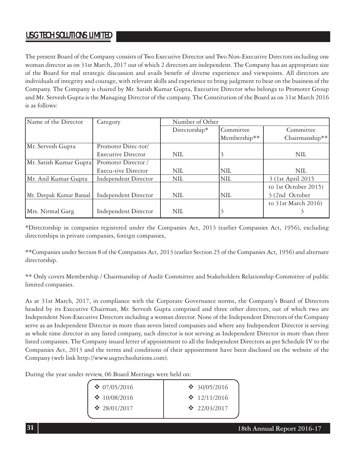The present Board of the Company consists of Two Executive Director and Two Non-Executive Directors including one woman director as on 31st March, 2017 out of which 2 directors are independent. The Company has an appropriate size of the Board for real strategic discussion and avails benefit of diverse experience and viewpoints. All directors are individuals of integrity and courage, with relevant skills and experience to bring judgment to bear on the business of the Company. The Company is chaired by Mr. Satish Kumar Gupta, Executive Director who belongs to Promoter Group and Mr. Servesh Gupta is the Managing Director of the company. The Constitution of the Board as on 31st March 2016 is as follows:

| Name of the Director    | Category                  | Number of Other |              |                      |
|-------------------------|---------------------------|-----------------|--------------|----------------------|
|                         |                           | Directorship*   | Committee    | Committee            |
|                         |                           |                 | Membership** | Chairmanship**       |
| Mr. Servesh Gupta       | Promoter Direc-tor/       |                 |              |                      |
|                         | <b>Executive Director</b> | <b>NIL</b>      | L,           | NIL                  |
| Mr. Satish Kumar Gupta  | Promoter Director /       |                 |              |                      |
|                         | Execu-tive Director       | <b>NIL</b>      | <b>NIL</b>   | NIL                  |
| Mr. Anil Kumar Gupta    | Independent Director      | NIL             | NIL          | 3 (1st April 2015)   |
|                         |                           |                 |              | to 1st October 2015) |
| Mr. Deepak Kumar Bansal | Independent Director      | <b>NIL</b>      | NIL          | 3 (2nd October       |
|                         |                           |                 |              | to 31st March 2016)  |
| Mrs. Nirmal Garg        | Independent Director      | NIL             | 3            |                      |

\*Directorship in companies registered under the Companies Act, 2013 (earlier Companies Act, 1956), excluding directorships in private companies, foreign companies,

\*\*Companies under Section 8 of the Companies Act, 2013 (earlier Section 25 of the Companies Act, 1956) and alternate directorship.

\*\* Only covers Membership / Chairmanship of Audit Committee and Stakeholders Relationship Committee of public limited companies.

As at 31st March, 2017, in compliance with the Corporate Governance norms, the Company's Board of Directors headed by its Executive Chairman, Mr. Servesh Gupta comprised and three other directors, out of which two are Independent Non-Executive Directors including a woman director. None of the Independent Directors of the Company serve as an Independent Director in more than seven listed companies and where any Independent Director is serving as whole time director in any listed company, such director is not serving as Independent Director in more than three listed companies. The Company issued letter of appointment to all the Independent Directors as per Schedule IV to the Companies Act, 2013 and the terms and conditions of their appointment have been disclosed on the website of the Company (web link http://www.usgtechsolutions.com).

During the year under review, 06 Board Meetings were held on:

| $\div$ 07/05/2016  | $\div$ 30/05/2016        |
|--------------------|--------------------------|
| $\cdot$ 10/08/2016 | $\div$ 12/11/2016        |
| $\div$ 28/01/2017  | $\cdot \cdot 22/03/2017$ |
|                    |                          |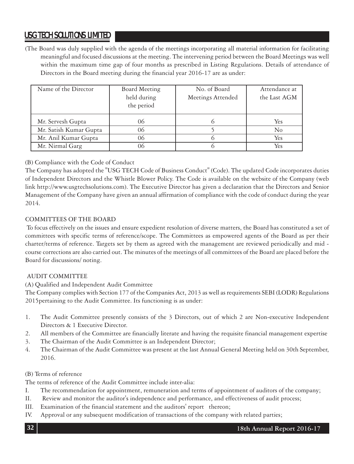(The Board was duly supplied with the agenda of the meetings incorporating all material information for facilitating meaningful and focused discussions at the meeting. The intervening period between the Board Meetings was well within the maximum time gap of four months as prescribed in Listing Regulations. Details of attendance of Directors in the Board meeting during the financial year 2016-17 are as under:

| Name of the Director<br>Board Meeting<br>held during<br>the period |    | No. of Board<br>Meetings Attended | Attendance at<br>the Last AGM |
|--------------------------------------------------------------------|----|-----------------------------------|-------------------------------|
| Mr. Servesh Gupta                                                  | 06 | $\bigcap$                         | Yes                           |
| Mr. Satish Kumar Gupta                                             | 06 |                                   | N <sub>0</sub>                |
| Mr. Anil Kumar Gupta                                               | 06 |                                   | Yes                           |
| Mr. Nirmal Garg                                                    | 06 | 6                                 | Yes                           |

# (B) Compliance with the Code of Conduct

The Company has adopted the "USG TECH Code of Business Conduct" (Code). The updated Code incorporates duties of Independent Directors and the Whistle Blower Policy. The Code is available on the website of the Company (web link http://www.usgtechsolutions.com). The Executive Director has given a declaration that the Directors and Senior Management of the Company have given an annual affirmation of compliance with the code of conduct during the year 2014.

# COMMITTEES OF THE BOARD

 To focus effectively on the issues and ensure expedient resolution of diverse matters, the Board has constituted a set of committees with specific terms of reference/scope. The Committees as empowered agents of the Board as per their charter/terms of reference. Targets set by them as agreed with the management are reviewed periodically and mid course corrections are also carried out. The minutes of the meetings of all committees of the Board are placed before the Board for discussions/ noting.

# AUDIT COMMITTEE

(A) Qualified and Independent Audit Committee

The Company complies with Section 177 of the Companies Act, 2013 as well as requirements SEBI (LODR) Regulations 2015pertaining to the Audit Committee. Its functioning is as under:

- 1. The Audit Committee presently consists of the 3 Directors, out of which 2 are Non-executive Independent Directors & 1 Executive Director.
- 2. All members of the Committee are financially literate and having the requisite financial management expertise
- 3. The Chairman of the Audit Committee is an Independent Director;
- 4. The Chairman of the Audit Committee was present at the last Annual General Meeting held on 30th September, 2016.

# (B) Terms of reference

The terms of reference of the Audit Committee include inter-alia:

- I. The recommendation for appointment, remuneration and terms of appointment of auditors of the company;
- II. Review and monitor the auditor's independence and performance, and effectiveness of audit process;
- III. Examination of the financial statement and the auditors' report thereon;
- IV. Approval or any subsequent modification of transactions of the company with related parties;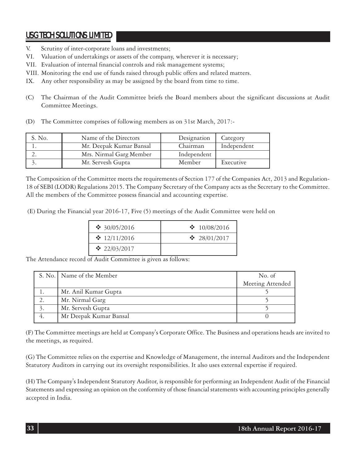- V. Scrutiny of inter-corporate loans and investments;
- VI. Valuation of undertakings or assets of the company, wherever it is necessary;
- VII. Evaluation of internal financial controls and risk management systems;
- VIII. Monitoring the end use of funds raised through public offers and related matters.
- IX. Any other responsibility as may be assigned by the board from time to time.
- (C) The Chairman of the Audit Committee briefs the Board members about the significant discussions at Audit Committee Meetings.
- (D) The Committee comprises of following members as on 31st March, 2017:-

| S. No. | Name of the Directors   | Designation | Category    |
|--------|-------------------------|-------------|-------------|
|        | Mr. Deepak Kumar Bansal | Chairman    | Independent |
|        | Mrs. Nirmal Garg Member | Independent |             |
|        | Mr. Servesh Gupta       | Member      | Executive   |

The Composition of the Committee meets the requirements of Section 177 of the Companies Act, 2013 and Regulation-18 of SEBI (LODR) Regulations 2015. The Company Secretary of the Company acts as the Secretary to the Committee. All the members of the Committee possess financial and accounting expertise.

(E) During the Financial year 2016-17, Five (5) meetings of the Audit Committee were held on

| $\cdot$ 30/05/2016 | $\div 10/08/2016$  |
|--------------------|--------------------|
| $\div 12/11/2016$  | $\cdot$ 28/01/2017 |
| $\cdot$ 22/03/2017 |                    |

The Attendance record of Audit Committee is given as follows:

|    | S. No. Name of the Member | No. of           |
|----|---------------------------|------------------|
|    |                           | Meeting Attended |
|    | Mr. Anil Kumar Gupta      |                  |
|    | Mr. Nirmal Garg           |                  |
|    | Mr. Servesh Gupta         |                  |
| 4. | Mr Deepak Kumar Bansal    |                  |

(F) The Committee meetings are held at Company's Corporate Office. The Business and operations heads are invited to the meetings, as required.

(G) The Committee relies on the expertise and Knowledge of Management, the internal Auditors and the Independent Statutory Auditors in carrying out its oversight responsibilities. It also uses external expertise if required.

(H) The Company's Independent Statutory Auditor, is responsible for performing an Independent Audit of the Financial Statements and expressing an opinion on the conformity of those financial statements with accounting principles generally accepted in India.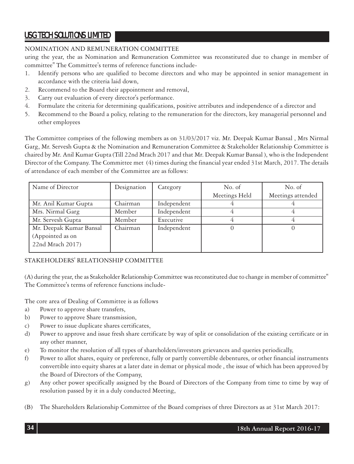# NOMINATION AND REMUNERATION COMMITTEE

uring the year, the as Nomination and Remuneration Committee was reconstituted due to change in member of committee" The Committee's terms of reference functions include-

- 1. Identify persons who are qualified to become directors and who may be appointed in senior management in accordance with the criteria laid down,
- 2. Recommend to the Board their appointment and removal,
- 3. Carry out evaluation of every director's performance.
- 4. Formulate the criteria for determining qualifications, positive attributes and independence of a director and
- 5. Recommend to the Board a policy, relating to the remuneration for the directors, key managerial personnel and other employees

The Committee comprises of the following members as on 31/03/2017 viz. Mr. Deepak Kumar Bansal , Mrs Nirmal Garg, Mr. Servesh Gupta & the Nomination and Remuneration Committee & Stakeholder Relationship Committee is chaired by Mr. Anil Kumar Gupta (Till 22nd Mrach 2017 and that Mr. Deepak Kumar Bansal ), who is the Independent Director of the Company. The Committee met (4) times during the financial year ended 31st March, 2017. The details of attendance of each member of the Committee are as follows:

| Name of Director        | Designation | Category    | No. of        | No. of            |
|-------------------------|-------------|-------------|---------------|-------------------|
|                         |             |             | Meetings Held | Meetings attended |
| Mr. Anil Kumar Gupta    | Chairman    | Independent |               |                   |
| Mrs. Nirmal Garg        | Member      | Independent |               |                   |
| Mr. Servesh Gupta       | Member      | Executive   |               |                   |
| Mr. Deepak Kumar Bansal | Chairman    | Independent |               |                   |
| (Appointed as on        |             |             |               |                   |
| 22nd Mrach 2017)        |             |             |               |                   |
|                         |             |             |               |                   |

# STAKEHOLDERS' RELATIONSHIP COMMITTEE

(A) during the year, the as Stakeholder Relationship Committee was reconstituted due to change in member of committee" The Committee's terms of reference functions include-

The core area of Dealing of Committee is as follows

- a) Power to approve share transfers,
- b) Power to approve Share transmission,
- c) Power to issue duplicate shares certificates,
- d) Power to approve and issue fresh share certificate by way of split or consolidation of the existing certificate or in any other manner,
- e) To monitor the resolution of all types of shareholders/investors grievances and queries periodically,
- f) Power to allot shares, equity or preference, fully or partly convertible debentures, or other financial instruments convertible into equity shares at a later date in demat or physical mode , the issue of which has been approved by the Board of Directors of the Company,
- g) Any other power specifically assigned by the Board of Directors of the Company from time to time by way of resolution passed by it in a duly conducted Meeting,
- (B) The Shareholders Relationship Committee of the Board comprises of three Directors as at 31st March 2017: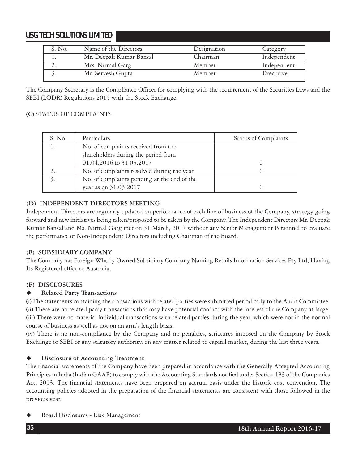| S. No.   | Name of the Directors   | Designation | Category    |
|----------|-------------------------|-------------|-------------|
|          | Mr. Deepak Kumar Bansal | Chairman    | Independent |
| <u>.</u> | Mrs. Nirmal Garg        | Member      | Independent |
|          | Mr. Servesh Gupta       | Member      | Executive   |

The Company Secretary is the Compliance Officer for complying with the requirement of the Securities Laws and the SEBI (LODR) Regulations 2015 with the Stock Exchange.

# (C) STATUS OF COMPLAINTS

| S. No. | Particulars                                 | <b>Status of Complaints</b> |
|--------|---------------------------------------------|-----------------------------|
|        | No. of complaints received from the         |                             |
|        | shareholders during the period from         |                             |
|        | 01.04.2016 to 31.03.2017                    |                             |
|        | No. of complaints resolved during the year  |                             |
|        | No. of complaints pending at the end of the |                             |
|        | year as on 31.03.2017                       |                             |

# **(D) INDEPENDENT DIRECTORS MEETING**

Independent Directors are regularly updated on performance of each line of business of the Company, strategy going forward and new initiatives being taken/proposed to be taken by the Company. The Independent Directors Mr. Deepak Kumar Bansal and Ms. Nirmal Garg met on 31 March, 2017 without any Senior Management Personnel to evaluate the performance of Non-Independent Directors including Chairman of the Board.

# **(E) SUBSIDIARY COMPANY**

The Company has Foreign Wholly Owned Subsidiary Company Naming Retails Information Services Pty Ltd, Having Its Registered office at Australia.

# **(F) DISCLOSURES**

# **Related Party Transactions**

(i) The statements containing the transactions with related parties were submitted periodically to the Audit Committee. (ii) There are no related party transactions that may have potential conflict with the interest of the Company at large. (iii) There were no material individual transactions with related parties during the year, which were not in the normal course of business as well as not on an arm's length basis.

(iv) There is no non-compliance by the Company and no penalties, strictures imposed on the Company by Stock Exchange or SEBI or any statutory authority, on any matter related to capital market, during the last three years.

# **Disclosure of Accounting Treatment**

The financial statements of the Company have been prepared in accordance with the Generally Accepted Accounting Principles in India (Indian GAAP) to comply with the Accounting Standards notified under Section 133 of the Companies Act, 2013. The financial statements have been prepared on accrual basis under the historic cost convention. The accounting policies adopted in the preparation of the financial statements are consistent with those followed in the previous year.

Board Disclosures - Risk Management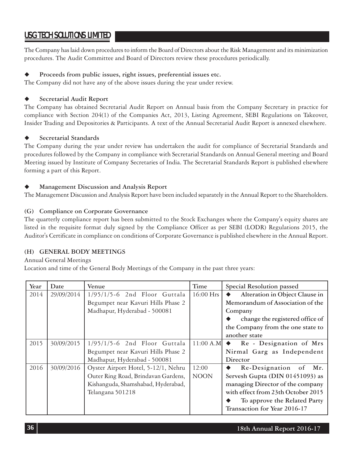The Company has laid down procedures to inform the Board of Directors about the Risk Management and its minimization procedures. The Audit Committee and Board of Directors review these procedures periodically.

# **Proceeds from public issues, right issues, preferential issues etc.**

The Company did not have any of the above issues during the year under review.

# **Secretarial Audit Report**

The Company has obtained Secretarial Audit Report on Annual basis from the Company Secretary in practice for compliance with Section 204(1) of the Companies Act, 2013, Listing Agreement, SEBI Regulations on Takeover, Insider Trading and Depositories & Participants. A text of the Annual Secretarial Audit Report is annexed elsewhere.

# **Secretarial Standards**

The Company during the year under review has undertaken the audit for compliance of Secretarial Standards and procedures followed by the Company in compliance with Secretarial Standards on Annual General meeting and Board Meeting issued by Institute of Company Secretaries of India. The Secretarial Standards Report is published elsewhere forming a part of this Report.

# **Management Discussion and Analysis Report**

The Management Discussion and Analysis Report have been included separately in the Annual Report to the Shareholders.

# **(G) Compliance on Corporate Governance**

The quarterly compliance report has been submitted to the Stock Exchanges where the Company's equity shares are listed in the requisite format duly signed by the Compliance Officer as per SEBI (LODR) Regulations 2015, the Auditor's Certificate in compliance on conditions of Corporate Governance is published elsewhere in the Annual Report.

# **(H) GENERAL BODY MEETINGS**

### Annual General Meetings

Location and time of the General Body Meetings of the Company in the past three years:

| Year | Date       | Venue                               | Time        | Special Resolution passed          |
|------|------------|-------------------------------------|-------------|------------------------------------|
| 2014 | 29/09/2014 | $1/95/1/5-6$ 2nd Floor Guttala      | $16:00$ Hrs | Alteration in Object Clause in     |
|      |            | Begumpet near Kavuri Hills Phase 2  |             | Memorandum of Association of the   |
|      |            | Madhapur, Hyderabad - 500081        |             | Company                            |
|      |            |                                     |             | change the registered office of    |
|      |            |                                     |             | the Company from the one state to  |
|      |            |                                     |             | another state                      |
| 2015 | 30/09/2015 | $1/95/1/5-6$ 2nd Floor Guttala      | $11:00$ A.M | Re - Designation of Mrs            |
|      |            | Begumpet near Kavuri Hills Phase 2  |             | Nirmal Garg as Independent         |
|      |            | Madhapur, Hyderabad - 500081        |             | Director                           |
| 2016 | 30/09/2016 | Oyster Airport Hotel, 5-12/1, Nehru | 12:00       | Re-Designation of<br>Mr.           |
|      |            | Outer Ring Road, Brindavan Gardens, | <b>NOON</b> | Servesh Gupta (DIN 01451093) as    |
|      |            | Kishanguda, Shamshabad, Hyderabad,  |             | managing Director of the company   |
|      |            | Telangana 501218                    |             | with effect from 23th October 2015 |
|      |            |                                     |             | To approve the Related Party       |
|      |            |                                     |             | Transaction for Year 2016-17       |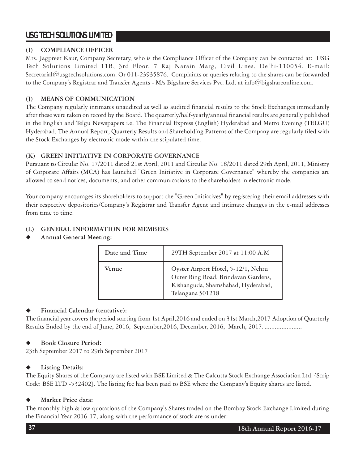# **(I) COMPLIANCE OFFICER**

Mrs. Jagpreet Kaur, Company Secretary, who is the Compliance Officer of the Company can be contacted at: USG Tech Solutions Limited 11B, 3rd Floor, 7 Raj Narain Marg, Civil Lines, Delhi-110054. E-mail: Secretarial@usgtechsolutions.com. Or 011-23935876. Complaints or queries relating to the shares can be forwarded to the Company's Registrar and Transfer Agents - M/s Bigshare Services Pvt. Ltd. at info@bigshareonline.com.

# **(J) MEANS OF COMMUNICATION**

The Company regularly intimates unaudited as well as audited financial results to the Stock Exchanges immediately after these were taken on record by the Board. The quarterly/half-yearly/annual financial results are generally published in the English and Telgu Newspapers i.e. The Financial Express (English) Hyderabad and Metro Evening (TELGU) Hyderabad. The Annual Report, Quarterly Results and Shareholding Patterns of the Company are regularly filed with the Stock Exchanges by electronic mode within the stipulated time.

# **(K) GREEN INITIATIVE IN CORPORATE GOVERNANCE**

Pursuant to Circular No. 17/2011 dated 21st April, 2011 and Circular No. 18/2011 dated 29th April, 2011, Ministry of Corporate Affairs (MCA) has launched "Green Initiative in Corporate Governance" whereby the companies are allowed to send notices, documents, and other communications to the shareholders in electronic mode.

Your company encourages its shareholders to support the "Green Initiatives" by registering their email addresses with their respective depositories/Company's Registrar and Transfer Agent and intimate changes in the e-mail addresses from time to time.

# **(L) GENERAL INFORMATION FOR MEMBERS**

**Annual General Meeting:**

| Date and Time | 29TH September 2017 at 11:00 A.M                                                                                                     |
|---------------|--------------------------------------------------------------------------------------------------------------------------------------|
| Venue         | Oyster Airport Hotel, 5-12/1, Nehru<br>Outer Ring Road, Brindavan Gardens,<br>Kishanguda, Shamshabad, Hyderabad,<br>Telangana 501218 |

# **Financial Calendar (tentative):**

The financial year covers the period starting from 1st April,2016 and ended on 31st March,2017 Adoption of Quarterly Results Ended by the end of June, 2016, September, 2016, December, 2016, March, 2017. .......................

# **Book Closure Period:**

23th September 2017 to 29th September 2017

# **Listing Details:**

The Equity Shares of the Company are listed with BSE Limited & The Calcutta Stock Exchange Association Ltd. [Scrip Code: BSE LTD -532402]. The listing fee has been paid to BSE where the Company's Equity shares are listed.

# **Market Price data:**

The monthly high & low quotations of the Company's Shares traded on the Bombay Stock Exchange Limited during the Financial Year 2016-17, along with the performance of stock are as under: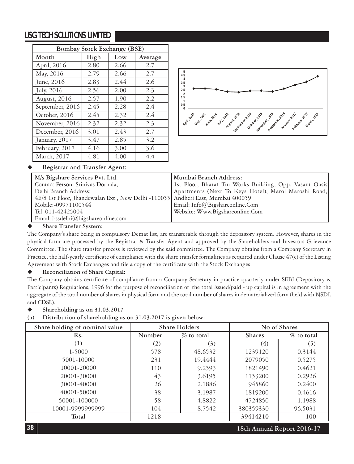| Bombay Stock Exchange (BSE) |      |      |         |  |
|-----------------------------|------|------|---------|--|
| Month                       | High | Low  | Average |  |
| April, 2016                 | 2.80 | 2.66 | 2.7     |  |
| May, 2016                   | 2.79 | 2.66 | 2.7     |  |
| June, 2016                  | 2.83 | 2.44 | 2.6     |  |
| July, 2016                  | 2.56 | 2.00 | 2.3     |  |
| August, 2016                | 2.57 | 1.90 | 2.2     |  |
| September, 2016             | 2.45 | 2.28 | 2.4     |  |
| October, 2016               | 2.45 | 2.32 | 2.4     |  |
| November, 2016              | 2.32 | 2.32 | 2.3     |  |
| December, 2016              | 3.01 | 2.43 | 2.7     |  |
| January, 2017               | 3.47 | 2.85 | 3.2     |  |
| February, 2017              | 4.16 | 3.00 | 3.6     |  |
| March, 2017                 | 4.81 | 4.00 | 4.4     |  |



# **Registrar and Transfer Agent:**

| M/s Bigshare Services Pvt. Ltd.                                                 | Mumbai Branch Address:                                  |
|---------------------------------------------------------------------------------|---------------------------------------------------------|
| Contact Person: Srinivas Dornala,                                               | 1st Floor, Bharat Tin Works Building, Opp. Vasant Oasis |
| Delhi Branch Address:                                                           | Apartments (Next To Keys Hotel), Marol Maroshi Road,    |
| 4E/8 1st Floor, Jhandewalan Ext., New Delhi -110055 Andheri East, Mumbai 400059 |                                                         |
| Mobile:-09971100544                                                             | Email: Info@Bigshareonline.Com                          |
| Tel: 011-42425004                                                               | Website: Www.Bigshareonline.Com                         |
| Email: bssdelhi@bigshareonline.com                                              |                                                         |

### **Share Transfer System:**

The Company's share being in compulsory Demat list, are transferable through the depository system. However, shares in the physical form are processed by the Registrar & Transfer Agent and approved by the Shareholders and Investors Grievance Committee. The share transfer process is reviewed by the said committee. The Company obtains from a Company Secretary in Practice, the half-yearly certificate of compliance with the share transfer formalities as required under Clause 47(c) of the Listing Agreement with Stock Exchanges and file a copy of the certificate with the Stock Exchanges.

### **Reconciliation of Share Capital:**

The Company obtains certificate of compliance from a Company Secretary in practice quarterly under SEBI (Depository & Participants) Regulations, 1996 for the purpose of reconciliation of the total issued/paid - up capital is in agreement with the aggregate of the total number of shares in physical form and the total number of shares in dematerialized form (held with NSDL and CDSL).

- ◆ Shareholding as on 31.03.2017
- **(a) Distribution of shareholding as on 31.03.2017 is given below:**

| Share holding of nominal value   | Share Holders |               |               | No of Shares  |
|----------------------------------|---------------|---------------|---------------|---------------|
| Rs.                              | Number        | $\%$ to total | <b>Shares</b> | $\%$ to total |
| (1)                              | (2)           | (3)           | (4)           | (5)           |
| 1-5000                           | 578           | 48.6532       | 1239120       | 0.3144        |
| 5001-10000                       | 231           | 19.4444       | 2079050       | 0.5275        |
| 10001-20000                      | 110           | 9.2593        | 1821490       | 0.4621        |
| 20001-30000                      | 43            | 3.6195        | 1153200       | 0.2926        |
| 30001-40000                      | 26            | 2.1886        | 945860        | 0.2400        |
| 40001-50000                      | 38            | 3.1987        | 1819200       | 0.4616        |
| 50001-100000                     | 58            | 4.8822        | 4724850       | 1.1988        |
| 10001-9999999999                 | 104           | 8.7542        | 380359330     | 96.5031       |
| Total                            | 1218          |               | 39414210      | 100           |
| 38<br>18th Annual Report 2016-17 |               |               |               |               |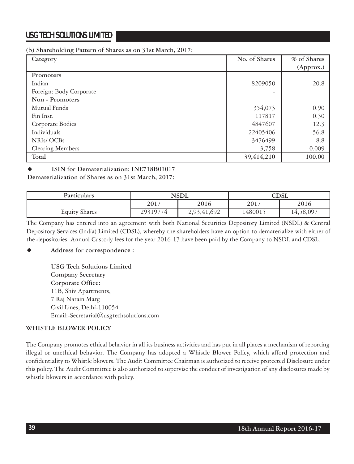### **(b) Shareholding Pattern of Shares as on 31st March, 2017:**

| Category                | No. of Shares | % of Shares |
|-------------------------|---------------|-------------|
|                         |               | (Approx.)   |
| Promoters               |               |             |
| Indian                  | 8209050       | 20.8        |
| Foreign: Body Corporate |               |             |
| Non - Promoters         |               |             |
| Mutual Funds            | 354,073       | 0.90        |
| Fin Inst.               | 117817        | 0.30        |
| Corporate Bodies        | 4847607       | 12.3        |
| Individuals             | 22405406      | 56.8        |
| NRIs/OCBs               | 3476499       | 8.8         |
| Clearing Members        | 3,758         | 0.009       |
| Total                   | 39,414,210    | 100.00      |

# **ISIN for Dematerialization: INE718B01017**

**Dematerialization of Shares as on 31st March, 2017:**

| <b>Particulars</b>   | <b>NSDL</b>  |             |         | CDSL      |
|----------------------|--------------|-------------|---------|-----------|
|                      | 2016<br>2017 |             | 2017    | 2016      |
| <b>Equity Shares</b> | 29319774     | 2,93,41,692 | 1480015 | 14,58,097 |

The Company has entered into an agreement with both National Securities Depository Limited (NSDL) & Central Depository Services (India) Limited (CDSL), whereby the shareholders have an option to dematerialize with either of the depositories. Annual Custody fees for the year 2016-17 have been paid by the Company to NSDL and CDSL.

# **Address for correspondence :**

**USG Tech Solutions Limited Company Secretary Corporate Office:** 11B, Shiv Apartments, 7 Raj Narain Marg Civil Lines, Delhi-110054 Email:-Secretarial@usgtechsolutions.com

# **WHISTLE BLOWER POLICY**

The Company promotes ethical behavior in all its business activities and has put in all places a mechanism of reporting illegal or unethical behavior. The Company has adopted a Whistle Blower Policy, which afford protection and confidentiality to Whistle blowers. The Audit Committee Chairman is authorized to receive protected Disclosure under this policy. The Audit Committee is also authorized to supervise the conduct of investigation of any disclosures made by whistle blowers in accordance with policy.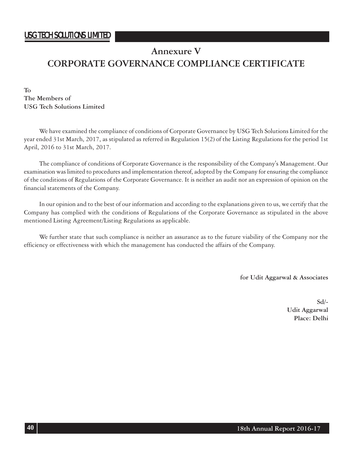# **Annexure V**

# **CORPORATE GOVERNANCE COMPLIANCE CERTIFICATE**

**To The Members of USG Tech Solutions Limited**

We have examined the compliance of conditions of Corporate Governance by USG Tech Solutions Limited for the year ended 31st March, 2017, as stipulated as referred in Regulation 15(2) of the Listing Regulations for the period 1st April, 2016 to 31st March, 2017.

The compliance of conditions of Corporate Governance is the responsibility of the Company's Management. Our examination was limited to procedures and implementation thereof, adopted by the Company for ensuring the compliance of the conditions of Regulations of the Corporate Governance. It is neither an audit nor an expression of opinion on the financial statements of the Company.

In our opinion and to the best of our information and according to the explanations given to us, we certify that the Company has complied with the conditions of Regulations of the Corporate Governance as stipulated in the above mentioned Listing Agreement/Listing Regulations as applicable.

We further state that such compliance is neither an assurance as to the future viability of the Company nor the efficiency or effectiveness with which the management has conducted the affairs of the Company.

 **for Udit Aggarwal & Associates**

**Sd/- Udit Aggarwal Place: Delhi**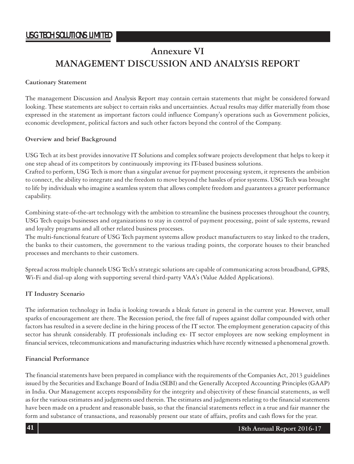# **Annexure VI MANAGEMENT DISCUSSION AND ANALYSIS REPORT**

### **Cautionary Statement**

The management Discussion and Analysis Report may contain certain statements that might be considered forward looking. These statements are subject to certain risks and uncertainties. Actual results may differ materially from those expressed in the statement as important factors could influence Company's operations such as Government policies, economic development, political factors and such other factors beyond the control of the Company.

# **Overview and brief Background**

USG Tech at its best provides innovative IT Solutions and complex software projects development that helps to keep it one step ahead of its competitors by continuously improving its IT-based business solutions.

Crafted to perform, USG Tech is more than a singular avenue for payment processing system, it represents the ambition to connect, the ability to integrate and the freedom to move beyond the hassles of prior systems. USG Tech was brought to life by individuals who imagine a seamless system that allows complete freedom and guarantees a greater performance capability.

Combining state-of-the-art technology with the ambition to streamline the business processes throughout the country, USG Tech equips businesses and organizations to stay in control of payment processing, point of sale systems, reward and loyalty programs and all other related business processes.

The multi-functional feature of USG Tech payment systems allow product manufacturers to stay linked to the traders, the banks to their customers, the government to the various trading points, the corporate houses to their branched processes and merchants to their customers.

Spread across multiple channels USG Tech's strategic solutions are capable of communicating across broadband, GPRS, Wi-Fi and dial-up along with supporting several third-party VAA's (Value Added Applications).

# **IT Industry Scenario**

The information technology in India is looking towards a bleak future in general in the current year. However, small sparks of encouragement are there. The Recession period, the free fall of rupees against dollar compounded with other factors has resulted in a severe decline in the hiring process of the IT sector. The employment generation capacity of this sector has shrunk considerably. IT professionals including ex- IT sector employees are now seeking employment in financial services, telecommunications and manufacturing industries which have recently witnessed a phenomenal growth.

# **Financial Performance**

The financial statements have been prepared in compliance with the requirements of the Companies Act, 2013 guidelines issued by the Securities and Exchange Board of India (SEBI) and the Generally Accepted Accounting Principles (GAAP) in India. Our Management accepts responsibility for the integrity and objectivity of these financial statements, as well as for the various estimates and judgments used therein. The estimates and judgments relating to the financial statements have been made on a prudent and reasonable basis, so that the financial statements reflect in a true and fair manner the form and substance of transactions, and reasonably present our state of affairs, profits and cash flows for the year.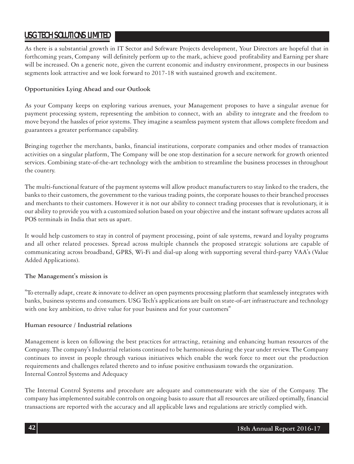As there is a substantial growth in IT Sector and Software Projects development, Your Directors are hopeful that in forthcoming years, Company will definitely perform up to the mark, achieve good profitability and Earning per share will be increased. On a generic note, given the current economic and industry environment, prospects in our business segments look attractive and we look forward to 2017-18 with sustained growth and excitement.

# **Opportunities Lying Ahead and our Outlook**

As your Company keeps on exploring various avenues, your Management proposes to have a singular avenue for payment processing system, representing the ambition to connect, with an ability to integrate and the freedom to move beyond the hassles of prior systems. They imagine a seamless payment system that allows complete freedom and guarantees a greater performance capability.

Bringing together the merchants, banks, financial institutions, corporate companies and other modes of transaction activities on a singular platform, The Company will be one stop destination for a secure network for growth oriented services. Combining state-of-the-art technology with the ambition to streamline the business processes in throughout the country.

The multi-functional feature of the payment systems will allow product manufacturers to stay linked to the traders, the banks to their customers, the government to the various trading points, the corporate houses to their branched processes and merchants to their customers. However it is not our ability to connect trading processes that is revolutionary, it is our ability to provide you with a customized solution based on your objective and the instant software updates across all POS terminals in India that sets us apart.

It would help customers to stay in control of payment processing, point of sale systems, reward and loyalty programs and all other related processes. Spread across multiple channels the proposed strategic solutions are capable of communicating across broadband, GPRS, Wi-Fi and dial-up along with supporting several third-party VAA's (Value Added Applications).

# **The Management's mission is**

"To eternally adapt, create & innovate to deliver an open payments processing platform that seamlessely integrates with banks, business systems and consumers. USG Tech's applications are built on state-of-art infrastructure and technology with one key ambition, to drive value for your business and for your customers"

### **Human resource / Industrial relations**

Management is keen on following the best practices for attracting, retaining and enhancing human resources of the Company. The company's Industrial relations continued to be harmonious during the year under review. The Company continues to invest in people through various initiatives which enable the work force to meet out the production requirements and challenges related thereto and to infuse positive enthusiasm towards the organization. Internal Control Systems and Adequacy

The Internal Control Systems and procedure are adequate and commensurate with the size of the Company. The company has implemented suitable controls on ongoing basis to assure that all resources are utilized optimally, financial transactions are reported with the accuracy and all applicable laws and regulations are strictly complied with.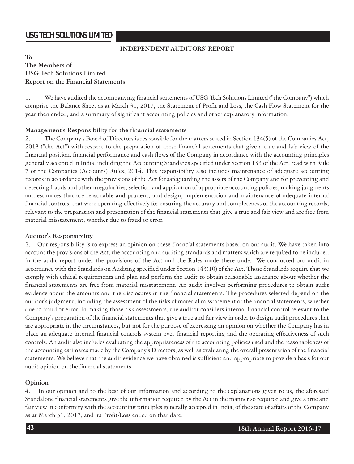### **INDEPENDENT AUDITORS' REPORT**

# **To The Members of USG Tech Solutions Limited Report on the Financial Statements**

1. We have audited the accompanying financial statements of USG Tech Solutions Limited ("the Company") which comprise the Balance Sheet as at March 31, 2017, the Statement of Profit and Loss, the Cash Flow Statement for the year then ended, and a summary of significant accounting policies and other explanatory information.

### **Management's Responsibility for the financial statements**

2. The Company's Board of Directors is responsible for the matters stated in Section 134(5) of the Companies Act, 2013 ("the Act") with respect to the preparation of these financial statements that give a true and fair view of the financial position, financial performance and cash flows of the Company in accordance with the accounting principles generally accepted in India, including the Accounting Standards specified under Section 133 of the Act, read with Rule 7 of the Companies (Accounts) Rules, 2014. This responsibility also includes maintenance of adequate accounting records in accordance with the provisions of the Act for safeguarding the assets of the Company and for preventing and detecting frauds and other irregularities; selection and application of appropriate accounting policies; making judgments and estimates that are reasonable and prudent; and design, implementation and maintenance of adequate internal financial controls, that were operating effectively for ensuring the accuracy and completeness of the accounting records, relevant to the preparation and presentation of the financial statements that give a true and fair view and are free from material misstatement, whether due to fraud or error.

# **Auditor's Responsibility**

3. Our responsibility is to express an opinion on these financial statements based on our audit. We have taken into account the provisions of the Act, the accounting and auditing standards and matters which are required to be included in the audit report under the provisions of the Act and the Rules made there under. We conducted our audit in accordance with the Standards on Auditing specified under Section 143(10) of the Act. Those Standards require that we comply with ethical requirements and plan and perform the audit to obtain reasonable assurance about whether the financial statements are free from material misstatement. An audit involves performing procedures to obtain audit evidence about the amounts and the disclosures in the financial statements. The procedures selected depend on the auditor's judgment, including the assessment of the risks of material misstatement of the financial statements, whether due to fraud or error. In making those risk assessments, the auditor considers internal financial control relevant to the Company's preparation of the financial statements that give a true and fair view in order to design audit procedures that are appropriate in the circumstances, but not for the purpose of expressing an opinion on whether the Company has in place an adequate internal financial controls system over financial reporting and the operating effectiveness of such controls. An audit also includes evaluating the appropriateness of the accounting policies used and the reasonableness of the accounting estimates made by the Company's Directors, as well as evaluating the overall presentation of the financial statements. We believe that the audit evidence we have obtained is sufficient and appropriate to provide a basis for our audit opinion on the financial statements

# **Opinion**

4. In our opinion and to the best of our information and according to the explanations given to us, the aforesaid Standalone financial statements give the information required by the Act in the manner so required and give a true and fair view in conformity with the accounting principles generally accepted in India, of the state of affairs of the Company as at March 31, 2017, and its Profit/Loss ended on that date.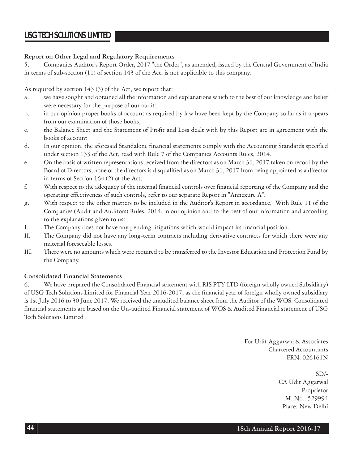# **Report on Other Legal and Regulatory Requirements**

5. Companies Auditor's Report Order, 2017 "the Order", as amended, issued by the Central Government of India in terms of sub-section (11) of section 143 of the Act, is not applicable to this company.

As required by section 143 (3) of the Act, we report that:

- a. we have sought and obtained all the information and explanations which to the best of our knowledge and belief were necessary for the purpose of our audit;
- b. in our opinion proper books of account as required by law have been kept by the Company so far as it appears from our examination of those books;
- c. the Balance Sheet and the Statement of Profit and Loss dealt with by this Report are in agreement with the books of account
- d. In our opinion, the aforesaid Standalone financial statements comply with the Accounting Standards specified under section 133 of the Act, read with Rule 7 of the Companies Accounts Rules, 2014.
- e. On the basis of written representations received from the directors as on March 31, 2017 taken on record by the Board of Directors, none of the directors is disqualified as on March 31, 2017 from being appointed as a director in terms of Section 164 (2) of the Act.
- f. With respect to the adequacy of the internal financial controls over financial reporting of the Company and the operating effectiveness of such controls, refer to our separate Report in "Annexure A".
- g. With respect to the other matters to be included in the Auditor's Report in accordance, With Rule 11 of the Companies (Audit and Auditors) Rules, 2014, in our opinion and to the best of our information and according to the explanations given to us:
- I. The Company does not have any pending litigations which would impact its financial position.
- II. The Company did not have any long-term contracts including derivative contracts for which there were any material foreseeable losses.
- III. There were no amounts which were required to be transferred to the Investor Education and Protection Fund by the Company.

# **Consolidated Financial Statements**

6. We have prepared the Consolidated Financial statement with RIS PTY LTD (foreign wholly owned Subsidiary) of USG Tech Solutions Limited for Financial Year 2016-2017, as the financial year of foreign wholly owned subsidiary is 1st July 2016 to 30 June 2017. We received the unaudited balance sheet from the Auditor of the WOS. Consolidated financial statements are based on the Un-audited Financial statement of WOS & Audited Financial statement of USG Tech Solutions Limited

> For Udit Aggarwal & Associates Chartered Accountants FRN: 026161N

> > $SD/-$ CA Udit Aggarwal Proprietor M. No.: 529994 Place: New Delhi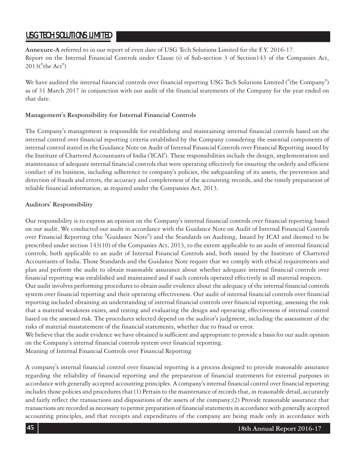**Annexure-A** referred to in our report of even date of USG Tech Solutions Limited for the F.Y. 2016-17. Report on the Internal Financial Controls under Clause (i) of Sub-section 3 of Section143 of the Companies Act, 2013("the Act")

We have audited the internal financial controls over financial reporting USG Tech Solutions Limited ("the Company") as of 31 March 2017 in conjunction with our audit of the financial statements of the Company for the year ended on that date.

# **Management's Responsibility for Internal Financial Controls**

The Company's management is responsible for establishing and maintaining internal financial controls based on the internal control over financial reporting criteria established by the Company considering the essential components of internal control stated in the Guidance Note on Audit of Internal Financial Controls over Financial Reporting issued by the Institute of Chartered Accountants of India ('ICAI'). These responsibilities include the design, implementation and maintenance of adequate internal financial controls that were operating effectively for ensuring the orderly and efficient conduct of its business, including adherence to company's policies, the safeguarding of its assets, the prevention and detection of frauds and errors, the accuracy and completeness of the accounting records, and the timely preparation of reliable financial information, as required under the Companies Act, 2013.

# **Auditors' Responsibility**

Our responsibility is to express an opinion on the Company's internal financial controls over financial reporting based on our audit. We conducted our audit in accordance with the Guidance Note on Audit of Internal Financial Controls over Financial Reporting (the "Guidance Note") and the Standards on Auditing, Issued by ICAI and deemed to be prescribed under section 143(10) of the Companies Act, 2013, to the extent applicable to an audit of internal financial controls, both applicable to an audit of Internal Financial Controls and, both issued by the Institute of Chartered Accountants of India. Those Standards and the Guidance Note require that we comply with ethical requirements and plan and perform the audit to obtain reasonable assurance about whether adequate internal financial controls over financial reporting was established and maintained and if such controls operated effectively in all material respects.

Our audit involves performing procedures to obtain audit evidence about the adequacy of the internal financial controls system over financial reporting and their operating effectiveness. Our audit of internal financial controls over financial reporting included obtaining an understanding of internal financial controls over financial reporting, assessing the risk that a material weakness exists, and testing and evaluating the design and operating effectiveness of internal control based on the assessed risk. The procedures selected depend on the auditor's judgment, including the assessment of the risks of material misstatement of the financial statements, whether due to fraud or error.

We believe that the audit evidence we have obtained is sufficient and appropriate to provide a basis for our audit opinion on the Company's internal financial controls system over financial reporting.

Meaning of Internal Financial Controls over Financial Reporting

A company's internal financial control over financial reporting is a process designed to provide reasonable assurance regarding the reliability of financial reporting and the preparation of financial statements for external purposes in accordance with generally accepted accounting principles. A company's internal financial control over financial reporting includes those policies and procedures that (1) Pertain to the maintenance of records that, in reasonable detail, accurately and fairly reflect the transactions and dispositions of the assets of the company;(2) Provide reasonable assurance that transactions are recorded as necessary to permit preparation of financial statements in accordance with generally accepted accounting principles, and that receipts and expenditures of the company are being made only in accordance with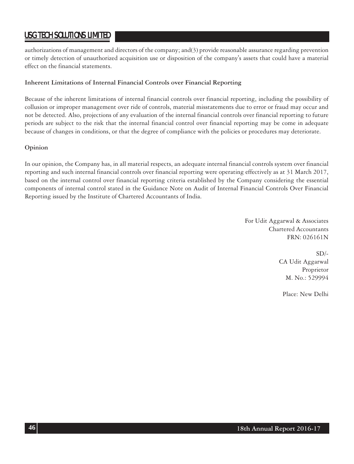authorizations of management and directors of the company; and(3) provide reasonable assurance regarding prevention or timely detection of unauthorized acquisition use or disposition of the company's assets that could have a material effect on the financial statements.

# **Inherent Limitations of Internal Financial Controls over Financial Reporting**

Because of the inherent limitations of internal financial controls over financial reporting, including the possibility of collusion or improper management over ride of controls, material misstatements due to error or fraud may occur and not be detected. Also, projections of any evaluation of the internal financial controls over financial reporting to future periods are subject to the risk that the internal financial control over financial reporting may be come in adequate because of changes in conditions, or that the degree of compliance with the policies or procedures may deteriorate.

# **Opinion**

In our opinion, the Company has, in all material respects, an adequate internal financial controls system over financial reporting and such internal financial controls over financial reporting were operating effectively as at 31 March 2017, based on the internal control over financial reporting criteria established by the Company considering the essential components of internal control stated in the Guidance Note on Audit of Internal Financial Controls Over Financial Reporting issued by the Institute of Chartered Accountants of India.

> For Udit Aggarwal & Associates Chartered Accountants FRN: 026161N

> > $SD/-$ CA Udit Aggarwal Proprietor M. No.: 529994

Place: New Delhi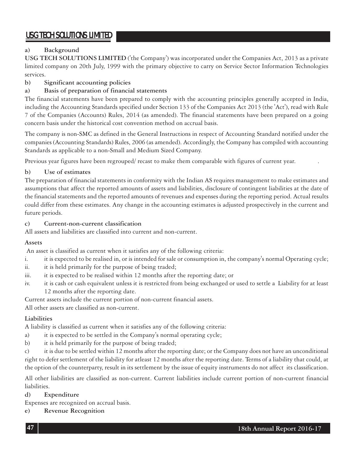# **a) Background**

**USG TECH SOLUTIONS LIMITED** ('the Company') was incorporated under the Companies Act, 2013 as a private limited company on 20th July, 1999 with the primary objective to carry on Service Sector Information Technologies services.

# **b) Significant accounting policies**

# **a) Basis of preparation of financial statements**

The financial statements have been prepared to comply with the accounting principles generally accepted in India, including the Accounting Standards specified under Section 133 of the Companies Act 2013 (the 'Act'), read with Rule 7 of the Companies (Accounts) Rules, 2014 (as amended). The financial statements have been prepared on a going concern basis under the historical cost convention method on accrual basis.

The company is non-SMC as defined in the General Instructions in respect of Accounting Standard notified under the companies (Accounting Standards) Rules, 2006 (as amended). Accordingly, the Company has compiled with accounting Standards as applicable to a non-Small and Medium Sized Company.

Previous year figures have been regrouped/ recast to make them comparable with figures of current year. .

# **b) Use of estimates**

The preparation of financial statements in conformity with the Indian AS requires management to make estimates and assumptions that affect the reported amounts of assets and liabilities, disclosure of contingent liabilities at the date of the financial statements and the reported amounts of revenues and expenses during the reporting period. Actual results could differ from these estimates. Any change in the accounting estimates is adjusted prospectively in the current and future periods.

# **c) Current-non-current classification**

All assets and liabilities are classified into current and non-current.

# **Assets**

An asset is classified as current when it satisfies any of the following criteria:

- i. it is expected to be realised in, or is intended for sale or consumption in, the company's normal Operating cycle;
- ii. it is held primarily for the purpose of being traded;
- iii. it is expected to be realised within 12 months after the reporting date; or
- iv. it is cash or cash equivalent unless it is restricted from being exchanged or used to settle a Liability for at least 12 months after the reporting date.

Current assets include the current portion of non-current financial assets.

All other assets are classified as non-current.

# **Liabilities**

A liability is classified as current when it satisfies any of the following criteria:

a) it is expected to be settled in the Company's normal operating cycle;

b) it is held primarily for the purpose of being traded;

c) it is due to be settled within 12 months after the reporting date; or the Company does not have an unconditional right to defer settlement of the liability for atleast 12 months after the reporting date. Terms of a liability that could, at the option of the counterparty, result in its settlement by the issue of equity instruments do not affect its classification.

All other liabilities are classified as non-current. Current liabilities include current portion of non-current financial liabilities.

### **d) Expenditure**

Expenses are recognized on accrual basis.

# **e) Revenue Recognition**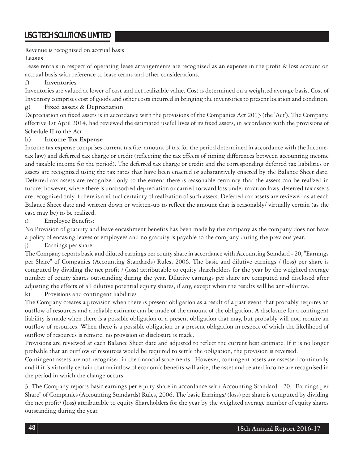Revenue is recognized on accrual basis

### **Leases**

Lease rentals in respect of operating lease arrangements are recognized as an expense in the profit & loss account on accrual basis with reference to lease terms and other considerations.

# **f) Inventories**

Inventories are valued at lower of cost and net realizable value. Cost is determined on a weighted average basis. Cost of Inventory comprises cost of goods and other costs incurred in bringing the inventories to present location and condition.

# **g) Fixed assets & Depreciation**

Depreciation on fixed assets is in accordance with the provisions of the Companies Act 2013 (the 'Act'). The Company, effective 1st April 2014, had reviewed the estimated useful lives of its fixed assets, in accordance with the provisions of Schedule II to the Act.

### **h) Income Tax Expense**

Income tax expense comprises current tax (i.e. amount of tax for the period determined in accordance with the Incometax law) and deferred tax charge or credit (reflecting the tax effects of timing differences between accounting income and taxable income for the period). The deferred tax charge or credit and the corresponding deferred tax liabilities or assets are recognized using the tax rates that have been enacted or substantively enacted by the Balance Sheet date. Deferred tax assets are recognized only to the extent there is reasonable certainty that the assets can be realized in future; however, where there is unabsorbed depreciation or carried forward loss under taxation laws, deferred tax assets are recognized only if there is a virtual certainty of realization of such assets. Deferred tax assets are reviewed as at each Balance Sheet date and written down or written-up to reflect the amount that is reasonably/ virtually certain (as the case may be) to be realized.

i) Employee Benefits:

No Provision of gratuity and leave encashment benefits has been made by the company as the company does not have a policy of encasing leaves of employees and no gratuity is payable to the company during the previous year.

j) Earnings per share:

The Company reports basic and diluted earnings per equity share in accordance with Accounting Standard - 20, "Earnings per Share" of Companies (Accounting Standards) Rules, 2006. The basic and dilutive earnings / (loss) per share is computed by dividing the net profit / (loss) attributable to equity shareholders for the year by the weighted average number of equity shares outstanding during the year. Dilutive earnings per share are computed and disclosed after adjusting the effects of all dilutive potential equity shares, if any, except when the results will be anti-dilutive.

k) Provisions and contingent liabilities

The Company creates a provision when there is present obligation as a result of a past event that probably requires an outflow of resources and a reliable estimate can be made of the amount of the obligation. A disclosure for a contingent liability is made when there is a possible obligation or a present obligation that may, but probably will not, require an outflow of resources. When there is a possible obligation or a present obligation in respect of which the likelihood of outflow of resources is remote, no provision or disclosure is made.

Provisions are reviewed at each Balance Sheet date and adjusted to reflect the current best estimate. If it is no longer probable that an outflow of resources would be required to settle the obligation, the provision is reversed.

Contingent assets are not recognised in the financial statements. However, contingent assets are assessed continually and if it is virtually certain that an inflow of economic benefits will arise, the asset and related income are recognised in the period in which the change occurs

3. The Company reports basic earnings per equity share in accordance with Accounting Standard - 20, "Earnings per Share" of Companies (Accounting Standards) Rules, 2006. The basic Earnings/ (loss) per share is computed by dividing the net profit/ (loss) attributable to equity Shareholders for the year by the weighted average number of equity shares outstanding during the year.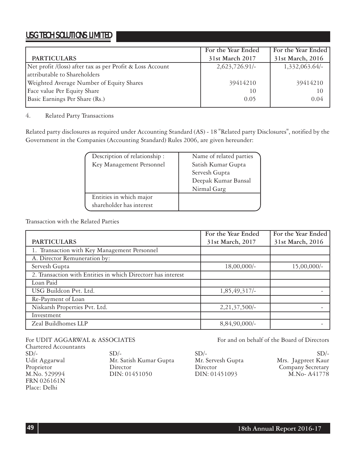|                                                           | For the Year Ended | For the Year Ended |
|-----------------------------------------------------------|--------------------|--------------------|
| <b>PARTICULARS</b>                                        | 31st March 2017    | 31st March, 2016   |
| Net profit /(loss) after tax as per Profit & Loss Account | $2,623,726.91/-$   | $1,332,063.64/-$   |
| attributable to Shareholders                              |                    |                    |
| Weighted Average Number of Equity Shares                  | 39414210           | 39414210           |
| Face value Per Equity Share                               | 10                 | 10                 |
| Basic Earnings Per Share (Rs.)                            | 0.05               | 0.04               |

### 4. Related Party Transactions

Related party disclosures as required under Accounting Standard (AS) - 18 "Related party Disclosures", notified by the Government in the Companies (Accounting Standard) Rules 2006, are given hereunder:

| Description of relationship: | Name of related parties |
|------------------------------|-------------------------|
| Key Management Personnel     | Satish Kumar Gupta      |
|                              | Servesh Gupta           |
|                              | Deepak Kumar Bansal     |
|                              | Nirmal Garg             |
| Entities in which major      |                         |
| shareholder has interest     |                         |

Transaction with the Related Parties

|                                                              | For the Year Ended | For the Year Ended |
|--------------------------------------------------------------|--------------------|--------------------|
| <b>PARTICULARS</b>                                           | 31st March, 2017   | 31st March, 2016   |
| 1. Transaction with Key Management Personnel                 |                    |                    |
| A. Director Remuneration by:                                 |                    |                    |
| Servesh Gupta                                                | $18,00,000/$ -     | $15,00,000/-$      |
| 2. Transaction with Entities in which Directorr has interest |                    |                    |
| Loan Paid                                                    |                    |                    |
| USG Buildcon Pvt. Ltd.                                       | $1,85,49,317/-$    |                    |
| Re-Payment of Loan                                           |                    |                    |
| Niskarsh Properties Pvt. Ltd.                                | $2,21,37,500/-$    |                    |
| Investment                                                   |                    |                    |
| Zeal Buildhomes LLP                                          | $8,84,90,000/$ -   |                    |

Chartered Accountants FRN 026161N Place: Delhi

 $SD/ SD/ SD/-$ Udit Aggarwal Mr. Satish Kumar Gupta Mr. Servesh Gupta Mrs. Jagpreet Kaur Proprietor Director Director Company Secretary

For UDIT AGGARWAL & ASSOCIATES For and on behalf of the Board of Directors

DIN: 01451093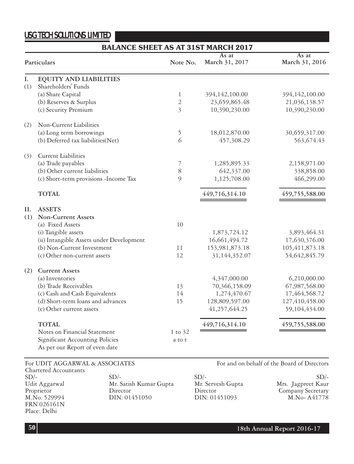# **BALANCE SHEET AS AT 31ST MARCH 2017**

|     |                                          |                           | As at          | As at          |
|-----|------------------------------------------|---------------------------|----------------|----------------|
|     | Particulars                              | Note No.                  | March 31, 2017 | March 31, 2016 |
| I.  | <b>EQUITY AND LIABILITIES</b>            |                           |                |                |
| (1) | Shareholders' Funds                      |                           |                |                |
|     | (a) Share Capital                        | $\mathbf{1}$              | 394,142,100.00 | 394,142,100.00 |
|     | (b) Reserves & Surplus                   | $\overline{c}$            | 23,659,865.48  | 21,036,138.57  |
|     | (c) Security Premium                     | $\overline{\mathfrak{Z}}$ | 10,390,230.00  | 10,390,230.00  |
| (2) | Non-Current Liabilities                  |                           |                |                |
|     | (a) Long term borrowings                 | 5                         | 18,012,870.00  | 30,659,317.00  |
|     | (b) Deferred tax liabilities(Net)        | 6                         | 457,308.29     | 563,674.43     |
| (3) | Current Liabilities                      |                           |                |                |
|     | (a) Trade payables                       | 7                         | 1,285,895.33   | 2,158,971.00   |
|     | (b) Other current liabilities            | 8                         | 642,337.00     | 338,858.00     |
|     | (c) Short-term provisions -Income Tax    | 9                         | 1,125,708.00   | 466,299.00     |
|     | <b>TOTAL</b>                             |                           | 449,716,314.10 | 459,755,588.00 |
| II. | <b>ASSETS</b>                            |                           |                |                |
| (1) | <b>Non-Current Assets</b>                |                           |                |                |
|     | (a) Fixed Assets                         | 10                        |                |                |
|     | (i) Tangible assets                      |                           | 1,873,724.12   | 3,893,464.31   |
|     | (ii) Intangible Assets under Development |                           | 16,661,494.72  | 17,630,376.00  |
|     | (b) Non-Current Investment               | 11                        | 153,981,873.18 | 105,411,873.18 |
|     | (c) Other non-current assets             | 12                        | 31,144,352.07  | 54,642,845.79  |
| (2) | <b>Current Assets</b>                    |                           |                |                |
|     | (a) Inventories                          |                           | 4,347,000.00   | 6,210,000.00   |
|     | (b) Trade Receivables                    | 13                        | 70,366,158.09  | 67,987,568.00  |
|     | (c) Cash and Cash Equivalents            | 14                        | 1,274,470.67   | 17,464,568.72  |
|     | (d) Short-term loans and advances        | 15                        | 128,809,597.00 | 127,410,458.00 |
|     | (e) Other current assets                 |                           | 41,257,644.25  | 59,104,434.00  |
|     | <b>TOTAL</b>                             |                           | 449,716,314.10 | 459,755,588.00 |
|     | Notes on Financial Statement             | $1 \text{ to } 32$        |                |                |
|     | <b>Significant Accounting Policies</b>   | a to t                    |                |                |
|     | As per our Report of even date           |                           |                |                |

Chartered Accountants  $SD/$ -  $SD/$ -  $SD/$ -  $SD/$ Udit Aggarwal Mr. Satish Kumar Gupta Mr. Servesh Gupta Mrs. Jagpreet Kaur Proprietor Director Director Director Director Company Secretary<br>M.No. 529994 DIN: 01451050 DIN: 01451093 M.No- A41778 FRN 026161N Place: Delhi

For UDIT AGGARWAL & ASSOCIATES For and on behalf of the Board of Directors

DIN: 01451093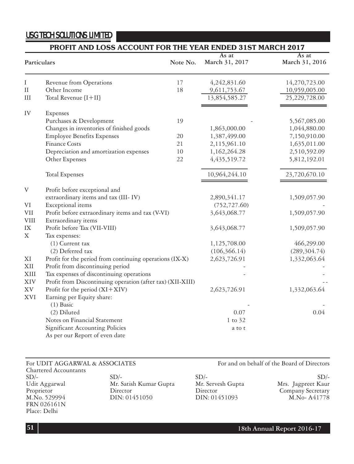# **PROFIT AND LOSS ACCOUNT FOR THE YEAR ENDED 31ST MARCH 2017**

| Note No.<br>Particulars   |                                                                   | As at<br>March 31, 2017 | As at<br>March 31, 2016 |               |
|---------------------------|-------------------------------------------------------------------|-------------------------|-------------------------|---------------|
| Ι                         | Revenue from Operations                                           | 17                      | 4,242,831.60            | 14,270,723.00 |
| $\rm II$                  | Other Income                                                      | 18                      | 9,611,753.67            | 10,959,005.00 |
| III                       | Total Revenue [I+II]                                              |                         | 13,854,585.27           | 25,229,728.00 |
| IV                        | Expenses                                                          |                         |                         |               |
|                           | Purchases & Development                                           | 19                      |                         | 5,567,085.00  |
|                           | Changes in inventories of finished goods                          |                         | 1,863,000.00            | 1,044,880.00  |
|                           | <b>Employee Benefits Expenses</b>                                 | 20                      | 1,387,499.00            | 7,150,910.00  |
|                           | <b>Finance Costs</b>                                              | 21                      | 2,115,961.10            | 1,635,011.00  |
|                           | Depreciation and amortization expenses                            | 10                      | 1,162,264.28            | 2,510,592.09  |
|                           | Other Expenses                                                    | 22                      | 4, 435, 519. 72         | 5,812,192.01  |
|                           | <b>Total Expenses</b>                                             |                         | 10,964,244.10           | 23,720,670.10 |
| $\ensuremath{\mathbf{V}}$ | Profit before exceptional and                                     |                         |                         |               |
|                           | extraordinary items and tax (III-IV)                              |                         | 2,890,341.17            | 1,509,057.90  |
| $\rm{VI}$                 | Exceptional items                                                 |                         | (752, 727.60)           |               |
| $\rm{VII}$                | Profit before extraordinary items and tax (V-VI)                  |                         | 3,643,068.77            | 1,509,057.90  |
| <b>VIII</b>               | Extraordinary items                                               |                         |                         |               |
| $\mathbf{IX}$             | Profit before Tax (VII-VIII)                                      |                         | 3,643,068.77            | 1,509,057.90  |
| Χ                         | Tax expenses:                                                     |                         |                         |               |
|                           | (1) Current tax                                                   |                         | 1,125,708.00            | 466,299.00    |
|                           | (2) Deferred tax                                                  |                         | (106, 366.14)           | (289, 304.74) |
| ΧI                        | Profit for the period from continuing operations (IX-X)           |                         | 2,623,726.91            | 1,332,063.64  |
| XII                       | Profit from discontinuing period                                  |                         |                         |               |
| XIII                      | Tax expenses of discontinuing operations                          |                         |                         |               |
| XIV                       | Profit from Discontinuing operation (after tax) (XII-XIII)        |                         |                         |               |
| XV                        | Profit for the period $(XI+XIV)$                                  |                         | 2,623,726.91            | 1,332,063.64  |
| XVI                       | Earning per Equity share:                                         |                         |                         |               |
|                           | $(1)$ Basic                                                       |                         |                         |               |
|                           | (2) Diluted                                                       |                         | 0.07                    | 0.04          |
|                           | Notes on Financial Statement                                      |                         | $1$ to $32$             |               |
|                           | Significant Accounting Policies<br>As per our Report of even date |                         | a to t                  |               |

Chartered Accountants  $SD/$ -  $SD/$ -  $SD/$ -  $SD/$ Udit Aggarwal Mr. Satish Kumar Gupta Mr. Servesh Gupta Mrs. Jagpreet Kaur Proprietor Director Director Director Director Company Secretary<br>M.No. 529994 DIN: 01451050 DIN: 01451093 M.No- A41778 FRN 026161N Place: Delhi

For UDIT AGGARWAL & ASSOCIATES For and on behalf of the Board of Directors

M.No- A41778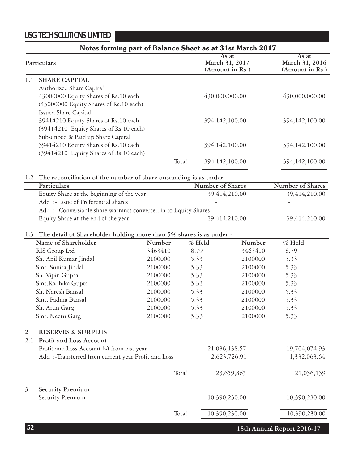|     | Notes forming part of Balance Sheet as at 31st March 2017              |                                            |                                            |
|-----|------------------------------------------------------------------------|--------------------------------------------|--------------------------------------------|
|     | Particulars                                                            | As at<br>March 31, 2017<br>(Amount in Rs.) | As at<br>March 31, 2016<br>(Amount in Rs.) |
| 1.1 | <b>SHARE CAPITAL</b>                                                   |                                            |                                            |
|     | Authorized Share Capital                                               |                                            |                                            |
|     | 43000000 Equity Shares of Rs.10 each                                   | 430,000,000.00                             | 430,000,000.00                             |
|     | (43000000 Equity Shares of Rs.10 each)                                 |                                            |                                            |
|     | Issued Share Capital                                                   |                                            |                                            |
|     | 39414210 Equity Shares of Rs.10 each                                   | 394, 142, 100.00                           | 394, 142, 100.00                           |
|     | (39414210 Equity Shares of Rs.10 each)                                 |                                            |                                            |
|     | Subscribed & Paid up Share Capital                                     |                                            |                                            |
|     | 39414210 Equity Shares of Rs.10 each                                   | 394, 142, 100.00                           | 394, 142, 100.00                           |
|     | (39414210 Equity Shares of Rs.10 each)                                 |                                            |                                            |
|     | Total                                                                  | 394,142,100.00                             | 394, 142, 100.00                           |
|     | 1.2 The reconciliation of the number of share oustanding is as under:- |                                            |                                            |
|     | Particulars                                                            | Number of Shares                           | Number of Shares                           |
|     | Equity Share at the beginning of the year                              | 39,414,210.00                              | 39,414,210.00                              |
|     | Add :- Issue of Preferencial shares                                    |                                            |                                            |
|     | Add: - Conversiable share warrants converted in to Equity Shares -     |                                            |                                            |
|     | Equity Share at the end of the year                                    | 39,414,210.00                              | 39,414,210.00                              |

# **1.3 The detail of Shareholder holding more than 5% shares is as under:-**

|     | Name of Shareholder                                | Number  | $\%$ Held |               | Number  | % Held        |
|-----|----------------------------------------------------|---------|-----------|---------------|---------|---------------|
|     | RIS Group Ltd                                      | 3463410 | 8.79      |               | 3463410 | 8.79          |
|     | Sh. Anil Kumar Jindal                              | 2100000 | 5.33      |               | 2100000 | 5.33          |
|     | Smt. Sunita Jindal                                 | 2100000 | 5.33      |               | 2100000 | 5.33          |
|     | Sh. Vipin Gupta                                    | 2100000 | 5.33      |               | 2100000 | 5.33          |
|     | Smt.Radhika Gupta                                  | 2100000 | 5.33      |               | 2100000 | 5.33          |
|     | Sh. Naresh Bansal                                  | 2100000 | 5.33      |               | 2100000 | 5.33          |
|     | Smt. Padma Bansal                                  | 2100000 | 5.33      |               | 2100000 | 5.33          |
|     | Sh. Arun Garg                                      | 2100000 | 5.33      |               | 2100000 | 5.33          |
|     | Smt. Neeru Garg                                    | 2100000 | 5.33      |               | 2100000 | 5.33          |
| 2   | <b>RESERVES &amp; SURPLUS</b>                      |         |           |               |         |               |
| 2.1 | Profit and Loss Account                            |         |           |               |         |               |
|     | Profit and Loss Account b/f from last year         |         |           | 21,036,138.57 |         | 19,704,074.93 |
|     | Add:-Transferred from current year Profit and Loss |         |           | 2,623,726.91  |         | 1,332,063.64  |
|     |                                                    |         | Total     | 23,659,865    |         | 21,036,139    |
| 3   | <b>Security Premium</b>                            |         |           |               |         |               |
|     | Security Premium                                   |         |           | 10,390,230.00 |         | 10,390,230.00 |
|     |                                                    |         | Total     | 10,390,230.00 |         | 10,390,230.00 |

**18th Annual Report 2016-17**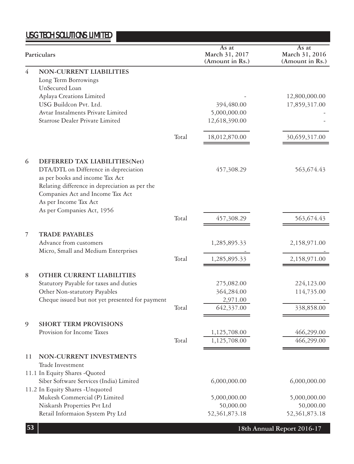|    | Particulars                                                                                                                |       | As at<br>March 31, 2017<br>(Amount in Rs.) | As at<br>March 31, 2016<br>(Amount in Rs.) |
|----|----------------------------------------------------------------------------------------------------------------------------|-------|--------------------------------------------|--------------------------------------------|
| 4  | <b>NON-CURRENT LIABILITIES</b><br>Long Term Borrowings<br>UnSecured Loan                                                   |       |                                            |                                            |
|    | Aplaya Creations Limited                                                                                                   |       |                                            | 12,800,000.00                              |
|    | USG Buildcon Pvt. Ltd.                                                                                                     |       | 394,480.00                                 | 17,859,317.00                              |
|    | Avtar Instalments Private Limited                                                                                          |       | 5,000,000.00                               |                                            |
|    | Starrose Dealer Private Limited                                                                                            |       | 12,618,390.00                              |                                            |
|    |                                                                                                                            | Total | 18,012,870.00                              | 30,659,317.00                              |
| 6  | DEFERRED TAX LIABILITIES(Net)                                                                                              |       |                                            |                                            |
|    | DTA/DTL on Difference in depreciation<br>as per books and income Tax Act<br>Relating difference in depreciation as per the |       | 457,308.29                                 | 563,674.43                                 |
|    | Companies Act and Income Tax Act<br>As per Income Tax Act<br>As per Companies Act, 1956                                    |       |                                            |                                            |
|    |                                                                                                                            | Total | 457,308.29                                 | 563,674.43                                 |
| 7  | <b>TRADE PAYABLES</b>                                                                                                      |       |                                            |                                            |
|    | Advance from customers<br>Micro, Small and Medium Enterprises                                                              |       | 1,285,895.33                               | 2,158,971.00                               |
|    |                                                                                                                            | Total | 1,285,895.33                               | 2,158,971.00                               |
| 8  | OTHER CURRENT LIABILITIES                                                                                                  |       |                                            |                                            |
|    | Statutory Payable for taxes and duties                                                                                     |       | 275,082.00                                 | 224,123.00                                 |
|    | Other Non-statutory Payables                                                                                               |       | 364,284.00                                 | 114,735.00                                 |
|    | Cheque issued but not yet presented for payment                                                                            |       | 2,971.00                                   |                                            |
|    |                                                                                                                            | Total | 642,337.00                                 | 338,858.00                                 |
| 9  | <b>SHORT TERM PROVISIONS</b>                                                                                               |       |                                            |                                            |
|    | Provision for Income Taxes                                                                                                 |       | 1,125,708.00                               | 466,299.00                                 |
|    |                                                                                                                            | Total | 1,125,708.00                               | 466,299.00                                 |
| 11 | NON-CURRENT INVESTMENTS                                                                                                    |       |                                            |                                            |
|    | Trade Investment<br>11.1 In Equity Shares - Quoted                                                                         |       |                                            |                                            |
|    | Siber Software Services (India) Limited                                                                                    |       | 6,000,000.00                               | 6,000,000.00                               |
|    | 11.2 In Equity Shares - Unquoted<br>Mukesh Commercial (P) Limited                                                          |       | 5,000,000.00                               | 5,000,000.00                               |
|    | Niskarsh Properties Pvt Ltd                                                                                                |       | 50,000.00                                  | 50,000.00                                  |
|    | Retail Informaion System Pty Ltd                                                                                           |       | 52,361,873.18                              | 52,361,873.18                              |

**18th Annual Report 2016-17**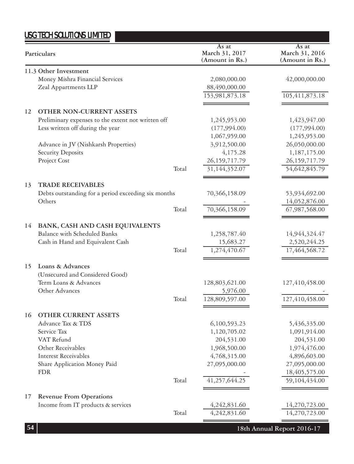|    | Particulars                                         | As at<br>March 31, 2017<br>(Amount in Rs.) | As at<br>March 31, 2016<br>(Amount in Rs.) |
|----|-----------------------------------------------------|--------------------------------------------|--------------------------------------------|
|    | 11.3 Other Investment                               |                                            |                                            |
|    | Money Mishra Financial Services                     | 2,080,000.00                               | 42,000,000.00                              |
|    | Zeal Appartments LLP                                | 88,490,000.00                              |                                            |
|    |                                                     | 153,981,873.18                             | 105,411,873.18                             |
| 12 | OTHER NON-CURRENT ASSETS                            |                                            |                                            |
|    | Preliminary expenses to the extent not written off  | 1,245,953.00                               | 1,423,947.00                               |
|    | Less written off during the year                    | (177,994.00)                               | (177,994.00)                               |
|    |                                                     | 1,067,959.00                               | 1,245,953.00                               |
|    | Advance in JV (Nishkarsh Properties)                | 3,912,500.00                               | 26,050,000.00                              |
|    | <b>Security Deposits</b>                            | 4,175.28                                   | 1,187,175.00                               |
|    | Project Cost                                        | 26, 159, 717. 79                           | 26, 159, 717. 79                           |
|    | Total                                               | 31,144,352.07                              | 54,642,845.79                              |
| 13 | <b>TRADE RECEIVABLES</b>                            |                                            |                                            |
|    | Debts outstanding for a period exceeding six months | 70,366,158.09                              | 53,934,692.00                              |
|    | Others                                              |                                            | 14,052,876.00                              |
|    | Total                                               | 70,366,158.09                              | 67,987,568.00                              |
| 14 | BANK, CASH AND CASH EQUIVALENTS                     |                                            |                                            |
|    | <b>Balance with Scheduled Banks</b>                 | 1,258,787.40                               | 14,944,324.47                              |
|    | Cash in Hand and Equivalent Cash                    | 15,683.27                                  | 2,520,244.25                               |
|    | Total                                               | 1,274,470.67                               | 17,464,568.72                              |
| 15 | Loans & Advances                                    |                                            |                                            |
|    | (Unsecured and Considered Good)                     |                                            |                                            |
|    | Term Loans & Advances                               | 128,803,621.00                             | 127,410,458.00                             |
|    | Other Advances                                      | 5,976.00                                   |                                            |
|    | Total                                               | 128,809,597.00                             | 127,410,458.00                             |
| 16 | <b>OTHER CURRENT ASSETS</b>                         |                                            |                                            |
|    | Advance Tax & TDS                                   | 6,100,593.23                               | 5,436,335.00                               |
|    | Service Tax                                         | 1,120,705.02                               | 1,091,914.00                               |
|    | VAT Refund                                          | 204,531.00                                 | 204,531.00                                 |
|    | Other Receivables                                   | 1,968,500.00                               | 1,974,476.00                               |
|    | Interest Receivables                                | 4,768,315.00                               | 4,896,603.00                               |
|    | Share Application Money Paid                        | 27,095,000.00                              | 27,095,000.00                              |
|    | <b>FDR</b>                                          |                                            | 18,405,575.00                              |
|    | Total                                               | 41,257,644.25                              | 59,104,434.00                              |
| 17 | <b>Revenue From Operations</b>                      |                                            |                                            |
|    | Income from IT products & services                  | 4,242,831.60                               | 14,270,723.00                              |
|    | Total                                               | 4,242,831.60                               | 14,270,723.00                              |
| 54 |                                                     |                                            | 18th Annual Report 2016-17                 |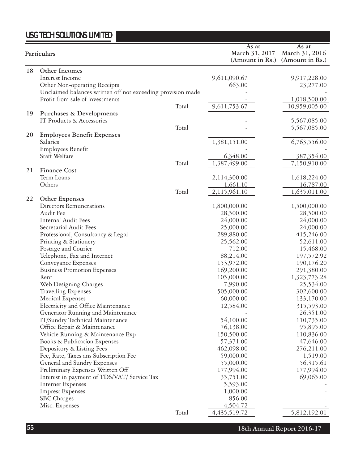|    | Particulars                                                 |       | As at<br>March 31, 2017<br>(Amount in Rs.) | As at<br>March 31, 2016<br>(Amount in Rs.) |
|----|-------------------------------------------------------------|-------|--------------------------------------------|--------------------------------------------|
| 18 | Other Incomes                                               |       |                                            |                                            |
|    | Interest Income                                             |       | 9,611,090.67                               | 9,917,228.00                               |
|    | Other Non-operating Receipts                                |       | 663.00                                     | 23,277.00                                  |
|    | Unclaimed balances written off not exceeding provision made |       |                                            |                                            |
|    | Profit from sale of investments                             |       |                                            | 1,018,500.00                               |
|    |                                                             | Total | 9,611,753.67                               | 10,959,005.00                              |
| 19 | Purchases & Developments                                    |       |                                            |                                            |
|    | IT Products & Accessories                                   |       |                                            | 5,567,085.00                               |
|    |                                                             | Total |                                            | 5,567,085.00                               |
| 20 | <b>Employees Benefit Expenses</b>                           |       |                                            |                                            |
|    | Salaries                                                    |       | 1,381,151.00                               | 6,763,556.00                               |
|    | <b>Employees Benefit</b>                                    |       |                                            |                                            |
|    | Staff Welfare                                               |       | 6,348.00                                   | 387,354.00                                 |
|    |                                                             | Total | 1,387,499.00                               | 7,150,910.00                               |
| 21 | <b>Finance Cost</b>                                         |       |                                            |                                            |
|    | Term Loans                                                  |       | 2,114,300.00                               | 1,618,224.00                               |
|    | Others                                                      |       | 1,661.10                                   | 16,787.00                                  |
|    |                                                             | Total | 2,115,961.10                               | 1,635,011.00                               |
| 22 | Other Expenses                                              |       |                                            |                                            |
|    | Directors Remunerations                                     |       | 1,800,000.00                               | 1,500,000.00                               |
|    | Audit Fee                                                   |       | 28,500.00                                  | 28,500.00                                  |
|    | Internal Audit Fees                                         |       | 24,000.00                                  | 24,000.00                                  |
|    | Secretarial Audit Fees                                      |       | 25,000.00                                  | 24,000.00                                  |
|    | Professional, Consultancy & Legal                           |       | 289,880.00                                 | 415,246.00                                 |
|    | Printing & Stationery                                       |       | 25,562.00                                  | 52,611.00                                  |
|    | Postage and Courier                                         |       | 712.00                                     | 15,468.00                                  |
|    | Telephone, Fax and Internet                                 |       | 88,214.00                                  | 197,572.92                                 |
|    | Conveyance Expenses                                         |       | 153,972.00                                 | 190,176.20                                 |
|    | <b>Business Promotion Expenses</b>                          |       | 169,200.00                                 | 291,380.00                                 |
|    | Rent                                                        |       | 105,000.00                                 | 1,323,773.28                               |
|    | Web Designing Charges                                       |       | 7,990.00                                   | 25,534.00                                  |
|    | <b>Travelling Expenses</b>                                  |       | 505,000.00                                 | 302,600.00                                 |
|    | <b>Medical Expenses</b>                                     |       | 60,000.00                                  | 133,170.00                                 |
|    | Electricity and Office Maintenance                          |       | 12,584.00                                  | 315,593.00                                 |
|    | Generator Running and Maintenance                           |       |                                            | 26,351.00                                  |
|    | IT/Sundry Technical Maintenance                             |       | 54,100.00                                  | 110,735.00                                 |
|    | Office Repair & Maintenance                                 |       | 76,138.00                                  | 95,895.00                                  |
|    | Vehicle Running & Maintenance Exp                           |       | 150,500.00                                 | 110,836.00                                 |
|    | Books & Publication Expenses                                |       | 57,371.00                                  | 47,646.00                                  |
|    | Depository & Listing Fees                                   |       | 462,098.00                                 | 276,211.00                                 |
|    | Fee, Rate, Taxes ans Subscription Fee                       |       | 59,000.00                                  | 1,519.00                                   |
|    | General and Sundry Expenses                                 |       | 55,000.00                                  | 56,315.61                                  |
|    | Preliminary Expenses Written Off                            |       | 177,994.00                                 | 177,994.00                                 |
|    | Interest in payment of TDS/VAT/ Service Tax                 |       | 35,751.00                                  | 69,065.00                                  |
|    | <b>Internet Expenses</b>                                    |       | 5,593.00                                   |                                            |
|    | <b>Imprest Expenses</b>                                     |       | 1,000.00                                   |                                            |
|    | <b>SBC</b> Charges                                          |       | 856.00                                     |                                            |
|    | Misc. Expenses                                              |       | 4,504.72                                   |                                            |
|    |                                                             | Total | 4, 435, 519. 72                            | 5,812,192.01                               |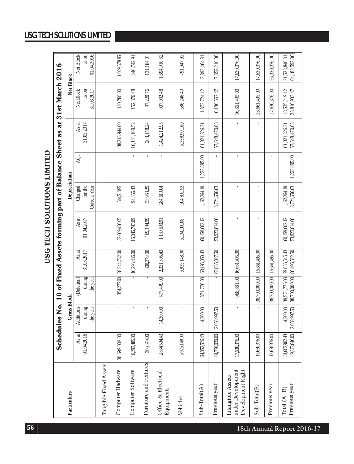# USG TECH SOLUTIONS LIMITED **USG TECH SOLUTIONS LIMITED**

|                                                             |                                 |                           |                                              |                          | Schedules No. 10 of Fixed Assets forming part of Balance Sheet as |                              |              | đ                              | 31st March 2016                |                                |
|-------------------------------------------------------------|---------------------------------|---------------------------|----------------------------------------------|--------------------------|-------------------------------------------------------------------|------------------------------|--------------|--------------------------------|--------------------------------|--------------------------------|
| Particulars                                                 |                                 | <b>Gross Block</b>        |                                              |                          |                                                                   | Depreciation                 |              |                                | Net Block                      |                                |
|                                                             | As at                           | Additions                 | <b>Deletion</b>                              | As at                    | As at                                                             | Charged                      | Ādj.         | As at                          | Net Block                      | Net Block                      |
|                                                             | 01.04.2016                      | during                    | during                                       | 31.03.2017               | 01.04.2017                                                        | for the                      |              | 31.03.2017                     | as on                          | as on                          |
|                                                             |                                 | the year                  | the year                                     |                          |                                                                   | Current Year                 |              |                                | 31.03.2017                     | 01.04.2016                     |
| Tangible Fixed Assets                                       |                                 |                           |                                              |                          |                                                                   |                              |              |                                |                                |                                |
| Computer Hadware                                            | 38,699,009.00                   | $\blacksquare$            |                                              | 354,277.00 38,344,732.00 | 37,669,430.05                                                     | 544,513.95                   |              | 38,213,944.00                  | 130,788.00                     | 1,029,578.95                   |
| Computer Software                                           | 16,293,486.00                   | í,                        |                                              | 16,293,486.00            | 16,046,743.09                                                     | 94,366.43                    | Î,           | 16,141,109.52                  | 152,376.48                     | 246,742.91                     |
| Furniture and Fixtures                                      | 300,379.00                      | ı                         |                                              | 300,379.00               | 169,194.99                                                        | 33,963.25                    | Î,           | 203,158.24                     | 97,220.76                      | 131,184.01                     |
| Office & Electrical<br>Equipments                           | 2,834,504.43                    | 14,300.00                 | 517,499.00                                   | 2,331,305.43             | 1,139,593.91                                                      | 284,619.04                   | Î,           | 1,424,212.95                   | 907,092.48                     | 1,694,910.52                   |
| Vehicles                                                    | 5,925,148.00                    | ı                         |                                              | 5,925,148.00             | 5,134,100.08.                                                     | 204,801.52                   |              | 5,338,901.60                   | 586,246.40                     | 791,047.92                     |
| Sub-Total(A)                                                | 64,052,526.43                   | 14,300.00                 | 871,776.00                                   | 63,195,050.43            | 60,159,062.12                                                     | 1,162,264.19                 | 1,223,895.00 | 61,321,326.31                  | 1,873,724.12                   | 3,893,464.31                   |
| Previous year                                               | 61,776,030.00                   | 2,058,997.50              |                                              | 63,835,027.50            | 53,923,814.00                                                     | 3,724,656.03                 |              | 57,648,470.03                  | 6,186,557.47                   | 7,852,216.00                   |
| under Development<br>Development Right<br>Intangible Assets | 17,630,376.00                   |                           |                                              | 968,881.00 16,661,495.00 |                                                                   |                              |              |                                | 16,661,495.00                  | 17,630,376.00                  |
| $Sub-Total(B)$                                              | 17,630,376.00                   |                           | 38,700,000.00                                | 16,661,495.00            |                                                                   |                              |              | ï                              | 16,661,495.00                  | 17,630,376.00                  |
| Previous year                                               | ,630,376.00<br>Ιī,              |                           | 38,700,000.00                                | 16,661,495.00            |                                                                   |                              |              |                                | 17,630,376.00                  | 56,330,376.00                  |
| Previous year<br>Total $(A+B)$                              | 119,372,846.00<br>81,682,902.43 | 14,300.00<br>2,058,997.50 | 39,571,776.00 79,856,545.43<br>38,700,000.00 | 80,496,522.50            | 60,159,062.12<br>53,923,814.00                                    | 3,724,656.03<br>1.162,264.19 | 1,223,895.00 | 57,648,470.03<br>61.321.326.31 | 18,535,219.12<br>23,816,933.47 | 64,182,592.00<br>21,523,840.31 |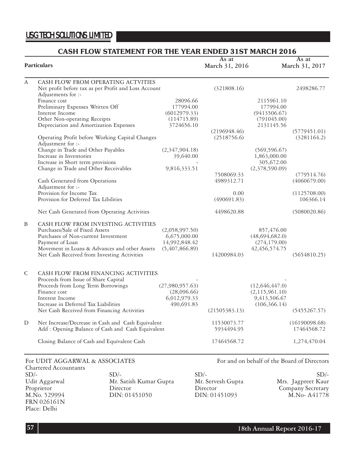# **CASH FLOW STATEMENT FOR THE YEAR ENDED 31ST MARCH 2016**

|        | <b>Particulars</b>                                                         |                 | As at<br>March 31, 2016 |                  | As at<br>March 31, 2017                     |
|--------|----------------------------------------------------------------------------|-----------------|-------------------------|------------------|---------------------------------------------|
| A      | CASH FLOW FROM OPERATING ACTVITIES                                         |                 |                         |                  |                                             |
|        | Net profit before tax as per Profit and Loss Account<br>Adjustments for :- |                 | (321808.16)             |                  | 2498286.77                                  |
|        | Finance cost                                                               | 28096.66        |                         | 2115961.10       |                                             |
|        | Preliminary Expenses Written Off                                           | 177994.00       |                         | 177994.00        |                                             |
|        | Interest Income                                                            | (6012979.33)    |                         | (9413506.67)     |                                             |
|        | Other Non-operating Receipts                                               | (114715.89)     |                         | (791045.00)      |                                             |
|        | Depreciation and Amortization Expenses                                     | 3724656.10      |                         | 2131145.56       |                                             |
|        |                                                                            |                 | (2196948.46)            |                  | (5779451.01)                                |
|        | Operating Profit before Working Capital Changes<br>Adjustment for :-       |                 | (2518756.6)             |                  | (3281164.2)                                 |
|        | Change in Trade and Other Payables                                         | (2,347,904.18)  |                         | (569, 596.67)    |                                             |
|        | Increase in Inventories                                                    | 39,640.00       |                         | 1,863,000.00     |                                             |
|        | Increase in Short term provisions                                          |                 |                         | 305,672.00       |                                             |
|        | Change in Trade and Other Receivables                                      | 9,816,333.51    |                         | (2,378,590.09)   |                                             |
|        |                                                                            |                 | 7508069.33              |                  | (779514.76)                                 |
|        | Cash Generated from Operations                                             |                 | 4989312.71              |                  | (4060679.00)                                |
|        | Adjustment for :-<br>Provision for Income Tax                              |                 |                         |                  |                                             |
|        | Provision for Deferred Tax Libilities                                      |                 | 0.00<br>(490691.83)     |                  | (1125708.00)<br>106366.14                   |
|        | Net Cash Generated from Operating Activities                               |                 | 4498620.88              |                  | (5080020.86)                                |
| B      | CASH FLOW FROM INVESTING ACTIVITIES                                        |                 |                         |                  |                                             |
|        | Purchases/Sale of Fixed Assets                                             | (2,058,997.50)  |                         | 857,476.00       |                                             |
|        | Purchases of Non-current Investment                                        | 6,675,000.00    |                         | (48,694,682.0)   |                                             |
|        | Payment of Loan                                                            | 14,992,848.42   |                         | (274, 179.00)    |                                             |
|        | Movement in Loans & Advances and other Assets                              | (5,407,866.89)  |                         | 42, 456, 574. 75 |                                             |
|        | Net Cash Received from Investing Activities                                |                 | 14200984.03             |                  | (5654810.25)                                |
| C      | CASH FLOW FROM FINANCING ACTIVITIES                                        |                 |                         |                  |                                             |
|        | Proceeds from Issue of Share Capital                                       |                 |                         |                  |                                             |
|        | Proceeds from Long Term Borrowings                                         | (27,980,957.63) |                         | (12,646,447.0)   |                                             |
|        | Finance cost                                                               | (28,096.66)     |                         | (2,115,961.10)   |                                             |
|        | Interest Income                                                            | 6,012,979.33    |                         | 9,413,506.67     |                                             |
|        | Increase in Deferred Tax Liabilities                                       | 490,691.83      |                         | (106, 366.14)    |                                             |
|        | Net Cash Received from Financing Activities                                |                 | (21505383.13)           |                  | (5455267.57)                                |
| D      | Net Increase/Decrease in Cash and Cash Equivalent                          |                 | 11530073.77             |                  | (16190098.68)                               |
|        | Add: Opening Balance of Cash and Cash Equivalent                           |                 | 5934494.95              |                  | 17464568.72                                 |
|        | Closing Balance of Cash and Equivalent Cash                                |                 | 17464568.72             |                  | 1,274,470.04                                |
|        | For UDIT AGGARWAL & ASSOCIATES                                             |                 |                         |                  | For and on behalf of the Board of Directors |
|        | Chartered Accountants                                                      |                 |                         |                  |                                             |
| $SD/-$ | $SD/-$                                                                     |                 | $SD/-$                  |                  | $SD/-$                                      |

FRN 026161N Place: Delhi

Udit Aggarwal Mr. Satish Kumar Gupta Mr. Servesh Gupta Mrs. Jagpreet Kaur Proprietor Director Director Director Director Company Secretary<br>M.No. 529994 DIN: 01451050 DIN: 01451093 M.No- A41778 DIN: 01451050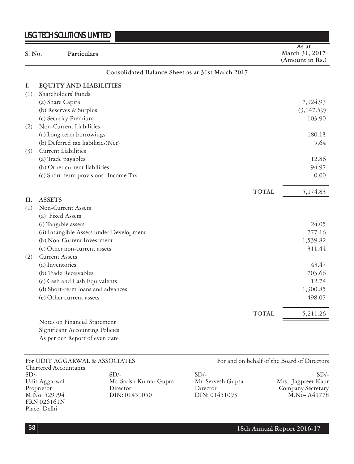| S. No. | Particulars                                      | As at<br>March 31, 2017<br>(Amount in Rs.) |
|--------|--------------------------------------------------|--------------------------------------------|
|        | Consolidated Balance Sheet as at 31st March 2017 |                                            |
| Ι.     | EQUITY AND LIABILITIES                           |                                            |
| (1)    | Shareholders' Funds                              |                                            |
|        | (a) Share Capital                                | 7,924.93                                   |
|        | (b) Reserves & Surplus                           | (3, 147.59)                                |
|        | (c) Security Premium                             | 103.90                                     |
| (2)    | Non-Current Liabilities                          |                                            |
|        | (a) Long term borrowings                         | 180.13                                     |
|        | (b) Deferred tax liabilities(Net)                | 5.64                                       |
| (3)    | Current Liabilities                              |                                            |
|        | (a) Trade payables                               | 12.86                                      |
|        | (b) Other current liabilities                    | 94.97                                      |
|        | (c) Short-term provisions -Income Tax            | 0.00                                       |
|        |                                                  | <b>TOTAL</b><br>5,174.83                   |
| H.     | <b>ASSETS</b>                                    |                                            |
| (1)    | Non-Current Assets                               |                                            |
|        | (a) Fixed Assets                                 |                                            |
|        | (i) Tangible assets                              | 24.05                                      |
|        | (ii) Intangible Assets under Development         | 777.16                                     |
|        | (b) Non-Current Investment                       | 1,539.82                                   |
|        | (c) Other non-current assets                     | 311.44                                     |
| (2)    | <b>Current Assets</b>                            |                                            |
|        | (a) Inventories                                  | 43.47                                      |
|        | (b) Trade Receivables                            | 703.66                                     |
|        | (c) Cash and Cash Equivalents                    | 12.74                                      |
|        | (d) Short-term loans and advances                | 1,300.85                                   |
|        | (e) Other current assets                         | 498.07                                     |
|        |                                                  | <b>TOTAL</b><br>5,211.26                   |
|        | Notes on Financial Statement                     |                                            |
|        | <b>Significant Accounting Policies</b>           |                                            |
|        | As per our Report of even date                   |                                            |

Chartered Accountants FRN 026161N Place: Delhi

DIN: 01451050

For UDIT AGGARWAL & ASSOCIATES For and on behalf of the Board of Directors

| $SD/-$        | SD/-                   | $SD/-$            | $SD/-$             |
|---------------|------------------------|-------------------|--------------------|
| Udit Aggarwal | Mr. Satish Kumar Gupta | Mr. Servesh Gupta | Mrs. Jagpreet Kaur |
| Proprietor    | Director               | Director          | Company Secretary  |
| M.No. 529994  | DIN: 01451050          | DIN: 01451093     | M.No-A41778        |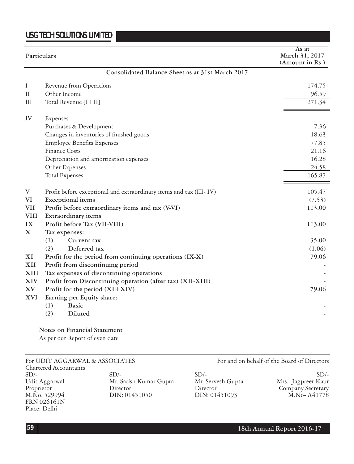| Particulars |                                                                    | As at<br>March 31, 2017<br>(Amount in Rs.) |
|-------------|--------------------------------------------------------------------|--------------------------------------------|
|             | Consolidated Balance Sheet as at 31st March 2017                   |                                            |
| Ι           | Revenue from Operations                                            | 174.75                                     |
| $\rm II$    | Other Income                                                       | 96.59                                      |
| Ш           | Total Revenue $[I+II]$                                             | 271.34                                     |
| IV          | Expenses                                                           |                                            |
|             | Purchases & Development                                            | 7.36                                       |
|             | Changes in inventories of finished goods                           | 18.63                                      |
|             | <b>Employee Benefits Expenses</b>                                  | 77.85                                      |
|             | Finance Costs                                                      | 21.16                                      |
|             | Depreciation and amortization expenses                             | 16.28                                      |
|             | Other Expenses                                                     | 24.58                                      |
|             | <b>Total Expenses</b>                                              | 165.87                                     |
| V           | Profit before exceptional and extraordinary items and tax (III-IV) | 105.47                                     |
| VI          | <b>Exceptional</b> items                                           | (7.53)                                     |
| <b>VII</b>  | Profit before extraordinary items and tax (V-VI)                   | 113.00                                     |
| <b>VIII</b> | Extraordinary items                                                |                                            |
| IX          | Profit before Tax (VII-VIII)                                       | 113.00                                     |
| $\mathbf X$ | Tax expenses:                                                      |                                            |
|             | (1)<br>Current tax                                                 | 35.00                                      |
|             | (2)<br>Deferred tax                                                | (1.06)                                     |
| XI          | Profit for the period from continuing operations (IX-X)            | 79.06                                      |
| XII         | Profit from discontinuing period                                   |                                            |
| XIII        | Tax expenses of discontinuing operations                           |                                            |
| <b>XIV</b>  | Profit from Discontinuing operation (after tax) (XII-XIII)         |                                            |
| <b>XV</b>   | Profit for the period $(XI+XIV)$                                   | 79.06                                      |
| XVI         | Earning per Equity share:                                          |                                            |
|             | <b>Basic</b><br>(1)                                                |                                            |
|             | Diluted<br>(2)                                                     |                                            |

### **Notes on Financial Statement**

As per our Report of even date

Chartered Accountants  $SD/$ -  $SD/$ -  $SD/$ -  $SD/$ Udit Aggarwal Mr. Satish Kumar Gupta Mr. Servesh Gupta Mrs. Jagpreet Kaur Proprietor Director Director Director Director Company Secretary<br>M.No. 529994 DIN: 01451050 DIN: 01451093 M.No- A41778 FRN 026161N Place: Delhi

DIN: 01451050

For UDIT AGGARWAL & ASSOCIATES For and on behalf of the Board of Directors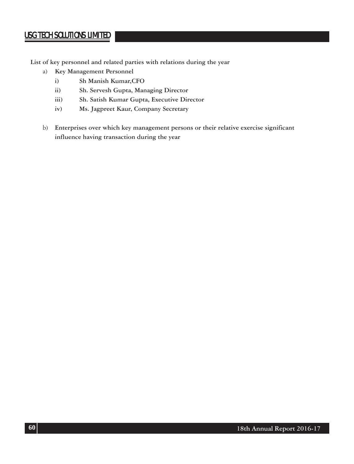**List of key personnel and related parties with relations during the year**

- a) **Key Management Personnel**
	- **i) Sh Manish Kumar,CFO**
	- **ii) Sh. Servesh Gupta, Managing Director**
	- **iii) Sh. Satish Kumar Gupta, Executive Director**
	- **iv) Ms. Jagpreet Kaur, Company Secretary**
- b) **Enterprises over which key management persons or their relative exercise significant influence having transaction during the year**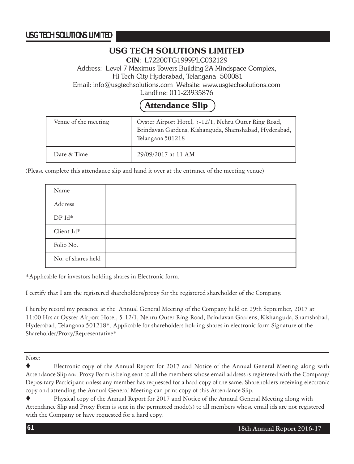# **USG TECH SOLUTIONS LIMITED**

**CIN**: L72200TG1999PLC032129

Address: Level 7 Maximus Towers Building 2A Mindspace Complex, Hi-Tech City Hyderabad, Telangana- 500081

Email: info@usgtechsolutions.com Website: www.usgtechsolutions.com

Landline: 011-23935876

# **Attendance Slip**

| Venue of the meeting | Oyster Airport Hotel, 5-12/1, Nehru Outer Ring Road,<br>Brindavan Gardens, Kishanguda, Shamshabad, Hyderabad,<br>Telangana 501218 |
|----------------------|-----------------------------------------------------------------------------------------------------------------------------------|
| Date & Time          | 29/09/2017 at 11 AM                                                                                                               |

(Please complete this attendance slip and hand it over at the entrance of the meeting venue)

| Name               |  |
|--------------------|--|
| Address            |  |
| $DPId*$            |  |
| Client Id*         |  |
| Folio No.          |  |
| No. of shares held |  |

\*Applicable for investors holding shares in Electronic form.

I certify that I am the registered shareholders/proxy for the registered shareholder of the Company.

I hereby record my presence at the Annual General Meeting of the Company held on 29th September, 2017 at 11:00 Hrs at Oyster Airport Hotel, 5-12/1, Nehru Outer Ring Road, Brindavan Gardens, Kishanguda, Shamshabad, Hyderabad, Telangana 501218\*. Applicable for shareholders holding shares in electronic form Signature of the Shareholder/Proxy/Representative\*

Note:

Electronic copy of the Annual Report for 2017 and Notice of the Annual General Meeting along with Attendance Slip and Proxy Form is being sent to all the members whose email address is registered with the Company/ Depositary Participant unless any member has requested for a hard copy of the same. Shareholders receiving electronic copy and attending the Annual General Meeting can print copy of this Attendance Slip.

Physical copy of the Annual Report for 2017 and Notice of the Annual General Meeting along with Attendance Slip and Proxy Form is sent in the permitted mode(s) to all members whose email ids are not registered with the Company or have requested for a hard copy.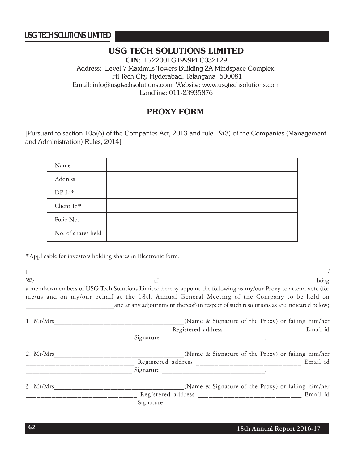# **USG TECH SOLUTIONS LIMITED**

**CIN**: L72200TG1999PLC032129 Address: Level 7 Maximus Towers Building 2A Mindspace Complex, Hi-Tech City Hyderabad, Telangana- 500081 Email: info@usgtechsolutions.com Website: www.usgtechsolutions.com Landline: 011-23935876

# **PROXY FORM**

[Pursuant to section 105(6) of the Companies Act, 2013 and rule 19(3) of the Companies (Management and Administration) Rules, 2014]

| Name               |  |
|--------------------|--|
| Address            |  |
| DP Id*             |  |
| Client Id*         |  |
| Folio No.          |  |
| No. of shares held |  |

\*Applicable for investors holding shares in Electronic form.

 $\frac{1}{2}$  /  $W_e$  being a member/members of USG Tech Solutions Limited hereby appoint the following as my/our Proxy to attend vote (for me/us and on my/our behalf at the 18th Annual General Meeting of the Company to be held on and at any adjournment thereof) in respect of such resolutions as are indicated below; 1. Mr/Mrs\_\_\_\_\_\_\_\_\_\_\_\_\_\_\_\_\_\_\_\_\_\_\_\_\_\_\_\_\_\_\_\_\_\_\_\_\_(Name & Signature of the Proxy) or failing him/her Registered address The Email id Signature <u>\_\_\_\_\_\_\_\_\_\_\_\_\_\_\_\_\_\_\_\_\_\_\_\_\_\_\_\_\_\_\_\_\_</u> 2. Mr/Mrs\_\_\_\_\_\_\_\_\_\_\_\_\_\_\_\_\_\_\_\_\_\_\_\_\_\_\_\_\_\_\_\_\_\_\_\_\_(Name & Signature of the Proxy) or failing him/her \_\_\_\_\_\_\_\_\_\_\_\_\_\_\_\_\_\_\_\_\_\_\_\_\_\_\_\_\_ Registered address \_\_\_\_\_\_\_\_\_\_\_\_\_\_\_\_\_\_\_\_\_\_\_\_\_\_\_\_ Email id \_\_\_\_\_\_\_\_\_\_\_\_\_\_\_\_\_\_\_\_\_\_\_\_\_\_\_\_\_\_\_ Signature \_\_\_\_\_\_\_\_\_\_\_\_\_\_\_\_\_\_\_\_\_\_\_\_\_\_\_\_\_\_. 3. Mr/Mrs\_\_\_\_\_\_\_\_\_\_\_\_\_\_\_\_\_\_\_\_\_\_\_\_\_\_\_\_\_\_\_\_\_\_\_\_\_(Name & Signature of the Proxy) or failing him/her \_\_\_\_\_\_\_\_\_\_\_\_\_\_\_\_\_\_\_\_\_\_\_\_\_\_\_\_\_\_ Registered address \_\_\_\_\_\_\_\_\_\_\_\_\_\_\_\_\_\_\_\_\_\_\_\_\_\_\_\_ Email id \_\_\_\_\_\_\_\_\_\_\_\_\_\_\_\_\_\_\_\_\_\_\_\_\_\_\_\_\_\_\_\_ Signature \_\_\_\_\_\_\_\_\_\_\_\_\_\_\_\_\_\_\_\_\_\_\_\_\_\_\_\_\_\_.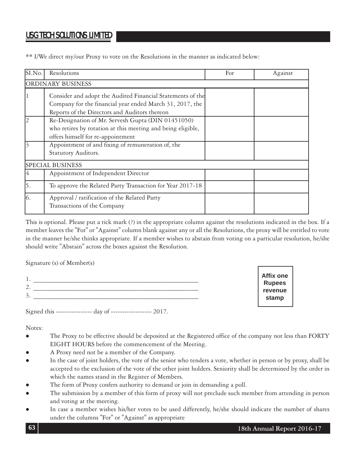\*\* I/We direct my/our Proxy to vote on the Resolutions in the manner as indicated below:

| SI.No. | Resolutions                                                                                                                                                             | For | Against |
|--------|-------------------------------------------------------------------------------------------------------------------------------------------------------------------------|-----|---------|
|        | ORDINARY BUSINESS                                                                                                                                                       |     |         |
|        | Consider and adopt the Audited Financial Statements of the<br>Company for the financial year ended March 31, 2017, the<br>Reports of the Directors and Auditors thereon |     |         |
|        | Re-Designation of Mr. Servesh Gupta (DIN 01451050)<br>who retires by rotation at this meeting and being eligible,<br>offers himself for re-appointment                  |     |         |
|        | Appointment of and fixing of remuneration of, the<br>Statutory Auditors.                                                                                                |     |         |
|        | <b>SPECIAL BUSINESS</b>                                                                                                                                                 |     |         |
|        | Appointment of Independent Director                                                                                                                                     |     |         |
| 15.    | To approve the Related Party Transaction for Year 2017-18                                                                                                               |     |         |
| 16.    | Approval / ratification of the Related Party<br>Transactions of the Company                                                                                             |     |         |

This is optional. Please put a tick mark (?) in the appropriate column against the resolutions indicated in the box. If a member leaves the "For" or "Against" column blank against any or all the Resolutions, the proxy will be entitled to vote in the manner he/she thinks appropriate. If a member wishes to abstain from voting on a particular resolution, he/she should write "Abstain" across the boxes against the Resolution.

Signature (s) of Member(s)

| $\overline{\phantom{a}}$ | ________ |
|--------------------------|----------|
| ۰                        |          |

Signed this ---------------- day of ------------------ 2017.

Notes:

- The Proxy to be effective should be deposited at the Registered office of the company not less than FORTY EIGHT HOURS before the commencement of the Meeting.
- A Proxy need not be a member of the Company.
- In the case of joint holders, the vote of the senior who tenders a vote, whether in person or by proxy, shall be accepted to the exclusion of the vote of the other joint holders. Seniority shall be determined by the order in which the names stand in the Register of Members.
- The form of Proxy confers authority to demand or join in demanding a poll.
- The submission by a member of this form of proxy will not preclude such member from attending in person and voting at the meeting.
- In case a member wishes his/her votes to be used differently, he/she should indicate the number of shares under the columns "For" or "Against" as appropriate

**Affix one Rupees revenue stamp**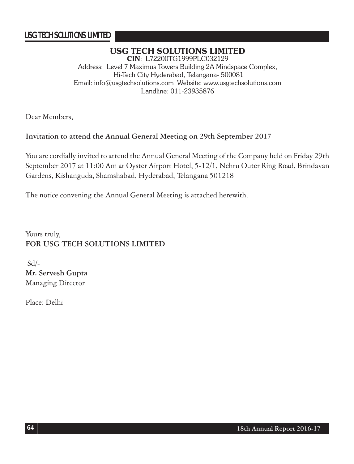# **USG TECH SOLUTIONS LIMITED**

**CIN**: L72200TG1999PLC032129 Address: Level 7 Maximus Towers Building 2A Mindspace Complex, Hi-Tech City Hyderabad, Telangana- 500081 Email: info@usgtechsolutions.com Website: www.usgtechsolutions.com Landline: 011-23935876

Dear Members,

# **Invitation to attend the Annual General Meeting on 29th September 2017**

You are cordially invited to attend the Annual General Meeting of the Company held on Friday 29th September 2017 at 11:00 Am at Oyster Airport Hotel, 5-12/1, Nehru Outer Ring Road, Brindavan Gardens, Kishanguda, Shamshabad, Hyderabad, Telangana 501218

The notice convening the Annual General Meeting is attached herewith.

Yours truly, **FOR USG TECH SOLUTIONS LIMITED**

 Sd/- **Mr. Servesh Gupta** Managing Director

Place: Delhi